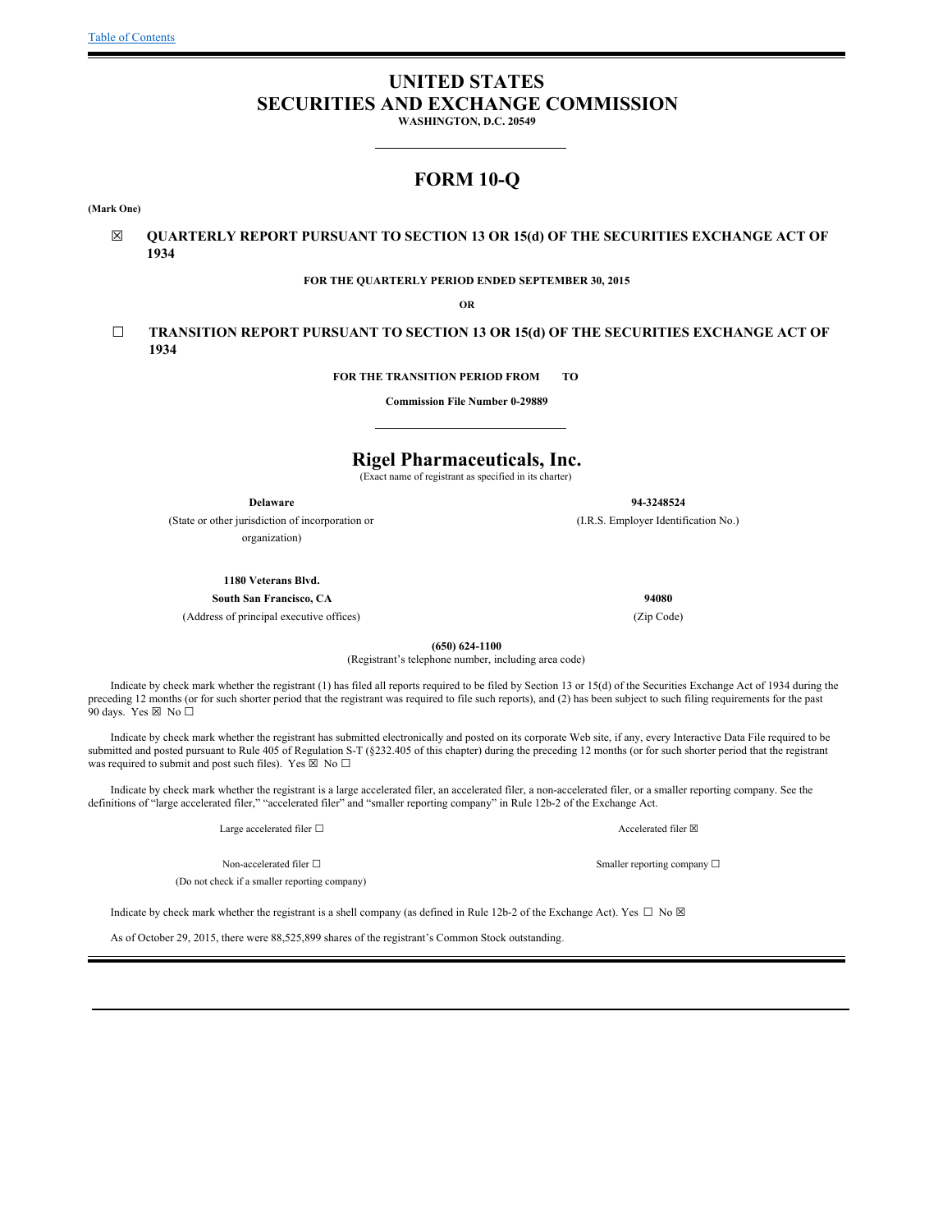# **UNITED STATES SECURITIES AND EXCHANGE COMMISSION**

**WASHINGTON, D.C. 20549**

# **FORM 10-Q**

**(Mark One)**

# **☒ QUARTERLY REPORT PURSUANT TO SECTION 13 OR 15(d) OF THE SECURITIES EXCHANGE ACT OF 1934**

## **FOR THE QUARTERLY PERIOD ENDED SEPTEMBER 30, 2015**

**OR**

# **☐ TRANSITION REPORT PURSUANT TO SECTION 13 OR 15(d) OF THE SECURITIES EXCHANGE ACT OF 1934**

**FOR THE TRANSITION PERIOD FROM TO**

**Commission File Number 0-29889**

# **Rigel Pharmaceuticals, Inc.**

(Exact name of registrant as specified in its charter)

**Delaware 94-3248524**

(State or other jurisdiction of incorporation or (I.R.S. Employer Identification No.)

organization)

**1180 Veterans Blvd.**

**South San Francisco, CA 94080**

(Address of principal executive offices) (Zip Code)

**(650) 624-1100**

(Registrant's telephone number, including area code)

Indicate by check mark whether the registrant (1) has filed all reports required to be filed by Section 13 or 15(d) of the Securities Exchange Act of 1934 during the preceding 12 months (or for such shorter period that the registrant was required to file such reports), and (2) has been subject to such filing requirements for the past 90 days. Yes  $\times$  No  $\Box$ 

Indicate by check mark whether the registrant has submitted electronically and posted on its corporate Web site, if any, every Interactive Data File required to be submitted and posted pursuant to Rule 405 of Regulation S-T (§232.405 of this chapter) during the preceding 12 months (or for such shorter period that the registrant was required to submit and post such files). Yes  $\boxtimes$  No  $\Box$ 

Indicate by check mark whether the registrant is a large accelerated filer, an accelerated filer, a non-accelerated filer, or a smaller reporting company. See the definitions of "large accelerated filer," "accelerated filer" and "smaller reporting company" in Rule 12b-2 of the Exchange Act.

Large accelerated filer  $\Box$  Accelerated filer  $\boxtimes$ 

(Do not check if a smaller reporting company)

Indicate by check mark whether the registrant is a shell company (as defined in Rule 12b-2 of the Exchange Act). Yes  $\Box$  No  $\boxtimes$ 

As of October 29, 2015, there were 88,525,899 shares of the registrant's Common Stock outstanding.

Non-accelerated filer □ state of the state of the state of the Smaller reporting company □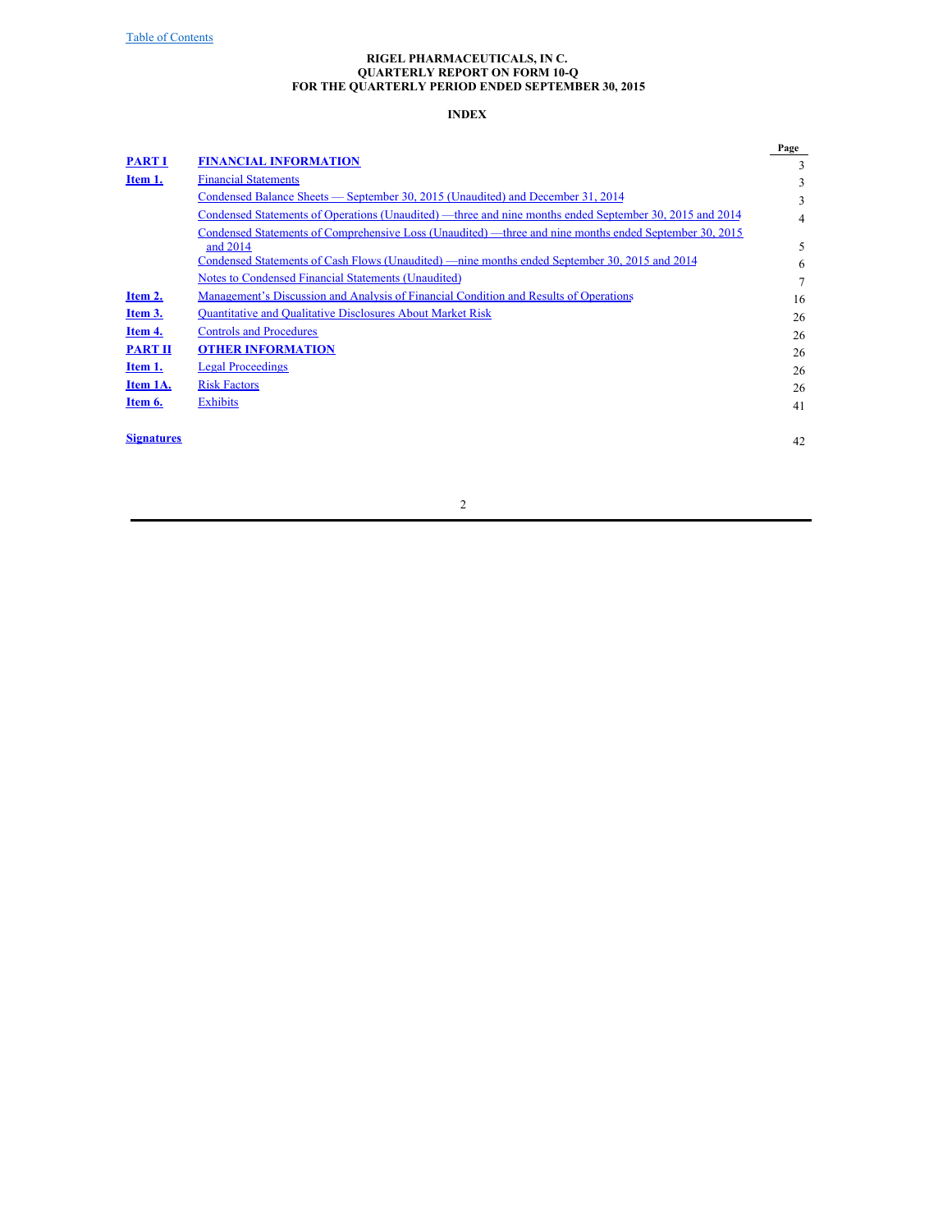## **RIGEL PHARMACEUTICALS, IN C. QUARTERLY REPORT ON FORM 10-Q FOR THE QUARTERLY PERIOD ENDED SEPTEMBER 30, 2015**

# **INDEX**

|                   |                                                                                                           | Page   |
|-------------------|-----------------------------------------------------------------------------------------------------------|--------|
| <b>PART I</b>     | <b>FINANCIAL INFORMATION</b>                                                                              | 3      |
| Item 1.           | <b>Financial Statements</b>                                                                               | 3      |
|                   | Condensed Balance Sheets — September 30, 2015 (Unaudited) and December 31, 2014                           | 3      |
|                   | Condensed Statements of Operations (Unaudited) —three and nine months ended September 30, 2015 and 2014   | 4      |
|                   | Condensed Statements of Comprehensive Loss (Unaudited) —three and nine months ended September 30, 2015    | 5      |
|                   | and 2014<br>Condensed Statements of Cash Flows (Unaudited) —nine months ended September 30, 2015 and 2014 | 6      |
|                   | Notes to Condensed Financial Statements (Unaudited)                                                       | $\tau$ |
| Item 2.           | Management's Discussion and Analysis of Financial Condition and Results of Operations                     | 16     |
| Item 3.           | <b>Quantitative and Qualitative Disclosures About Market Risk</b>                                         | 26     |
| Item 4.           | <b>Controls and Procedures</b>                                                                            | 26     |
| <b>PART II</b>    | <b>OTHER INFORMATION</b>                                                                                  | 26     |
| Item 1.           | <b>Legal Proceedings</b>                                                                                  | 26     |
| Item 1A.          | <b>Risk Factors</b>                                                                                       | 26     |
| Item 6.           | <b>Exhibits</b>                                                                                           | 41     |
| <b>Signatures</b> |                                                                                                           | 42     |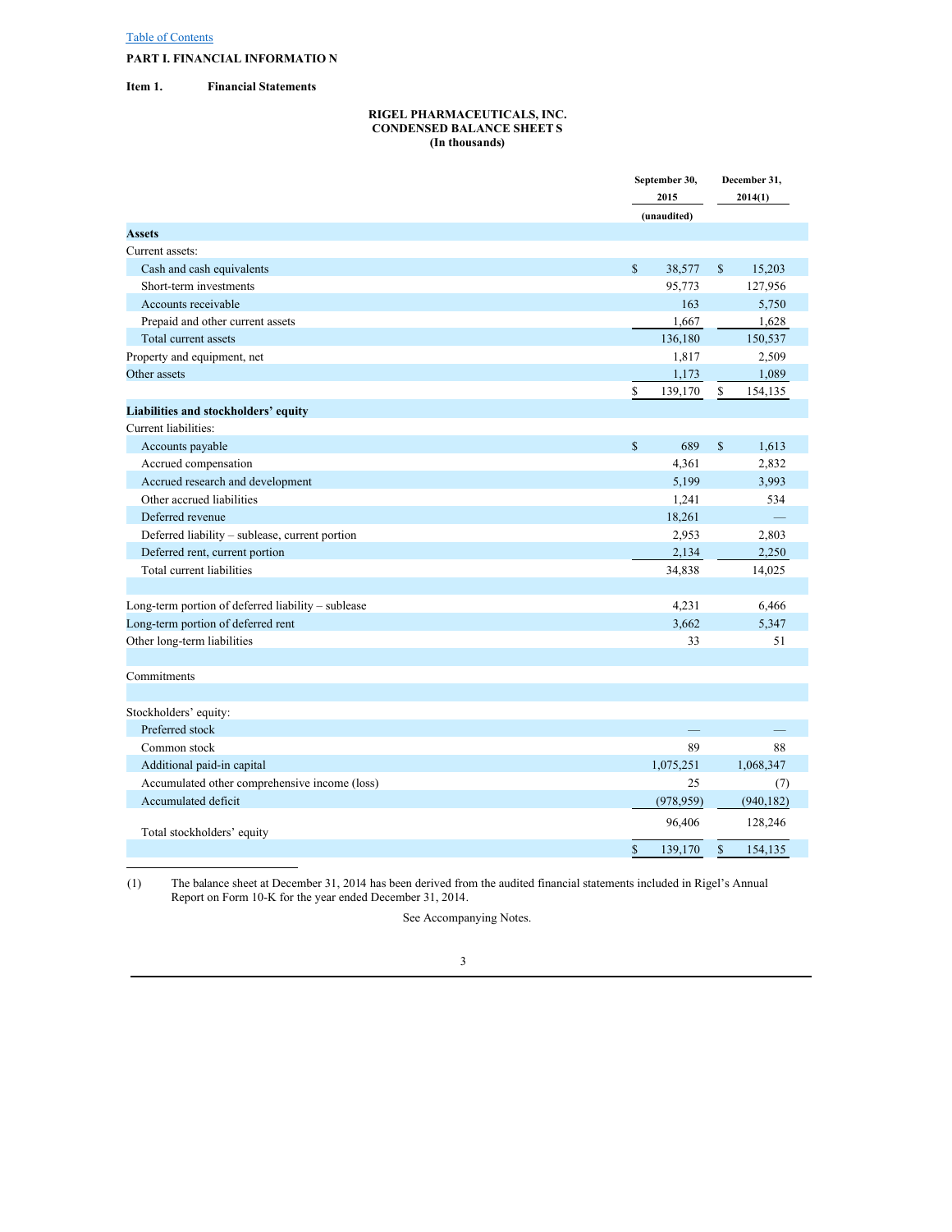# **PART I. FINANCIAL INFORMATIO N**

# **Item 1. Financial Statements**

## <span id="page-2-2"></span><span id="page-2-1"></span><span id="page-2-0"></span>**RIGEL PHARMACEUTICALS, INC. CONDENSED BALANCE SHEET S (In thousands)**

|                                                    | September 30,<br>2015<br>(unaudited) |            |              | December 31, |
|----------------------------------------------------|--------------------------------------|------------|--------------|--------------|
|                                                    |                                      |            |              | 2014(1)      |
| <b>Assets</b>                                      |                                      |            |              |              |
|                                                    |                                      |            |              |              |
| Current assets:<br>Cash and cash equivalents       | S                                    | 38,577     | $\mathbb{S}$ | 15,203       |
| Short-term investments                             |                                      | 95,773     |              | 127,956      |
| Accounts receivable                                |                                      | 163        |              | 5,750        |
| Prepaid and other current assets                   |                                      | 1.667      |              | 1,628        |
| Total current assets                               |                                      | 136,180    |              | 150,537      |
| Property and equipment, net                        |                                      | 1,817      |              | 2,509        |
| Other assets                                       |                                      | 1,173      |              | 1,089        |
|                                                    | \$                                   | 139,170    | \$           | 154,135      |
| Liabilities and stockholders' equity               |                                      |            |              |              |
| Current liabilities:                               |                                      |            |              |              |
| Accounts payable                                   | $\mathbb{S}$                         | 689        | $\mathbf S$  | 1,613        |
| Accrued compensation                               |                                      | 4,361      |              | 2,832        |
| Accrued research and development                   |                                      | 5,199      |              | 3,993        |
| Other accrued liabilities                          |                                      | 1,241      |              | 534          |
| Deferred revenue                                   |                                      | 18,261     |              |              |
| Deferred liability - sublease, current portion     |                                      | 2,953      |              | 2,803        |
| Deferred rent, current portion                     |                                      | 2,134      |              | 2,250        |
| Total current liabilities                          |                                      | 34,838     |              | 14,025       |
|                                                    |                                      |            |              |              |
| Long-term portion of deferred liability - sublease |                                      | 4,231      |              | 6,466        |
| Long-term portion of deferred rent                 |                                      | 3.662      |              | 5,347        |
| Other long-term liabilities                        |                                      | 33         |              | 51           |
|                                                    |                                      |            |              |              |
| Commitments                                        |                                      |            |              |              |
|                                                    |                                      |            |              |              |
| Stockholders' equity:                              |                                      |            |              |              |
| Preferred stock                                    |                                      |            |              |              |
| Common stock                                       |                                      | 89         |              | 88           |
| Additional paid-in capital                         |                                      | 1,075,251  |              | 1,068,347    |
| Accumulated other comprehensive income (loss)      |                                      | 25         |              | (7)          |
| Accumulated deficit                                |                                      | (978, 959) |              | (940, 182)   |
|                                                    |                                      | 96,406     |              | 128,246      |
| Total stockholders' equity                         | $\mathbb{S}$                         | 139,170    | $\mathbf S$  | 154,135      |

(1) The balance sheet at December 31, 2014 has been derived from the audited financial statements included in Rigel's Annual Report on Form 10-K for the year ended December 31, 2014.

See Accompanying Notes.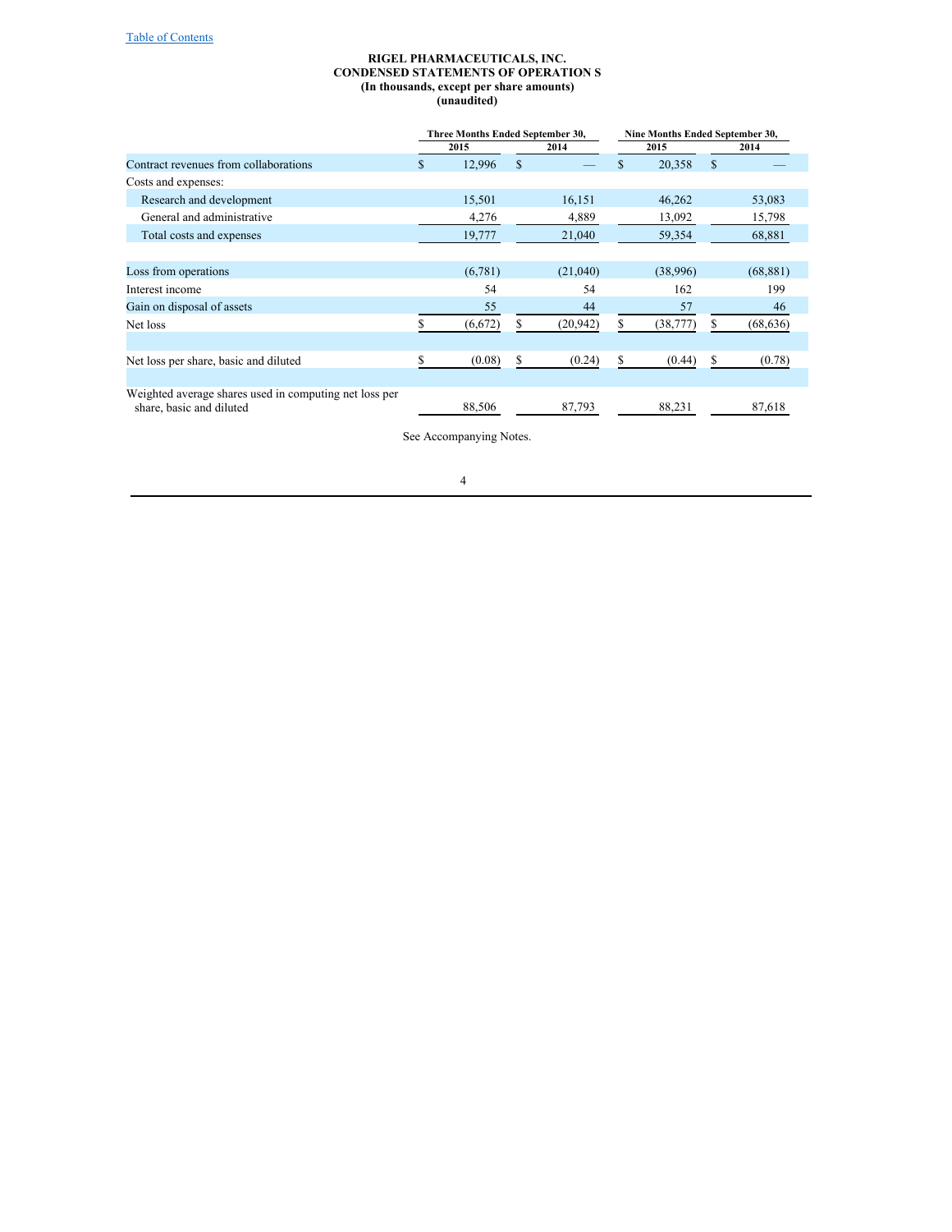## <span id="page-3-0"></span>**RIGEL PHARMACEUTICALS, INC. CONDENSED STATEMENTS OF OPERATION S (In thousands, except per share amounts) (unaudited)**

|                                                                                    | Three Months Ended September 30, |          |              |           |   | Nine Months Ended September 30, |      |           |  |
|------------------------------------------------------------------------------------|----------------------------------|----------|--------------|-----------|---|---------------------------------|------|-----------|--|
|                                                                                    |                                  | 2015     | 2014<br>2015 |           |   |                                 | 2014 |           |  |
| Contract revenues from collaborations                                              | \$                               | 12,996   | \$           |           |   | 20,358                          | S    |           |  |
| Costs and expenses:                                                                |                                  |          |              |           |   |                                 |      |           |  |
| Research and development                                                           |                                  | 15,501   |              | 16,151    |   | 46,262                          |      | 53,083    |  |
| General and administrative                                                         |                                  | 4,276    |              | 4,889     |   | 13,092                          |      | 15,798    |  |
| Total costs and expenses                                                           |                                  | 19,777   |              | 21,040    |   | 59,354                          |      | 68,881    |  |
|                                                                                    |                                  |          |              |           |   |                                 |      |           |  |
| Loss from operations                                                               |                                  | (6, 781) |              | (21,040)  |   | (38,996)                        |      | (68, 881) |  |
| Interest income                                                                    |                                  | 54       |              | 54        |   | 162                             |      | 199       |  |
| Gain on disposal of assets                                                         |                                  | 55       |              | 44        |   | 57                              |      | 46        |  |
| Net loss                                                                           |                                  | (6,672)  |              | (20, 942) | S | (38, 777)                       |      | (68, 636) |  |
|                                                                                    |                                  |          |              |           |   |                                 |      |           |  |
| Net loss per share, basic and diluted                                              |                                  | (0.08)   | S            | (0.24)    |   | (0.44)                          | S    | (0.78)    |  |
|                                                                                    |                                  |          |              |           |   |                                 |      |           |  |
| Weighted average shares used in computing net loss per<br>share, basic and diluted |                                  | 88,506   |              | 87,793    |   | 88,231                          |      | 87,618    |  |

See Accompanying Notes.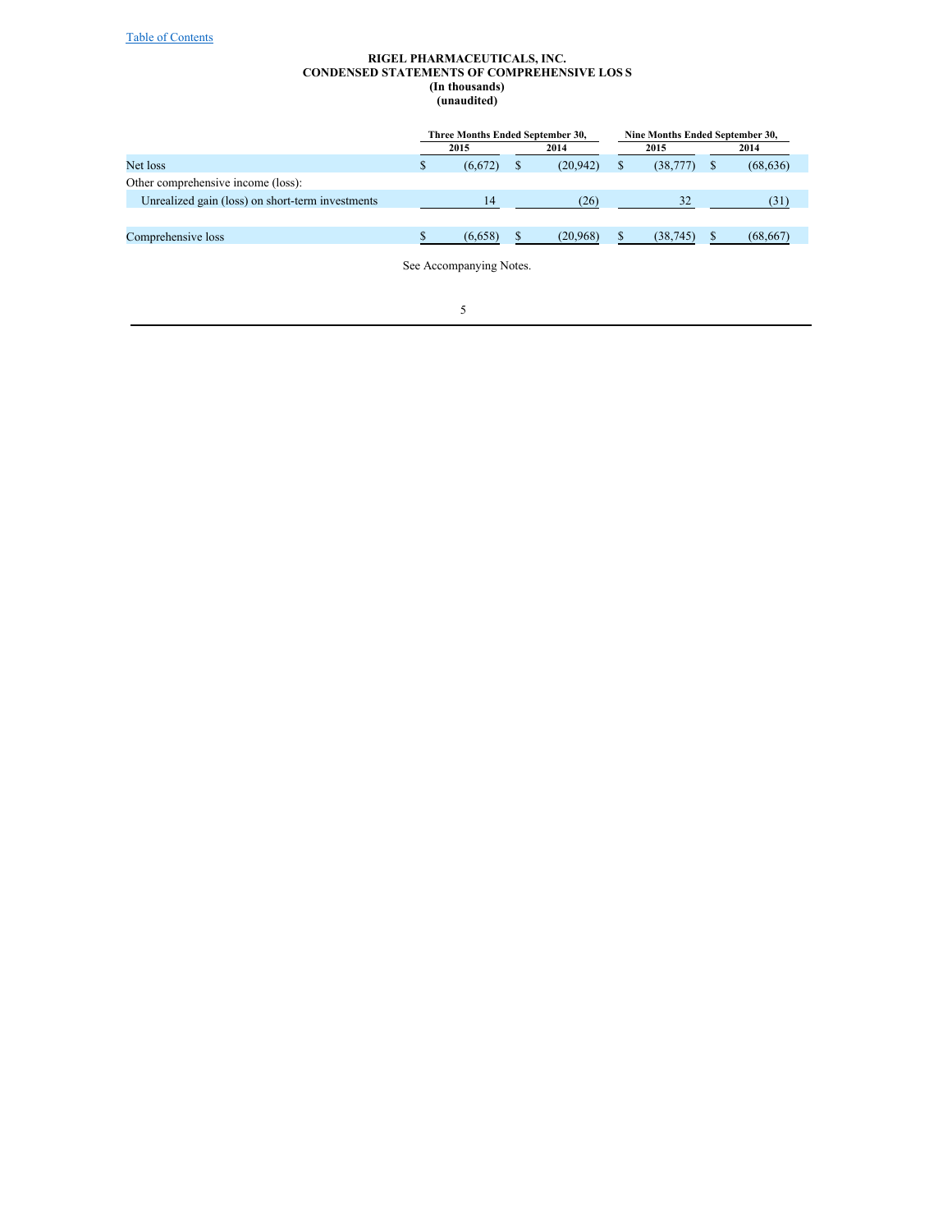## <span id="page-4-0"></span>**RIGEL PHARMACEUTICALS, INC. CONDENSED STATEMENTS OF COMPREHENSIVE LOS S (In thousands) (unaudited)**

|                                                  | Three Months Ended September 30. |                         |          |           |   | Nine Months Ended September 30. |           |  |  |  |      |  |      |
|--------------------------------------------------|----------------------------------|-------------------------|----------|-----------|---|---------------------------------|-----------|--|--|--|------|--|------|
|                                                  |                                  | 2015                    | 2014     |           |   |                                 |           |  |  |  | 2015 |  | 2014 |
| Net loss                                         | \$.                              | (6,672)                 | <b>S</b> | (20, 942) | S | (38, 777)                       | (68, 636) |  |  |  |      |  |      |
| Other comprehensive income (loss):               |                                  |                         |          |           |   |                                 |           |  |  |  |      |  |      |
| Unrealized gain (loss) on short-term investments |                                  | 14                      |          | (26)      |   | 32                              | (31)      |  |  |  |      |  |      |
|                                                  |                                  |                         |          |           |   |                                 |           |  |  |  |      |  |      |
| Comprehensive loss                               |                                  | (6,658)                 |          | (20,968)  | S | (38, 745)                       | (68, 667) |  |  |  |      |  |      |
|                                                  |                                  | See Accompanying Notes. |          |           |   |                                 |           |  |  |  |      |  |      |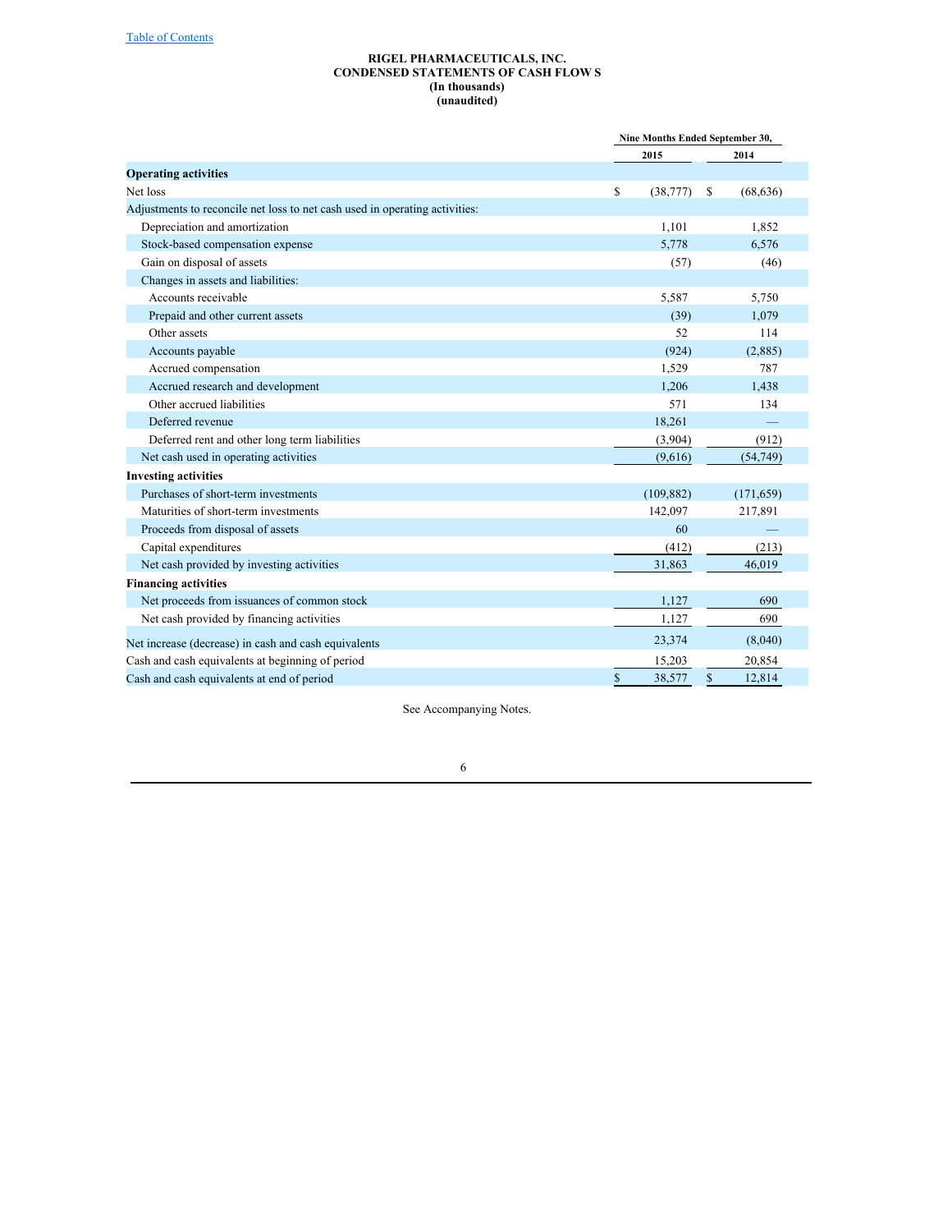## <span id="page-5-0"></span>**RIGEL PHARMACEUTICALS, INC. CONDENSED STATEMENTS OF CASH FLOW S (In thousands) (unaudited)**

|                                                                             | Nine Months Ended September 30, |                        |  |  |
|-----------------------------------------------------------------------------|---------------------------------|------------------------|--|--|
|                                                                             | 2015                            | 2014                   |  |  |
| <b>Operating activities</b>                                                 |                                 |                        |  |  |
| Net loss                                                                    | \$<br>(38, 777)                 | (68, 636)<br>S         |  |  |
| Adjustments to reconcile net loss to net cash used in operating activities: |                                 |                        |  |  |
| Depreciation and amortization                                               | 1,101                           | 1,852                  |  |  |
| Stock-based compensation expense                                            | 5,778                           | 6,576                  |  |  |
| Gain on disposal of assets                                                  | (57)                            | (46)                   |  |  |
| Changes in assets and liabilities:                                          |                                 |                        |  |  |
| Accounts receivable                                                         | 5,587                           | 5,750                  |  |  |
| Prepaid and other current assets                                            | (39)                            | 1,079                  |  |  |
| Other assets                                                                | 52                              | 114                    |  |  |
| Accounts payable                                                            | (924)                           | (2,885)                |  |  |
| Accrued compensation                                                        | 1,529                           | 787                    |  |  |
| Accrued research and development                                            | 1,206                           | 1,438                  |  |  |
| Other accrued liabilities                                                   | 571                             | 134                    |  |  |
| Deferred revenue                                                            | 18,261                          |                        |  |  |
| Deferred rent and other long term liabilities                               | (3,904)                         | (912)                  |  |  |
| Net cash used in operating activities                                       | (9,616)                         | (54, 749)              |  |  |
| <b>Investing activities</b>                                                 |                                 |                        |  |  |
| Purchases of short-term investments                                         | (109, 882)                      | (171, 659)             |  |  |
| Maturities of short-term investments                                        | 142,097                         | 217,891                |  |  |
| Proceeds from disposal of assets                                            | 60                              |                        |  |  |
| Capital expenditures                                                        | (412)                           | (213)                  |  |  |
| Net cash provided by investing activities                                   | 31,863                          | 46,019                 |  |  |
| <b>Financing activities</b>                                                 |                                 |                        |  |  |
| Net proceeds from issuances of common stock                                 | 1,127                           | 690                    |  |  |
| Net cash provided by financing activities                                   | 1,127                           | 690                    |  |  |
| Net increase (decrease) in cash and cash equivalents                        | 23,374                          | (8,040)                |  |  |
| Cash and cash equivalents at beginning of period                            | 15,203                          | 20,854                 |  |  |
| Cash and cash equivalents at end of period                                  | \$<br>38,577                    | $\mathbb{S}$<br>12.814 |  |  |

See Accompanying Notes.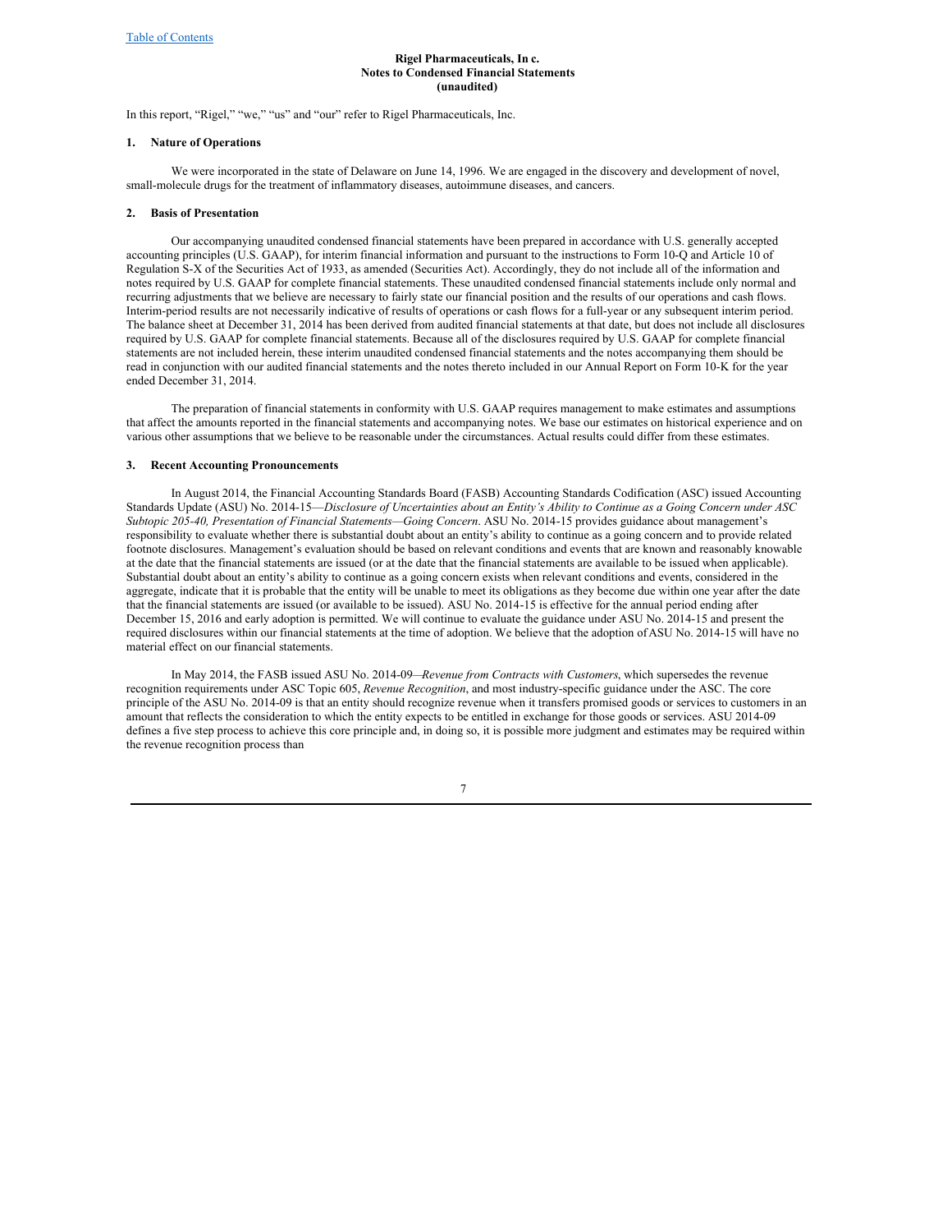## <span id="page-6-0"></span>**Rigel Pharmaceuticals, In c. Notes to Condensed Financial Statements (unaudited)**

In this report, "Rigel," "we," "us" and "our" refer to Rigel Pharmaceuticals, Inc.

## **1. Nature of Operations**

We were incorporated in the state of Delaware on June 14, 1996. We are engaged in the discovery and development of novel, small-molecule drugs for the treatment of inflammatory diseases, autoimmune diseases, and cancers.

## **2. Basis of Presentation**

Our accompanying unaudited condensed financial statements have been prepared in accordance with U.S. generally accepted accounting principles (U.S. GAAP), for interim financial information and pursuant to the instructions to Form 10-Q and Article 10 of Regulation S-X of the Securities Act of 1933, as amended (Securities Act). Accordingly, they do not include all of the information and notes required by U.S. GAAP for complete financial statements. These unaudited condensed financial statements include only normal and recurring adjustments that we believe are necessary to fairly state our financial position and the results of our operations and cash flows. Interim-period results are not necessarily indicative of results of operations or cash flows for a full-year or any subsequent interim period. The balance sheet at December 31, 2014 has been derived from audited financial statements at that date, but does not include all disclosures required by U.S. GAAP for complete financial statements. Because all of the disclosures required by U.S. GAAP for complete financial statements are not included herein, these interim unaudited condensed financial statements and the notes accompanying them should be read in conjunction with our audited financial statements and the notes thereto included in our Annual Report on Form 10-K for the year ended December 31, 2014.

The preparation of financial statements in conformity with U.S. GAAP requires management to make estimates and assumptions that affect the amounts reported in the financial statements and accompanying notes. We base our estimates on historical experience and on various other assumptions that we believe to be reasonable under the circumstances. Actual results could differ from these estimates.

# **3. Recent Accounting Pronouncements**

In August 2014, the Financial Accounting Standards Board (FASB) Accounting Standards Codification (ASC) issued Accounting Standards Update (ASU) No. 2014-15-Disclosure of Uncertainties about an Entity's Ability to Continue as a Going Concern under ASC *Subtopic 205-40, Presentation of Financial Statements—Going Concern*. ASU No. 2014-15 provides guidance about management's responsibility to evaluate whether there is substantial doubt about an entity's ability to continue as a going concern and to provide related footnote disclosures. Management's evaluation should be based on relevant conditions and events that are known and reasonably knowable at the date that the financial statements are issued (or at the date that the financial statements are available to be issued when applicable). Substantial doubt about an entity's ability to continue as a going concern exists when relevant conditions and events, considered in the aggregate, indicate that it is probable that the entity will be unable to meet its obligations as they become due within one year after the date that the financial statements are issued (or available to be issued). ASU No. 2014-15 is effective for the annual period ending after December 15, 2016 and early adoption is permitted. We will continue to evaluate the guidance under ASU No. 2014-15 and present the required disclosures within our financial statements at the time of adoption. We believe that the adoption ofASU No. 2014-15 will have no material effect on our financial statements.

In May 2014, the FASB issued ASU No. 2014-09—*Revenue from Contracts with Customers*, which supersedes the revenue recognition requirements under ASC Topic 605, *Revenue Recognition*, and most industry-specific guidance under the ASC. The core principle of the ASU No. 2014-09 is that an entity should recognize revenue when it transfers promised goods or services to customers in an amount that reflects the consideration to which the entity expects to be entitled in exchange for those goods or services. ASU 2014-09 defines a five step process to achieve this core principle and, in doing so, it is possible more judgment and estimates may be required within the revenue recognition process than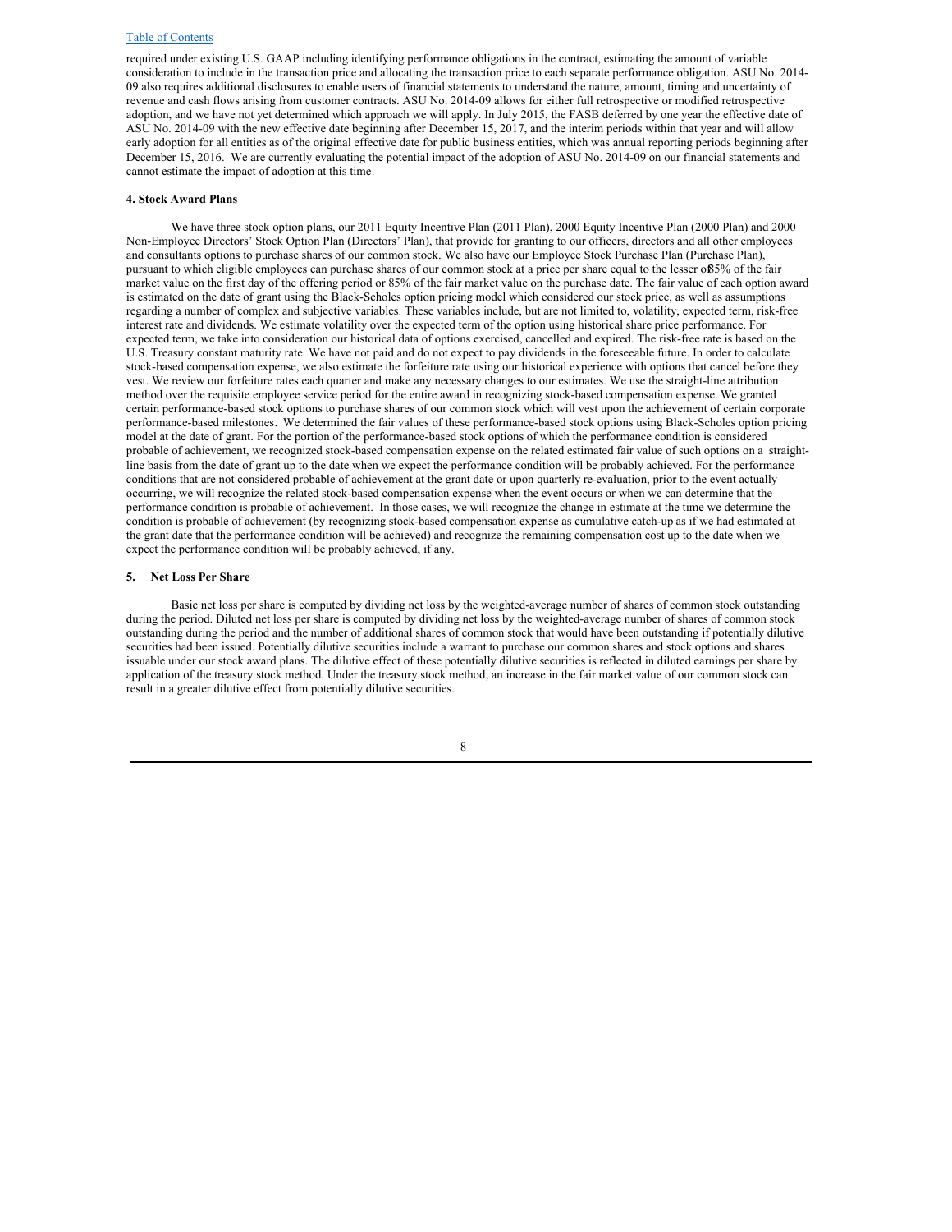required under existing U.S. GAAP including identifying performance obligations in the contract, estimating the amount of variable consideration to include in the transaction price and allocating the transaction price to each separate performance obligation. ASU No. 2014- 09 also requires additional disclosures to enable users of financial statements to understand the nature, amount, timing and uncertainty of revenue and cash flows arising from customer contracts. ASU No. 2014-09 allows for either full retrospective or modified retrospective adoption, and we have not yet determined which approach we will apply. In July 2015, the FASB deferred by one year the effective date of ASU No. 2014-09 with the new effective date beginning after December 15, 2017, and the interim periods within that year and will allow early adoption for all entities as of the original effective date for public business entities, which was annual reporting periods beginning after December 15, 2016. We are currently evaluating the potential impact of the adoption of ASU No. 2014-09 on our financial statements and cannot estimate the impact of adoption at this time.

## **4. Stock Award Plans**

We have three stock option plans, our 2011 Equity Incentive Plan (2011 Plan), 2000 Equity Incentive Plan (2000 Plan) and 2000 Non-Employee Directors' Stock Option Plan (Directors' Plan), that provide for granting to our officers, directors and all other employees and consultants options to purchase shares of our common stock. We also have our Employee Stock Purchase Plan (Purchase Plan), pursuant to which eligible employees can purchase shares of our common stock at a price per share equal to the lesser of85% of the fair market value on the first day of the offering period or 85% of the fair market value on the purchase date. The fair value of each option award is estimated on the date of grant using the Black-Scholes option pricing model which considered our stock price, as well as assumptions regarding a number of complex and subjective variables. These variables include, but are not limited to, volatility, expected term, risk-free interest rate and dividends. We estimate volatility over the expected term of the option using historical share price performance. For expected term, we take into consideration our historical data of options exercised, cancelled and expired. The risk-free rate is based on the U.S. Treasury constant maturity rate. We have not paid and do not expect to pay dividends in the foreseeable future. In order to calculate stock-based compensation expense, we also estimate the forfeiture rate using our historical experience with options that cancel before they vest. We review our forfeiture rates each quarter and make any necessary changes to our estimates. We use the straight-line attribution method over the requisite employee service period for the entire award in recognizing stock-based compensation expense. We granted certain performance-based stock options to purchase shares of our common stock which will vest upon the achievement of certain corporate performance-based milestones. We determined the fair values of these performance-based stock options using Black-Scholes option pricing model at the date of grant. For the portion of the performance-based stock options of which the performance condition is considered probable of achievement, we recognized stock-based compensation expense on the related estimated fair value of such options on a straightline basis from the date of grant up to the date when we expect the performance condition will be probably achieved. For the performance conditions that are not considered probable of achievement at the grant date or upon quarterly re-evaluation, prior to the event actually occurring, we will recognize the related stock-based compensation expense when the event occurs or when we can determine that the performance condition is probable of achievement. In those cases, we will recognize the change in estimate at the time we determine the condition is probable of achievement (by recognizing stock-based compensation expense as cumulative catch-up as if we had estimated at the grant date that the performance condition will be achieved) and recognize the remaining compensation cost up to the date when we expect the performance condition will be probably achieved, if any.

#### **5. Net Loss Per Share**

Basic net loss per share is computed by dividing net loss by the weighted-average number of shares of common stock outstanding during the period. Diluted net loss per share is computed by dividing net loss by the weighted-average number of shares of common stock outstanding during the period and the number of additional shares of common stock that would have been outstanding if potentially dilutive securities had been issued. Potentially dilutive securities include a warrant to purchase our common shares and stock options and shares issuable under our stock award plans. The dilutive effect of these potentially dilutive securities is reflected in diluted earnings per share by application of the treasury stock method. Under the treasury stock method, an increase in the fair market value of our common stock can result in a greater dilutive effect from potentially dilutive securities.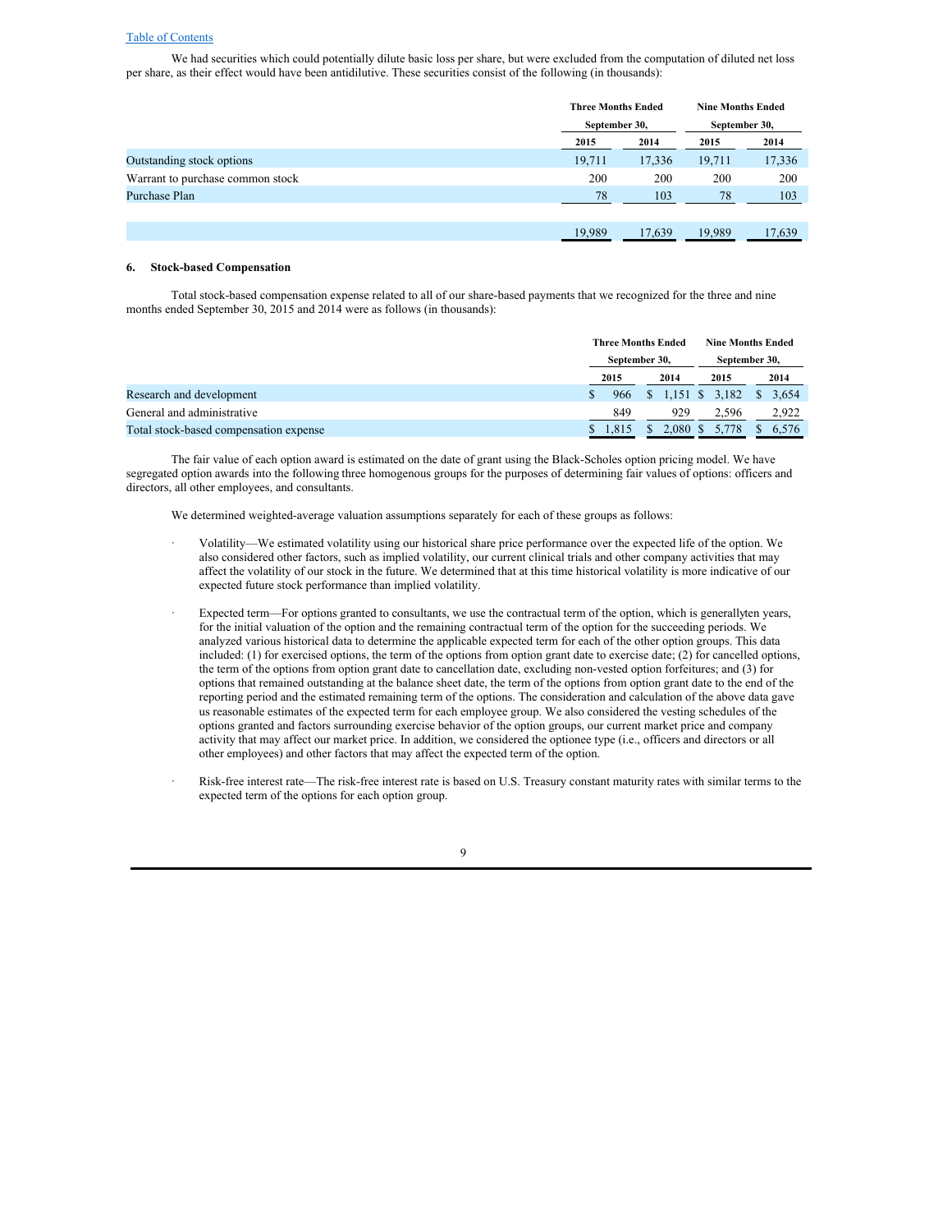We had securities which could potentially dilute basic loss per share, but were excluded from the computation of diluted net loss per share, as their effect would have been antidilutive. These securities consist of the following (in thousands):

|                                  | <b>Three Months Ended</b> |        | <b>Nine Months Ended</b> |        |  |
|----------------------------------|---------------------------|--------|--------------------------|--------|--|
|                                  | September 30,             |        | September 30,            |        |  |
|                                  | 2015                      | 2014   | 2015                     | 2014   |  |
| Outstanding stock options        | 19,711                    | 17,336 | 19,711                   | 17,336 |  |
| Warrant to purchase common stock | 200                       | 200    | 200                      | 200    |  |
| Purchase Plan                    | 78                        | 103    | 78                       | 103    |  |
|                                  |                           |        |                          |        |  |
|                                  | 19.989                    | 17.639 | 19.989                   | 17.639 |  |

## **6. Stock-based Compensation**

Total stock-based compensation expense related to all of our share-based payments that we recognized for the three and nine months ended September 30, 2015 and 2014 were as follows (in thousands):

|                                        |  | <b>Three Months Ended</b> |  |     |  | <b>Nine Months Ended</b> |  |                            |  |      |  |      |
|----------------------------------------|--|---------------------------|--|-----|--|--------------------------|--|----------------------------|--|------|--|------|
|                                        |  | September 30,             |  |     |  | September 30,            |  |                            |  |      |  |      |
|                                        |  | 2015                      |  |     |  | 2014                     |  |                            |  | 2015 |  | 2014 |
| Research and development               |  | 966                       |  |     |  |                          |  | \$ 1,151 \$ 3,182 \$ 3,654 |  |      |  |      |
| General and administrative             |  | 849                       |  | 929 |  | 2.596                    |  | 2.922                      |  |      |  |      |
| Total stock-based compensation expense |  | 1.815                     |  |     |  | 2,080 \$ 5,778           |  | 6,576                      |  |      |  |      |

The fair value of each option award is estimated on the date of grant using the Black-Scholes option pricing model. We have segregated option awards into the following three homogenous groups for the purposes of determining fair values of options: officers and directors, all other employees, and consultants.

We determined weighted-average valuation assumptions separately for each of these groups as follows:

- · Volatility—We estimated volatility using our historical share price performance over the expected life of the option. We also considered other factors, such as implied volatility, our current clinical trials and other company activities that may affect the volatility of our stock in the future. We determined that at this time historical volatility is more indicative of our expected future stock performance than implied volatility.
- Expected term—For options granted to consultants, we use the contractual term of the option, which is generallyten years, for the initial valuation of the option and the remaining contractual term of the option for the succeeding periods. We analyzed various historical data to determine the applicable expected term for each of the other option groups. This data included: (1) for exercised options, the term of the options from option grant date to exercise date; (2) for cancelled options, the term of the options from option grant date to cancellation date, excluding non-vested option forfeitures; and (3) for options that remained outstanding at the balance sheet date, the term of the options from option grant date to the end of the reporting period and the estimated remaining term of the options. The consideration and calculation of the above data gave us reasonable estimates of the expected term for each employee group. We also considered the vesting schedules of the options granted and factors surrounding exercise behavior of the option groups, our current market price and company activity that may affect our market price. In addition, we considered the optionee type (i.e., officers and directors or all other employees) and other factors that may affect the expected term of the option.
- Risk-free interest rate—The risk-free interest rate is based on U.S. Treasury constant maturity rates with similar terms to the expected term of the options for each option group.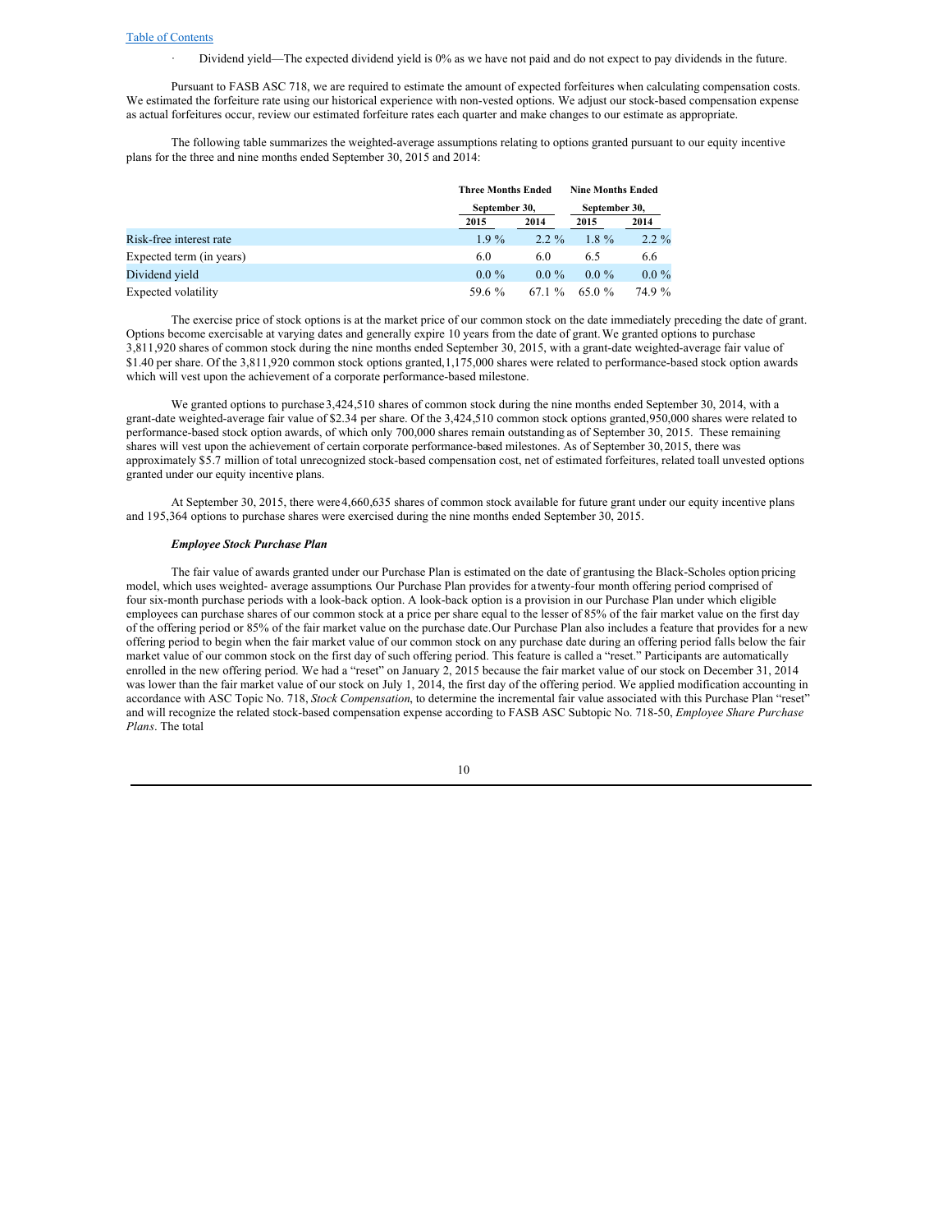Dividend yield—The expected dividend yield is 0% as we have not paid and do not expect to pay dividends in the future.

Pursuant to FASB ASC 718, we are required to estimate the amount of expected forfeitures when calculating compensation costs. We estimated the forfeiture rate using our historical experience with non-vested options. We adjust our stock-based compensation expense as actual forfeitures occur, review our estimated forfeiture rates each quarter and make changes to our estimate as appropriate.

The following table summarizes the weighted-average assumptions relating to options granted pursuant to our equity incentive plans for the three and nine months ended September 30, 2015 and 2014:

|                          | <b>Three Months Ended</b> |         | <b>Nine Months Ended</b> |         |  |  |
|--------------------------|---------------------------|---------|--------------------------|---------|--|--|
|                          | September 30,             |         | September 30,            |         |  |  |
|                          | 2015                      | 2014    | 2015                     | 2014    |  |  |
| Risk-free interest rate  | $1.9\%$                   | $2.2\%$ | $1.8\%$                  | $2.2\%$ |  |  |
| Expected term (in years) | 6.0                       | 6.0     | 6.5                      | 6.6     |  |  |
| Dividend yield           | $0.0\%$                   | $0.0\%$ | $0.0\%$                  | $0.0\%$ |  |  |
| Expected volatility      | 59.6 %                    | 67.1 %  | 65.0 %                   | 74.9 %  |  |  |

The exercise price of stock options is at the market price of our common stock on the date immediately preceding the date of grant. Options become exercisable at varying dates and generally expire 10 years from the date of grant.We granted options to purchase 3,811,920 shares of common stock during the nine months ended September 30, 2015, with a grant-date weighted-average fair value of \$1.40 per share. Of the 3,811,920 common stock options granted,1,175,000 shares were related to performance-based stock option awards which will vest upon the achievement of a corporate performance-based milestone.

We granted options to purchase 3,424,510 shares of common stock during the nine months ended September 30, 2014, with a grant-date weighted-average fair value of \$2.34 per share. Of the 3,424,510 common stock options granted,950,000 shares were related to performance-based stock option awards, of which only 700,000 shares remain outstanding as of September 30, 2015. These remaining shares will vest upon the achievement of certain corporate performance-based milestones. As of September 30,2015, there was approximately \$5.7 million of total unrecognized stock-based compensation cost, net of estimated forfeitures, related toall unvested options granted under our equity incentive plans.

At September 30, 2015, there were4,660,635 shares of common stock available for future grant under our equity incentive plans and 195,364 options to purchase shares were exercised during the nine months ended September 30, 2015.

### *Employee Stock Purchase Plan*

The fair value of awards granted under our Purchase Plan is estimated on the date of grantusing the Black-Scholes option pricing model, which uses weighted- average assumptions. Our Purchase Plan provides for a twenty-four month offering period comprised of four six-month purchase periods with a look-back option. A look-back option is a provision in our Purchase Plan under which eligible employees can purchase shares of our common stock at a price per share equal to the lesser of 85% of the fair market value on the first day of the offering period or 85% of the fair market value on the purchase date.Our Purchase Plan also includes a feature that provides for a new offering period to begin when the fair market value of our common stock on any purchase date during an offering period falls below the fair market value of our common stock on the first day of such offering period. This feature is called a "reset." Participants are automatically enrolled in the new offering period. We had a "reset" on January 2, 2015 because the fair market value of our stock on December 31, 2014 was lower than the fair market value of our stock on July 1, 2014, the first day of the offering period. We applied modification accounting in accordance with ASC Topic No. 718, *Stock Compensation*, to determine the incremental fair value associated with this Purchase Plan "reset" and will recognize the related stock-based compensation expense according to FASB ASC Subtopic No. 718-50, *Employee Share Purchase Plans*. The total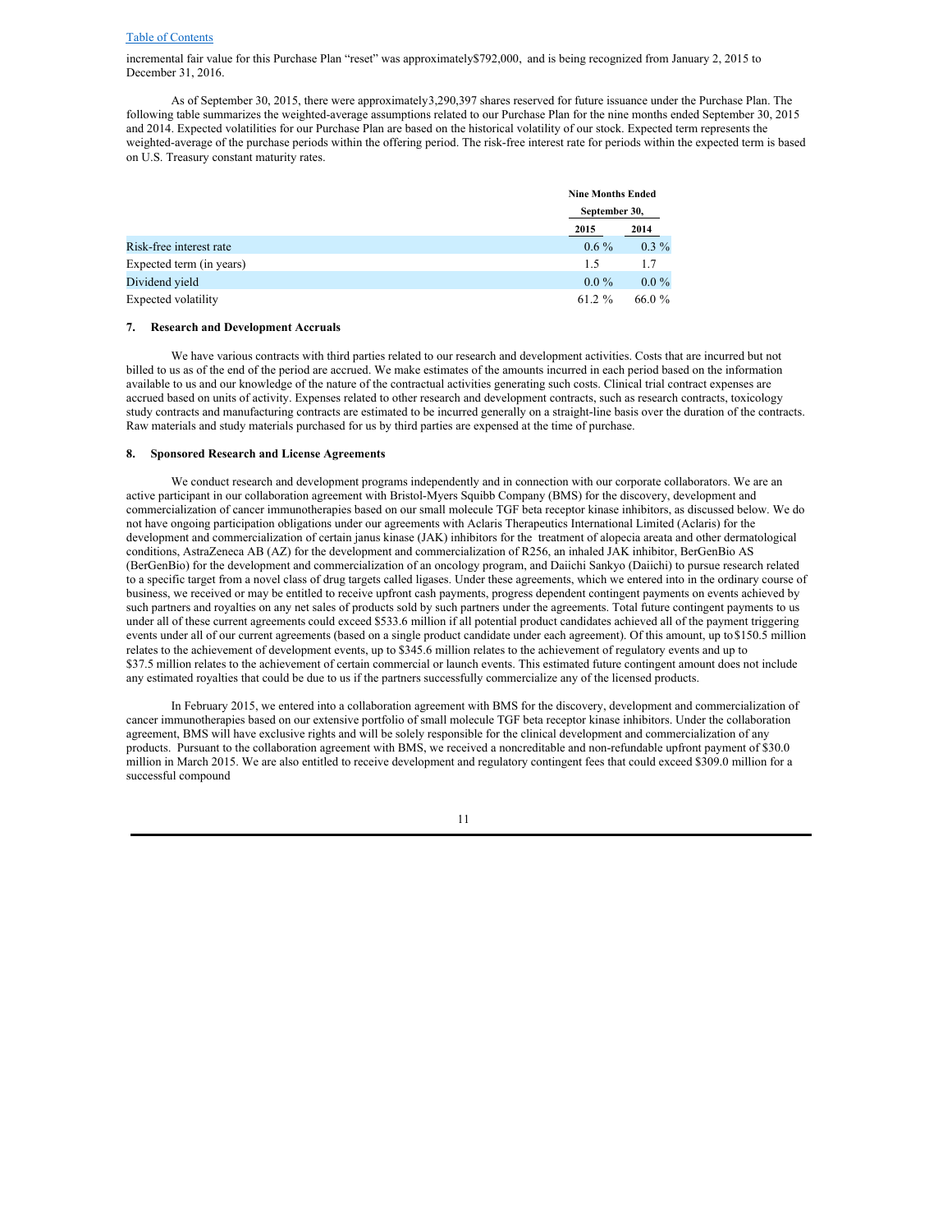incremental fair value for this Purchase Plan "reset" was approximately\$792,000, and is being recognized from January 2, 2015 to December 31, 2016.

As of September 30, 2015, there were approximately3,290,397 shares reserved for future issuance under the Purchase Plan. The following table summarizes the weighted-average assumptions related to our Purchase Plan for the nine months ended September 30, 2015 and 2014. Expected volatilities for our Purchase Plan are based on the historical volatility of our stock. Expected term represents the weighted-average of the purchase periods within the offering period. The risk-free interest rate for periods within the expected term is based on U.S. Treasury constant maturity rates.

|                          | <b>Nine Months Ended</b> |               |  |  |  |
|--------------------------|--------------------------|---------------|--|--|--|
|                          |                          | September 30, |  |  |  |
|                          | 2015                     | 2014          |  |  |  |
| Risk-free interest rate  | $0.6\%$                  | $0.3\%$       |  |  |  |
| Expected term (in years) | 1.5                      | 1.7           |  |  |  |
| Dividend yield           | $0.0\%$                  | $0.0\%$       |  |  |  |
| Expected volatility      | 61.2 %                   | 66.0 $%$      |  |  |  |

#### **7. Research and Development Accruals**

We have various contracts with third parties related to our research and development activities. Costs that are incurred but not billed to us as of the end of the period are accrued. We make estimates of the amounts incurred in each period based on the information available to us and our knowledge of the nature of the contractual activities generating such costs. Clinical trial contract expenses are accrued based on units of activity. Expenses related to other research and development contracts, such as research contracts, toxicology study contracts and manufacturing contracts are estimated to be incurred generally on a straight-line basis over the duration of the contracts. Raw materials and study materials purchased for us by third parties are expensed at the time of purchase.

#### **8. Sponsored Research and License Agreements**

We conduct research and development programs independently and in connection with our corporate collaborators. We are an active participant in our collaboration agreement with Bristol-Myers Squibb Company (BMS) for the discovery, development and commercialization of cancer immunotherapies based on our small molecule TGF beta receptor kinase inhibitors, as discussed below. We do not have ongoing participation obligations under our agreements with Aclaris Therapeutics International Limited (Aclaris) for the development and commercialization of certain janus kinase (JAK) inhibitors for the treatment of alopecia areata and other dermatological conditions, AstraZeneca AB (AZ) for the development and commercialization of R256, an inhaled JAK inhibitor, BerGenBio AS (BerGenBio) for the development and commercialization of an oncology program, and Daiichi Sankyo (Daiichi) to pursue research related to a specific target from a novel class of drug targets called ligases. Under these agreements, which we entered into in the ordinary course of business, we received or may be entitled to receive upfront cash payments, progress dependent contingent payments on events achieved by such partners and royalties on any net sales of products sold by such partners under the agreements. Total future contingent payments to us under all of these current agreements could exceed \$533.6 million if all potential product candidates achieved all of the payment triggering events under all of our current agreements (based on a single product candidate under each agreement). Of this amount, up to\$150.5 million relates to the achievement of development events, up to \$345.6 million relates to the achievement of regulatory events and up to \$37.5 million relates to the achievement of certain commercial or launch events. This estimated future contingent amount does not include any estimated royalties that could be due to us if the partners successfully commercialize any of the licensed products.

In February 2015, we entered into a collaboration agreement with BMS for the discovery, development and commercialization of cancer immunotherapies based on our extensive portfolio of small molecule TGF beta receptor kinase inhibitors. Under the collaboration agreement, BMS will have exclusive rights and will be solely responsible for the clinical development and commercialization of any products. Pursuant to the collaboration agreement with BMS, we received a noncreditable and non-refundable upfront payment of \$30.0 million in March 2015. We are also entitled to receive development and regulatory contingent fees that could exceed \$309.0 million for a successful compound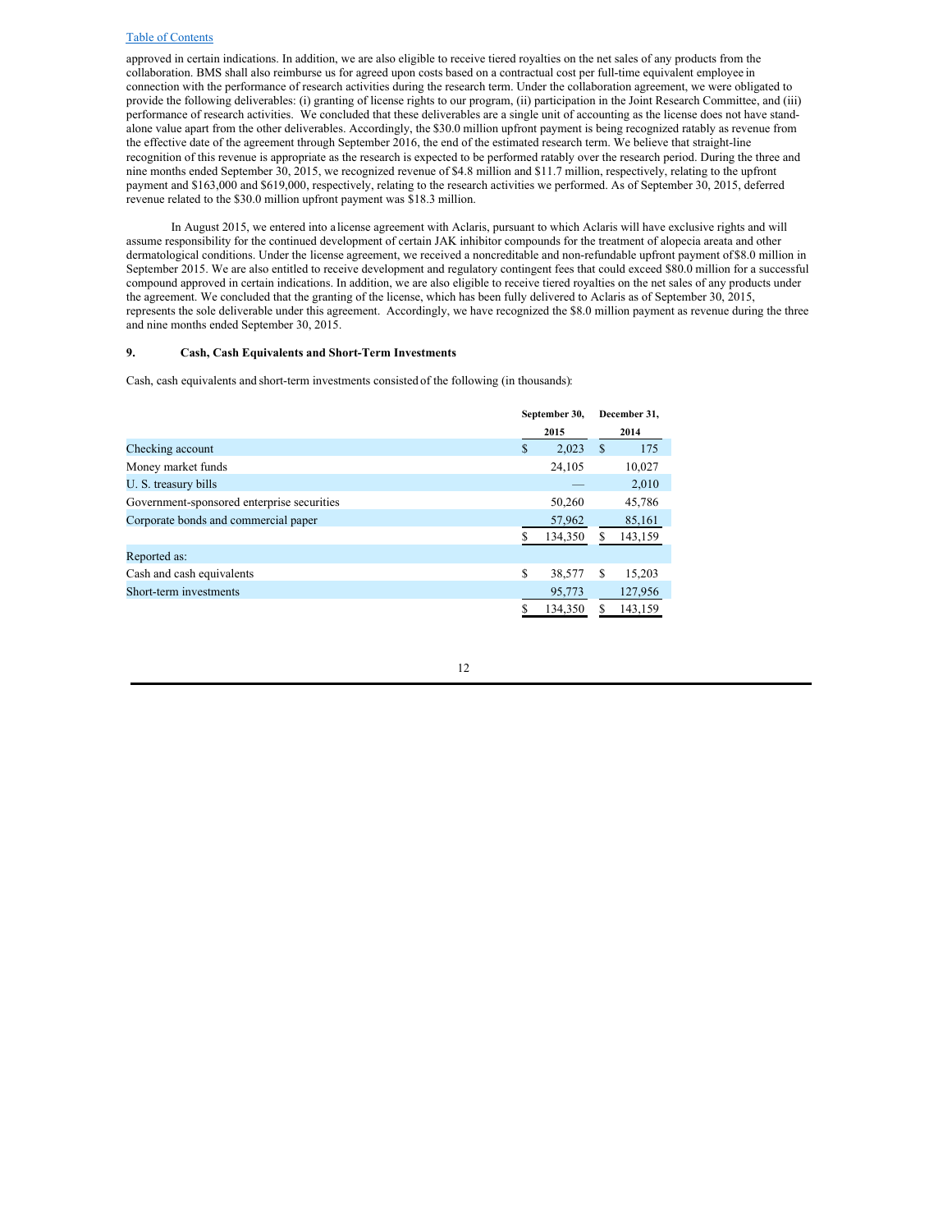approved in certain indications. In addition, we are also eligible to receive tiered royalties on the net sales of any products from the collaboration. BMS shall also reimburse us for agreed upon costs based on a contractual cost per full-time equivalent employee in connection with the performance of research activities during the research term. Under the collaboration agreement, we were obligated to provide the following deliverables: (i) granting of license rights to our program, (ii) participation in the Joint Research Committee, and (iii) performance of research activities. We concluded that these deliverables are a single unit of accounting as the license does not have standalone value apart from the other deliverables. Accordingly, the \$30.0 million upfront payment is being recognized ratably as revenue from the effective date of the agreement through September 2016, the end of the estimated research term. We believe that straight-line recognition of this revenue is appropriate as the research is expected to be performed ratably over the research period. During the three and nine months ended September 30, 2015, we recognized revenue of \$4.8 million and \$11.7 million, respectively, relating to the upfront payment and \$163,000 and \$619,000, respectively, relating to the research activities we performed. As of September 30, 2015, deferred revenue related to the \$30.0 million upfront payment was \$18.3 million.

In August 2015, we entered into a license agreement with Aclaris, pursuant to which Aclaris will have exclusive rights and will assume responsibility for the continued development of certain JAK inhibitor compounds for the treatment of alopecia areata and other dermatological conditions. Under the license agreement, we received a noncreditable and non-refundable upfront payment of\$8.0 million in September 2015. We are also entitled to receive development and regulatory contingent fees that could exceed \$80.0 million for a successful compound approved in certain indications. In addition, we are also eligible to receive tiered royalties on the net sales of any products under the agreement. We concluded that the granting of the license, which has been fully delivered to Aclaris as of September 30, 2015, represents the sole deliverable under this agreement. Accordingly, we have recognized the \$8.0 million payment as revenue during the three and nine months ended September 30, 2015.

## **9. Cash, Cash Equivalents and Short-Term Investments**

Cash, cash equivalents and short-term investments consisted of the following (in thousands):

|                                            |   | September 30, |     | December 31, |
|--------------------------------------------|---|---------------|-----|--------------|
|                                            |   | 2015          |     | 2014         |
| Checking account                           | S | 2.023         | S   | 175          |
| Money market funds                         |   | 24,105        |     | 10,027       |
| U. S. treasury bills                       |   |               |     | 2,010        |
| Government-sponsored enterprise securities |   | 50,260        |     | 45,786       |
| Corporate bonds and commercial paper       |   | 57,962        |     | 85,161       |
|                                            |   | 134,350       |     | 143,159      |
| Reported as:                               |   |               |     |              |
| Cash and cash equivalents                  | S | 38,577        | \$. | 15,203       |
| Short-term investments                     |   | 95,773        |     | 127,956      |
|                                            | S | 134,350       | S   | 143.159      |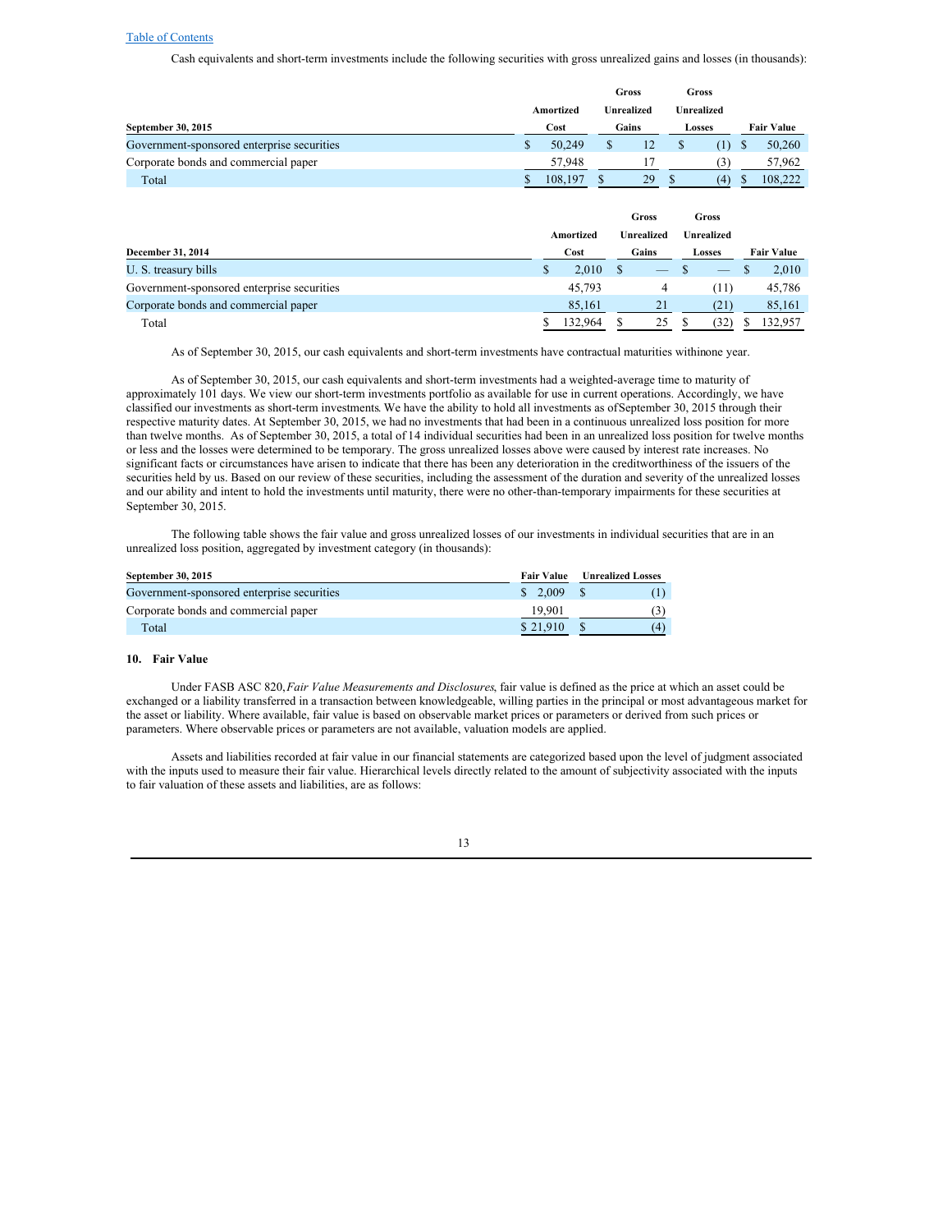Cash equivalents and short-term investments include the following securities with gross unrealized gains and losses (in thousands):

|                                            |    |           |           |              | <b>Gross</b> |    | <b>Gross</b>  |   |                   |  |                   |  |  |  |            |  |            |  |  |
|--------------------------------------------|----|-----------|-----------|--------------|--------------|----|---------------|---|-------------------|--|-------------------|--|--|--|------------|--|------------|--|--|
|                                            |    | Amortized |           |              |              |    |               |   |                   |  |                   |  |  |  | Unrealized |  | Unrealized |  |  |
| September 30, 2015                         |    |           | Cost      |              | Gains        |    |               |   | <b>Losses</b>     |  | <b>Fair Value</b> |  |  |  |            |  |            |  |  |
| Government-sponsored enterprise securities | \$ |           | 50.249    | <sup>S</sup> | 12           |    | S<br>(1)      | S | 50,260            |  |                   |  |  |  |            |  |            |  |  |
| Corporate bonds and commercial paper       |    |           | 57,948    |              | 17           |    | (3)           |   | 57,962            |  |                   |  |  |  |            |  |            |  |  |
| Total                                      |    |           | 108,197   | S            | 29           | \$ | (4)           |   | 108,222           |  |                   |  |  |  |            |  |            |  |  |
|                                            |    |           |           |              |              |    |               |   |                   |  |                   |  |  |  |            |  |            |  |  |
|                                            |    |           |           |              | Gross        |    | Gross         |   |                   |  |                   |  |  |  |            |  |            |  |  |
|                                            |    |           | Amortized |              | Unrealized   |    | Unrealized    |   |                   |  |                   |  |  |  |            |  |            |  |  |
| December 31, 2014                          |    |           | Cost      |              | Gains        |    | <b>Losses</b> |   | <b>Fair Value</b> |  |                   |  |  |  |            |  |            |  |  |
| U. S. treasury bills                       |    | \$        | 2,010     |              | \$           |    |               |   | 2,010<br>S        |  |                   |  |  |  |            |  |            |  |  |
| Government-sponsored enterprise securities |    |           | 45,793    |              |              | 4  | (11)          |   | 45,786            |  |                   |  |  |  |            |  |            |  |  |
| Corporate bonds and commercial paper       |    |           | 85,161    |              |              | 21 | (21)          |   | 85,161            |  |                   |  |  |  |            |  |            |  |  |
| Total                                      |    |           | 132,964   |              | \$           | 25 | (32)          |   | 132,957           |  |                   |  |  |  |            |  |            |  |  |

As of September 30, 2015, our cash equivalents and short-term investments have contractual maturities withinone year.

As of September 30, 2015, our cash equivalents and short-term investments had a weighted-average time to maturity of approximately 101 days. We view our short-term investments portfolio as available for use in current operations. Accordingly, we have classified our investments as short-term investments. We have the ability to hold all investments as ofSeptember 30, 2015 through their respective maturity dates. At September 30, 2015, we had no investments that had been in a continuous unrealized loss position for more than twelve months. As of September 30, 2015, a total of 14 individual securities had been in an unrealized loss position for twelve months or less and the losses were determined to be temporary. The gross unrealized losses above were caused by interest rate increases. No significant facts or circumstances have arisen to indicate that there has been any deterioration in the creditworthiness of the issuers of the securities held by us. Based on our review of these securities, including the assessment of the duration and severity of the unrealized losses and our ability and intent to hold the investments until maturity, there were no other-than-temporary impairments for these securities at September 30, 2015.

The following table shows the fair value and gross unrealized losses of our investments in individual securities that are in an unrealized loss position, aggregated by investment category (in thousands):

| September 30, 2015                         | <b>Fair Value</b> | <b>Unrealized Losses</b> |
|--------------------------------------------|-------------------|--------------------------|
| Government-sponsored enterprise securities | \$2.009           |                          |
| Corporate bonds and commercial paper       | 19.901            |                          |
| Total                                      | \$21.910          |                          |

# **10. Fair Value**

Under FASB ASC 820,*Fair Value Measurements and Disclosures*, fair value is defined as the price at which an asset could be exchanged or a liability transferred in a transaction between knowledgeable, willing parties in the principal or most advantageous market for the asset or liability. Where available, fair value is based on observable market prices or parameters or derived from such prices or parameters. Where observable prices or parameters are not available, valuation models are applied.

Assets and liabilities recorded at fair value in our financial statements are categorized based upon the level of judgment associated with the inputs used to measure their fair value. Hierarchical levels directly related to the amount of subjectivity associated with the inputs to fair valuation of these assets and liabilities, are as follows: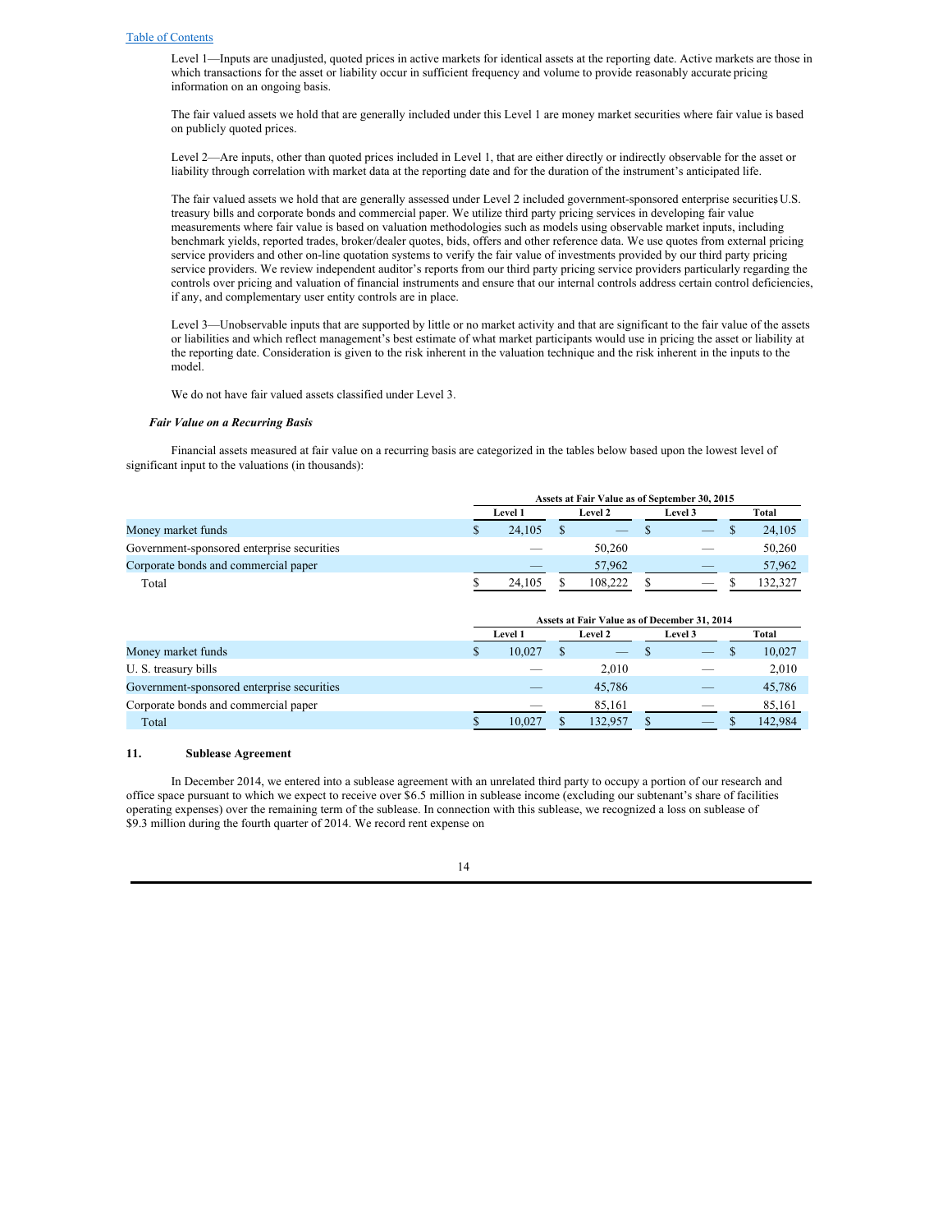Level 1—Inputs are unadjusted, quoted prices in active markets for identical assets at the reporting date. Active markets are those in which transactions for the asset or liability occur in sufficient frequency and volume to provide reasonably accurate pricing information on an ongoing basis.

The fair valued assets we hold that are generally included under this Level 1 are money market securities where fair value is based on publicly quoted prices.

Level 2—Are inputs, other than quoted prices included in Level 1, that are either directly or indirectly observable for the asset or liability through correlation with market data at the reporting date and for the duration of the instrument's anticipated life.

The fair valued assets we hold that are generally assessed under Level 2 included government-sponsored enterprise securities U.S. treasury bills and corporate bonds and commercial paper. We utilize third party pricing services in developing fair value measurements where fair value is based on valuation methodologies such as models using observable market inputs, including benchmark yields, reported trades, broker/dealer quotes, bids, offers and other reference data. We use quotes from external pricing service providers and other on-line quotation systems to verify the fair value of investments provided by our third party pricing service providers. We review independent auditor's reports from our third party pricing service providers particularly regarding the controls over pricing and valuation of financial instruments and ensure that our internal controls address certain control deficiencies, if any, and complementary user entity controls are in place.

Level 3—Unobservable inputs that are supported by little or no market activity and that are significant to the fair value of the assets or liabilities and which reflect management's best estimate of what market participants would use in pricing the asset or liability at the reporting date. Consideration is given to the risk inherent in the valuation technique and the risk inherent in the inputs to the model.

We do not have fair valued assets classified under Level 3.

#### *Fair Value on a Recurring Basis*

Financial assets measured at fair value on a recurring basis are categorized in the tables below based upon the lowest level of significant input to the valuations (in thousands):

|                                            |                |        |         | Assets at Fair Value as of September 30, 2015 |                |                          |        |
|--------------------------------------------|----------------|--------|---------|-----------------------------------------------|----------------|--------------------------|--------|
|                                            | <b>Level 1</b> |        | Level 2 |                                               | <b>Level 3</b> |                          | Total  |
| Money market funds                         |                | 24,105 |         | _                                             |                |                          | 24,105 |
| Government-sponsored enterprise securities |                |        |         | 50,260                                        |                | $\overline{\phantom{a}}$ | 50,260 |
| Corporate bonds and commercial paper       |                |        |         | 57,962                                        |                | $\overline{\phantom{a}}$ | 57,962 |
| Total                                      |                | 24.105 |         | 108.222                                       |                |                          |        |

|                                            | Assets at Fair Value as of December 31, 2014 |         |   |                |  |                          |  |         |  |  |  |  |
|--------------------------------------------|----------------------------------------------|---------|---|----------------|--|--------------------------|--|---------|--|--|--|--|
|                                            |                                              | Level 1 |   | <b>Level 2</b> |  | Level 3                  |  | Total   |  |  |  |  |
| Money market funds                         | S                                            | 10.027  | S |                |  |                          |  | 10.027  |  |  |  |  |
| U. S. treasury bills                       |                                              |         |   | 2.010          |  |                          |  | 2,010   |  |  |  |  |
| Government-sponsored enterprise securities |                                              |         |   | 45,786         |  | _                        |  | 45,786  |  |  |  |  |
| Corporate bonds and commercial paper       |                                              | ___     |   | 85.161         |  | $\overline{\phantom{a}}$ |  | 85.161  |  |  |  |  |
| Total                                      |                                              | 10.027  |   | 132,957        |  | $\overline{\phantom{a}}$ |  | 142,984 |  |  |  |  |

# **11. Sublease Agreement**

In December 2014, we entered into a sublease agreement with an unrelated third party to occupy a portion of our research and office space pursuant to which we expect to receive over \$6.5 million in sublease income (excluding our subtenant's share of facilities operating expenses) over the remaining term of the sublease. In connection with this sublease, we recognized a loss on sublease of \$9.3 million during the fourth quarter of 2014. We record rent expense on

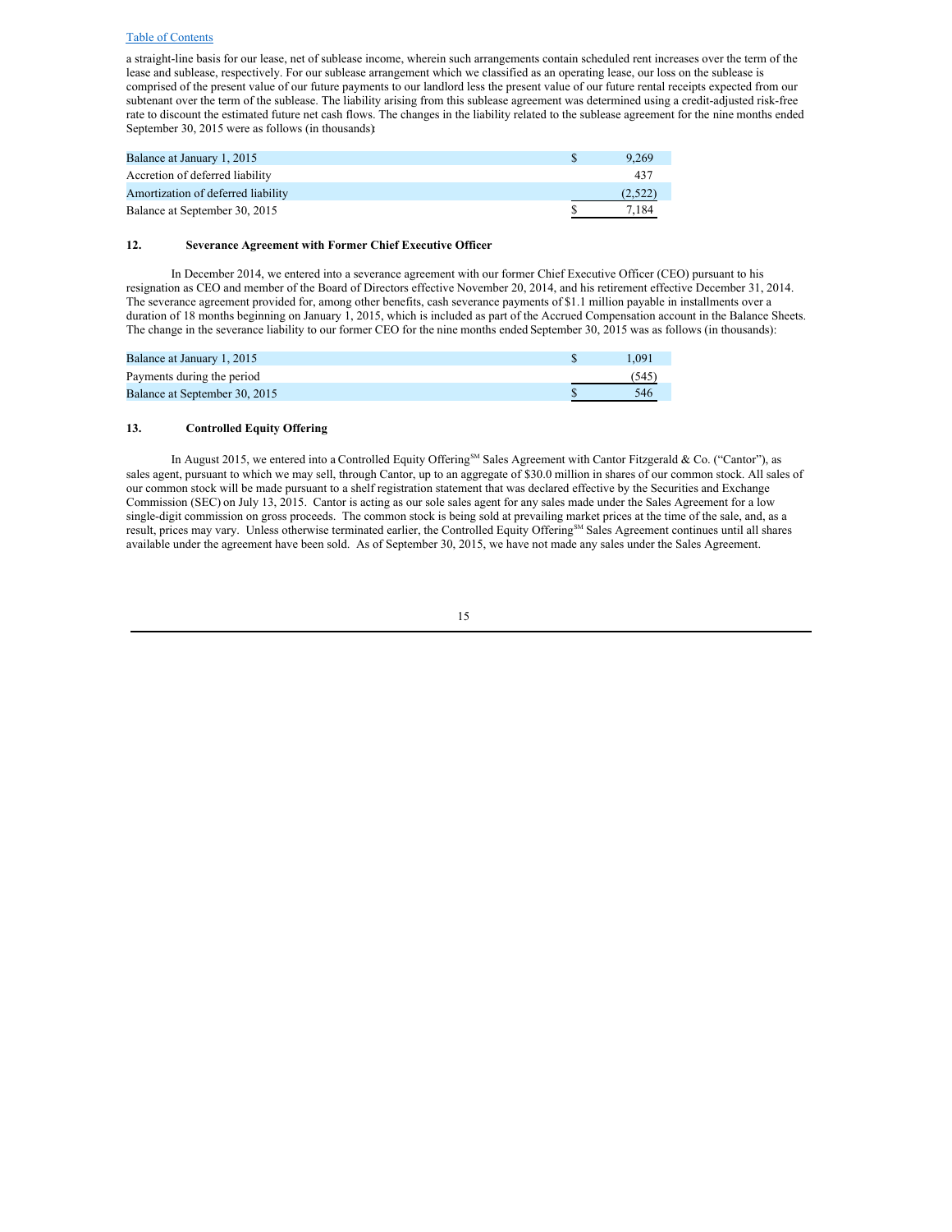a straight-line basis for our lease, net of sublease income, wherein such arrangements contain scheduled rent increases over the term of the lease and sublease, respectively. For our sublease arrangement which we classified as an operating lease, our loss on the sublease is comprised of the present value of our future payments to our landlord less the present value of our future rental receipts expected from our subtenant over the term of the sublease. The liability arising from this sublease agreement was determined using a credit-adjusted risk-free rate to discount the estimated future net cash flows. The changes in the liability related to the sublease agreement for the nine months ended September 30, 2015 were as follows (in thousands):

| Balance at January 1, 2015         | 9.269   |
|------------------------------------|---------|
| Accretion of deferred liability    | 437     |
| Amortization of deferred liability | (2,522) |
| Balance at September 30, 2015      | 7.184   |

## **12. Severance Agreement with Former Chief Executive Officer**

In December 2014, we entered into a severance agreement with our former Chief Executive Officer (CEO) pursuant to his resignation as CEO and member of the Board of Directors effective November 20, 2014, and his retirement effective December 31, 2014. The severance agreement provided for, among other benefits, cash severance payments of \$1.1 million payable in installments over a duration of 18 months beginning on January 1, 2015, which is included as part of the Accrued Compensation account in the Balance Sheets. The change in the severance liability to our former CEO for the nine months ended September 30, 2015 was as follows (in thousands):

| Balance at January 1, 2015    | 1.091 |
|-------------------------------|-------|
| Payments during the period    | (545) |
| Balance at September 30, 2015 | 546   |

## **13. Controlled Equity Offering**

In August 2015, we entered into a Controlled Equity Offering<sup>SM</sup> Sales Agreement with Cantor Fitzgerald & Co. ("Cantor"), as sales agent, pursuant to which we may sell, through Cantor, up to an aggregate of \$30.0 million in shares of our common stock. All sales of our common stock will be made pursuant to a shelf registration statement that was declared effective by the Securities and Exchange Commission (SEC) on July 13, 2015. Cantor is acting as our sole sales agent for any sales made under the Sales Agreement for a low single-digit commission on gross proceeds. The common stock is being sold at prevailing market prices at the time of the sale, and, as a result, prices may vary. Unless otherwise terminated earlier, the Controlled Equity Offering<sup>SM</sup> Sales Agreement continues until all shares available under the agreement have been sold. As of September 30, 2015, we have not made any sales under the Sales Agreement.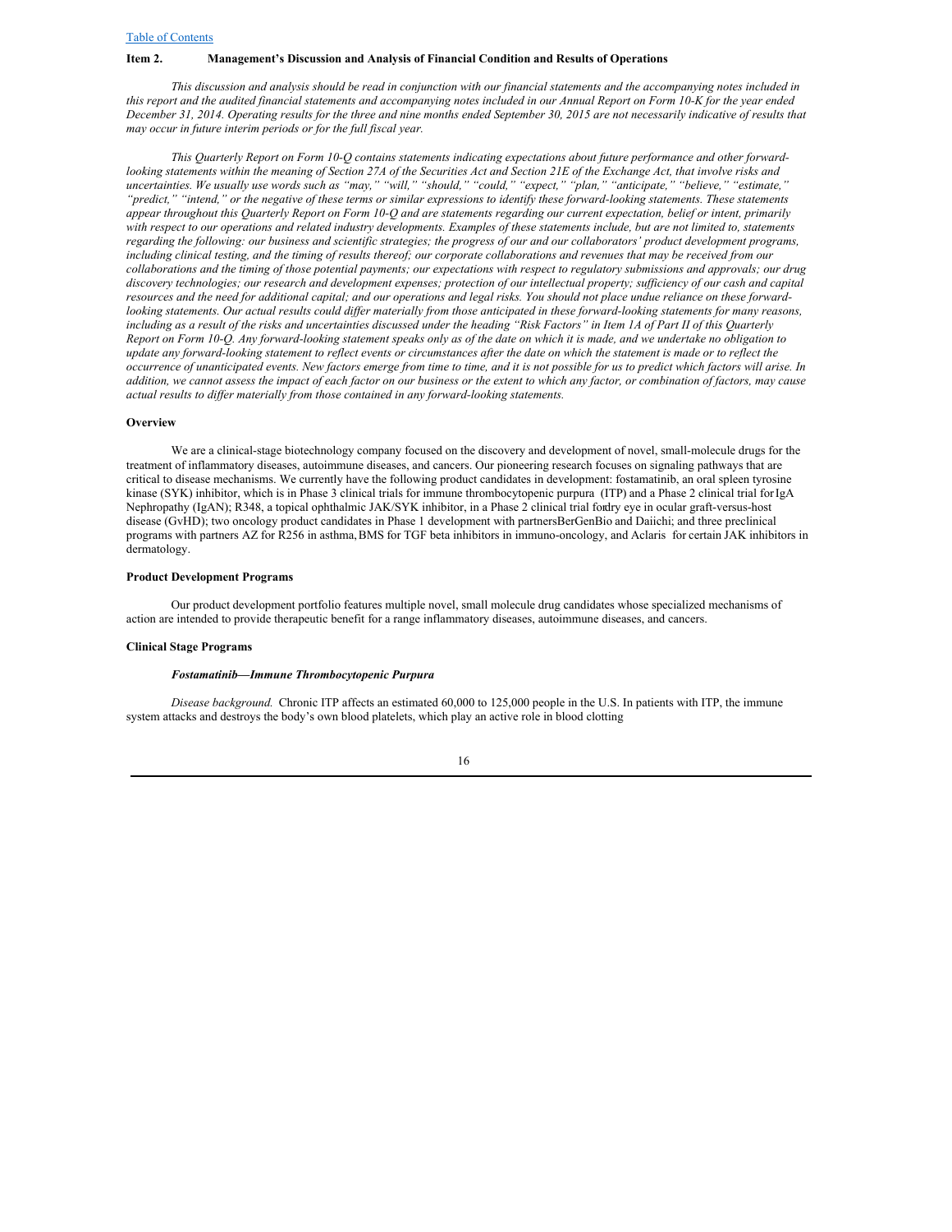## <span id="page-15-0"></span>**Item 2. Management's Discussion and Analysis of Financial Condition and Results of Operations**

This discussion and analysis should be read in conjunction with our financial statements and the accompanying notes included in this report and the audited financial statements and accompanying notes included in our Annual Report on Form 10-K for the year ended December 31, 2014. Operating results for the three and nine months ended September 30, 2015 are not necessarily indicative of results that *may occur in future interim periods or for the full fiscal year.*

This Quarterly Report on Form 10-Q contains statements indicating expectations about future performance and other forwardlooking statements within the meaning of Section 27A of the Securities Act and Section 21E of the Exchange Act, that involve risks and uncertainties. We usually use words such as "may," "will," "should," "could," "expect," "plan," "anticipate," "believe," "estimate," "predict," "intend," or the negative of these terms or similar expressions to identify these forward-looking statements. These statements appear throughout this Quarterly Report on Form 10-Q and are statements regarding our current expectation, belief or intent, primarily with respect to our operations and related industry developments. Examples of these statements include, but are not limited to, statements regarding the following: our business and scientific strategies; the progress of our and our collaborators' product development programs, including clinical testing, and the timing of results thereof; our corporate collaborations and revenues that may be received from our collaborations and the timing of those potential payments; our expectations with respect to regulatory submissions and approvals; our drug discovery technologies; our research and development expenses; protection of our intellectual property; sufficiency of our cash and capital resources and the need for additional capital; and our operations and legal risks. You should not place undue reliance on these forwardlooking statements. Our actual results could differ materially from those anticipated in these forward-looking statements for many reasons, including as a result of the risks and uncertainties discussed under the heading "Risk Factors" in Item 1A of Part II of this Quarterly Report on Form 10-Q. Any forward-looking statement speaks only as of the date on which it is made, and we undertake no obligation to update any forward-looking statement to reflect events or circumstances after the date on which the statement is made or to reflect the occurrence of unanticipated events. New factors emerge from time to time, and it is not possible for us to predict which factors will arise. In addition, we cannot assess the impact of each factor on our business or the extent to which any factor, or combination of factors, may cause *actual results to dif er materially from those contained in any forward-looking statements.*

#### **Overview**

We are a clinical-stage biotechnology company focused on the discovery and development of novel, small-molecule drugs for the treatment of inflammatory diseases, autoimmune diseases, and cancers. Our pioneering research focuses on signaling pathways that are critical to disease mechanisms. We currently have the following product candidates in development: fostamatinib, an oral spleen tyrosine kinase (SYK) inhibitor, which is in Phase 3 clinical trials for immune thrombocytopenic purpura (ITP) and a Phase 2 clinical trial forIgA Nephropathy (IgAN); R348, a topical ophthalmic JAK/SYK inhibitor, in a Phase 2 clinical trial fordry eye in ocular graft-versus-host disease (GvHD); two oncology product candidates in Phase 1 development with partnersBerGenBio and Daiichi; and three preclinical programs with partners AZ for R256 in asthma,BMS for TGF beta inhibitors in immuno-oncology, and Aclaris for certain JAK inhibitors in dermatology.

#### **Product Development Programs**

Our product development portfolio features multiple novel, small molecule drug candidates whose specialized mechanisms of action are intended to provide therapeutic benefit for a range inflammatory diseases, autoimmune diseases, and cancers.

### **Clinical Stage Programs**

## *Fostamatinib—Immune Thrombocytopenic Purpura*

*Disease background.* Chronic ITP affects an estimated 60,000 to 125,000 people in the U.S. In patients with ITP, the immune system attacks and destroys the body's own blood platelets, which play an active role in blood clotting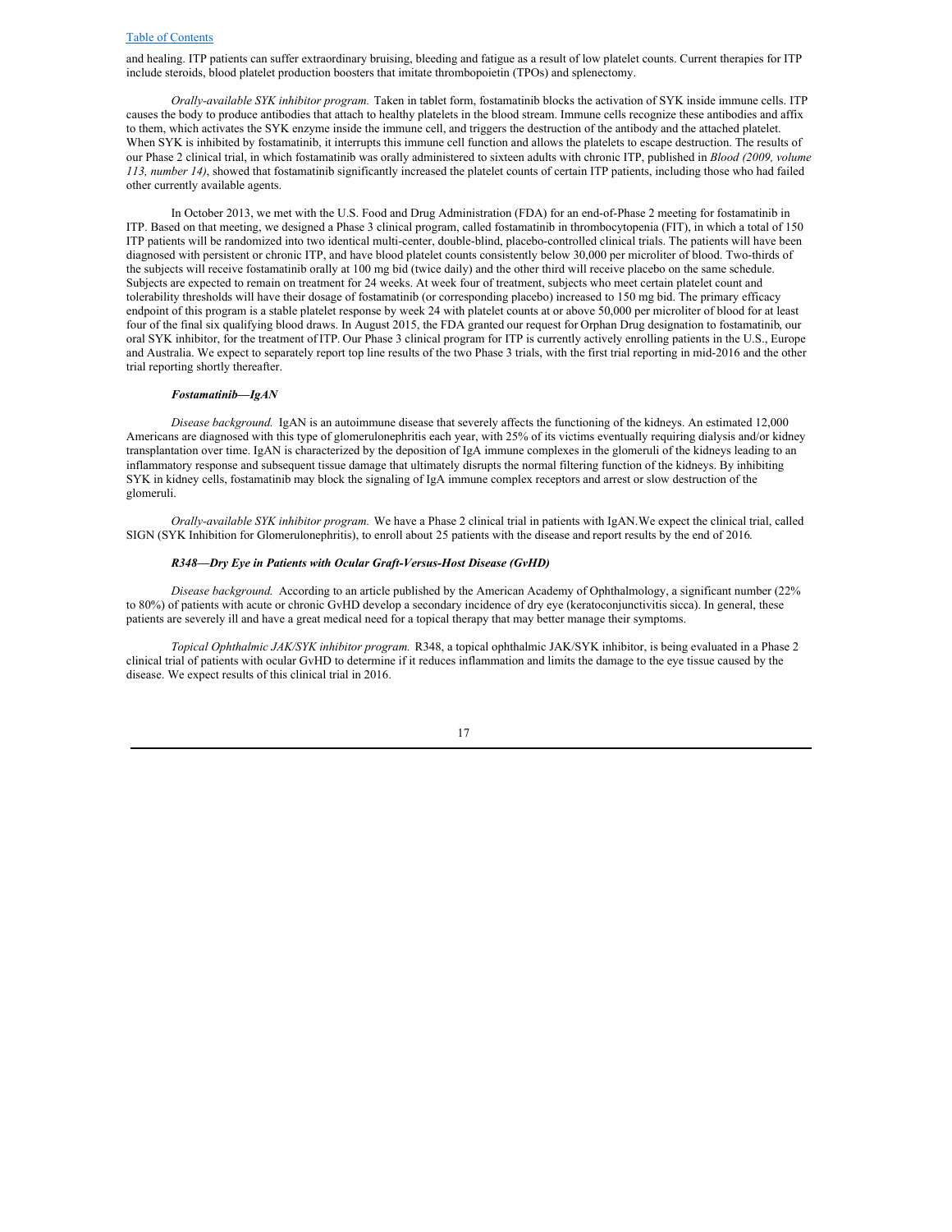and healing. ITP patients can suffer extraordinary bruising, bleeding and fatigue as a result of low platelet counts. Current therapies for ITP include steroids, blood platelet production boosters that imitate thrombopoietin (TPOs) and splenectomy.

*Orally-available SYK inhibitor program.* Taken in tablet form, fostamatinib blocks the activation of SYK inside immune cells. ITP causes the body to produce antibodies that attach to healthy platelets in the blood stream. Immune cells recognize these antibodies and affix to them, which activates the SYK enzyme inside the immune cell, and triggers the destruction of the antibody and the attached platelet. When SYK is inhibited by fostamatinib, it interrupts this immune cell function and allows the platelets to escape destruction. The results of our Phase 2 clinical trial, in which fostamatinib was orally administered to sixteen adults with chronic ITP, published in *Blood (2009, volume 113, number 14)*, showed that fostamatinib significantly increased the platelet counts of certain ITP patients, including those who had failed other currently available agents.

In October 2013, we met with the U.S. Food and Drug Administration (FDA) for an end-of-Phase 2 meeting for fostamatinib in ITP. Based on that meeting, we designed a Phase 3 clinical program, called fostamatinib in thrombocytopenia (FIT), in which a total of 150 ITP patients will be randomized into two identical multi-center, double-blind, placebo-controlled clinical trials. The patients will have been diagnosed with persistent or chronic ITP, and have blood platelet counts consistently below 30,000 per microliter of blood. Two-thirds of the subjects will receive fostamatinib orally at 100 mg bid (twice daily) and the other third will receive placebo on the same schedule. Subjects are expected to remain on treatment for 24 weeks. At week four of treatment, subjects who meet certain platelet count and tolerability thresholds will have their dosage of fostamatinib (or corresponding placebo) increased to 150 mg bid. The primary efficacy endpoint of this program is a stable platelet response by week 24 with platelet counts at or above 50,000 per microliter of blood for at least four of the final six qualifying blood draws. In August 2015, the FDA granted our request for Orphan Drug designation to fostamatinib, our oral SYK inhibitor, for the treatment of ITP. Our Phase 3 clinical program for ITP is currently actively enrolling patients in the U.S., Europe and Australia. We expect to separately report top line results of the two Phase 3 trials, with the first trial reporting in mid-2016 and the other trial reporting shortly thereafter.

## *Fostamatinib—IgAN*

*Disease background.* IgAN is an autoimmune disease that severely affects the functioning of the kidneys. An estimated 12,000 Americans are diagnosed with this type of glomerulonephritis each year, with 25% of its victims eventually requiring dialysis and/or kidney transplantation over time. IgAN is characterized by the deposition of IgA immune complexes in the glomeruli of the kidneys leading to an inflammatory response and subsequent tissue damage that ultimately disrupts the normal filtering function of the kidneys. By inhibiting SYK in kidney cells, fostamatinib may block the signaling of IgA immune complex receptors and arrest or slow destruction of the glomeruli.

*Orally-available SYK inhibitor program.* We have a Phase 2 clinical trial in patients with IgAN.We expect the clinical trial, called SIGN (SYK Inhibition for Glomerulonephritis), to enroll about 25 patients with the disease and report results by the end of 2016.

## *R348—Dry Eye in Patients with Ocular Graft-Versus-Host Disease (GvHD)*

*Disease background.* According to an article published by the American Academy of Ophthalmology, a significant number (22% to 80%) of patients with acute or chronic GvHD develop a secondary incidence of dry eye (keratoconjunctivitis sicca). In general, these patients are severely ill and have a great medical need for a topical therapy that may better manage their symptoms.

*Topical Ophthalmic JAK/SYK inhibitor program.* R348, a topical ophthalmic JAK/SYK inhibitor, is being evaluated in a Phase 2 clinical trial of patients with ocular GvHD to determine if it reduces inflammation and limits the damage to the eye tissue caused by the disease. We expect results of this clinical trial in 2016.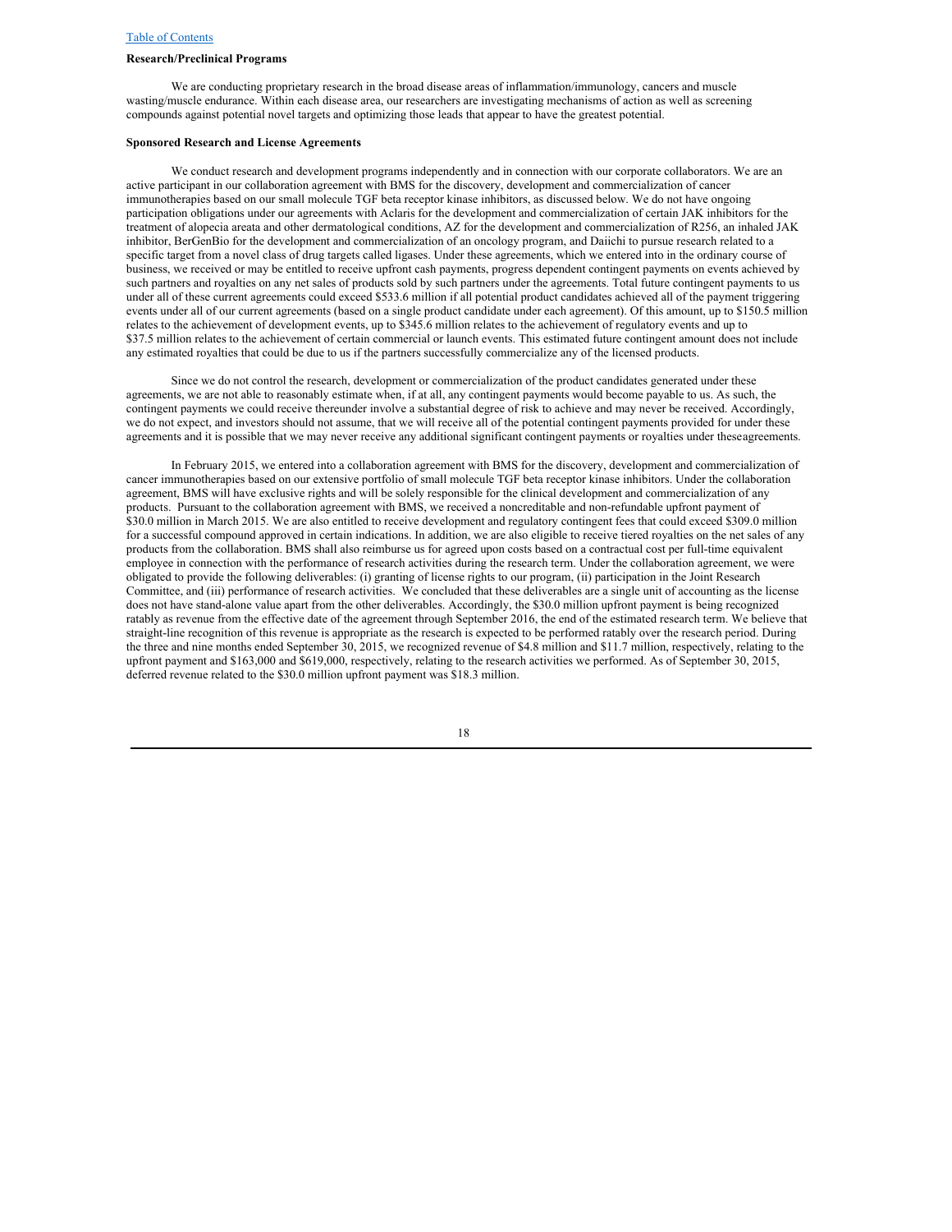# **Research/Preclinical Programs**

We are conducting proprietary research in the broad disease areas of inflammation/immunology, cancers and muscle wasting/muscle endurance. Within each disease area, our researchers are investigating mechanisms of action as well as screening compounds against potential novel targets and optimizing those leads that appear to have the greatest potential.

## **Sponsored Research and License Agreements**

We conduct research and development programs independently and in connection with our corporate collaborators. We are an active participant in our collaboration agreement with BMS for the discovery, development and commercialization of cancer immunotherapies based on our small molecule TGF beta receptor kinase inhibitors, as discussed below. We do not have ongoing participation obligations under our agreements with Aclaris for the development and commercialization of certain JAK inhibitors for the treatment of alopecia areata and other dermatological conditions, AZ for the development and commercialization of R256, an inhaled JAK inhibitor, BerGenBio for the development and commercialization of an oncology program, and Daiichi to pursue research related to a specific target from a novel class of drug targets called ligases. Under these agreements, which we entered into in the ordinary course of business, we received or may be entitled to receive upfront cash payments, progress dependent contingent payments on events achieved by such partners and royalties on any net sales of products sold by such partners under the agreements. Total future contingent payments to us under all of these current agreements could exceed \$533.6 million if all potential product candidates achieved all of the payment triggering events under all of our current agreements (based on a single product candidate under each agreement). Of this amount, up to \$150.5 million relates to the achievement of development events, up to \$345.6 million relates to the achievement of regulatory events and up to \$37.5 million relates to the achievement of certain commercial or launch events. This estimated future contingent amount does not include any estimated royalties that could be due to us if the partners successfully commercialize any of the licensed products.

Since we do not control the research, development or commercialization of the product candidates generated under these agreements, we are not able to reasonably estimate when, if at all, any contingent payments would become payable to us. As such, the contingent payments we could receive thereunder involve a substantial degree of risk to achieve and may never be received. Accordingly, we do not expect, and investors should not assume, that we will receive all of the potential contingent payments provided for under these agreements and it is possible that we may never receive any additional significant contingent payments or royalties under theseagreements.

In February 2015, we entered into a collaboration agreement with BMS for the discovery, development and commercialization of cancer immunotherapies based on our extensive portfolio of small molecule TGF beta receptor kinase inhibitors. Under the collaboration agreement, BMS will have exclusive rights and will be solely responsible for the clinical development and commercialization of any products. Pursuant to the collaboration agreement with BMS, we received a noncreditable and non-refundable upfront payment of \$30.0 million in March 2015. We are also entitled to receive development and regulatory contingent fees that could exceed \$309.0 million for a successful compound approved in certain indications. In addition, we are also eligible to receive tiered royalties on the net sales of any products from the collaboration. BMS shall also reimburse us for agreed upon costs based on a contractual cost per full-time equivalent employee in connection with the performance of research activities during the research term. Under the collaboration agreement, we were obligated to provide the following deliverables: (i) granting of license rights to our program, (ii) participation in the Joint Research Committee, and (iii) performance of research activities. We concluded that these deliverables are a single unit of accounting as the license does not have stand-alone value apart from the other deliverables. Accordingly, the \$30.0 million upfront payment is being recognized ratably as revenue from the effective date of the agreement through September 2016, the end of the estimated research term. We believe that straight-line recognition of this revenue is appropriate as the research is expected to be performed ratably over the research period. During the three and nine months ended September 30, 2015, we recognized revenue of \$4.8 million and \$11.7 million, respectively, relating to the upfront payment and \$163,000 and \$619,000, respectively, relating to the research activities we performed. As of September 30, 2015, deferred revenue related to the \$30.0 million upfront payment was \$18.3 million.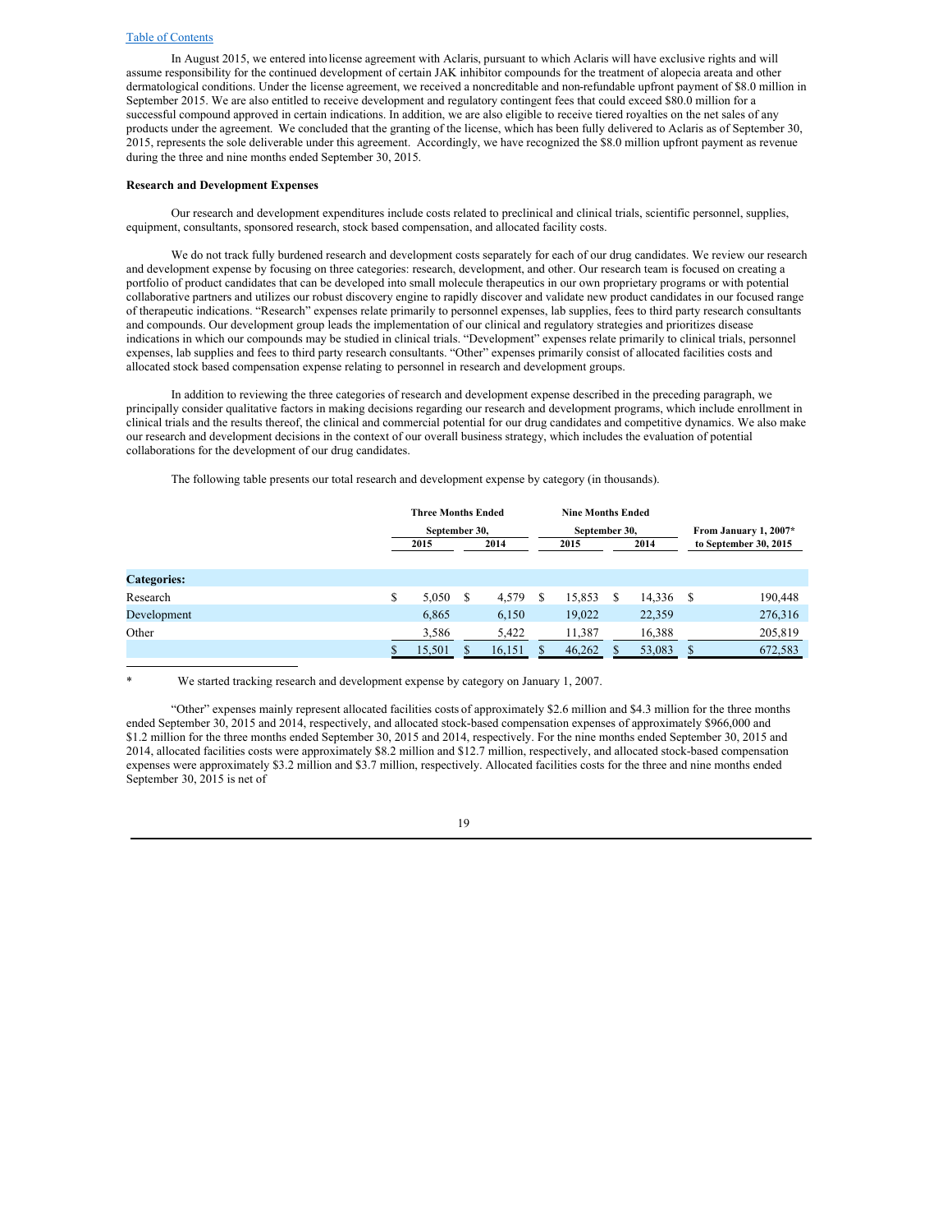In August 2015, we entered intolicense agreement with Aclaris, pursuant to which Aclaris will have exclusive rights and will assume responsibility for the continued development of certain JAK inhibitor compounds for the treatment of alopecia areata and other dermatological conditions. Under the license agreement, we received a noncreditable and non-refundable upfront payment of \$8.0 million in September 2015. We are also entitled to receive development and regulatory contingent fees that could exceed \$80.0 million for a successful compound approved in certain indications. In addition, we are also eligible to receive tiered royalties on the net sales of any products under the agreement. We concluded that the granting of the license, which has been fully delivered to Aclaris as of September 30, 2015, represents the sole deliverable under this agreement. Accordingly, we have recognized the \$8.0 million upfront payment as revenue during the three and nine months ended September 30, 2015.

## **Research and Development Expenses**

Our research and development expenditures include costs related to preclinical and clinical trials, scientific personnel, supplies, equipment, consultants, sponsored research, stock based compensation, and allocated facility costs.

We do not track fully burdened research and development costs separately for each of our drug candidates. We review our research and development expense by focusing on three categories: research, development, and other. Our research team is focused on creating a portfolio of product candidates that can be developed into small molecule therapeutics in our own proprietary programs or with potential collaborative partners and utilizes our robust discovery engine to rapidly discover and validate new product candidates in our focused range of therapeutic indications. "Research" expenses relate primarily to personnel expenses, lab supplies, fees to third party research consultants and compounds. Our development group leads the implementation of our clinical and regulatory strategies and prioritizes disease indications in which our compounds may be studied in clinical trials. "Development" expenses relate primarily to clinical trials, personnel expenses, lab supplies and fees to third party research consultants. "Other" expenses primarily consist of allocated facilities costs and allocated stock based compensation expense relating to personnel in research and development groups.

In addition to reviewing the three categories of research and development expense described in the preceding paragraph, we principally consider qualitative factors in making decisions regarding our research and development programs, which include enrollment in clinical trials and the results thereof, the clinical and commercial potential for our drug candidates and competitive dynamics. We also make our research and development decisions in the context of our overall business strategy, which includes the evaluation of potential collaborations for the development of our drug candidates.

The following table presents our total research and development expense by category (in thousands).

|                    | <b>Three Months Ended</b> |      |        |      | <b>Nine Months Ended</b> |      |        |                       |                       |  |
|--------------------|---------------------------|------|--------|------|--------------------------|------|--------|-----------------------|-----------------------|--|
|                    | September 30,             |      |        |      | September 30,            |      |        | From January 1, 2007* |                       |  |
|                    | 2015                      | 2014 |        | 2015 |                          | 2014 |        |                       | to September 30, 2015 |  |
|                    |                           |      |        |      |                          |      |        |                       |                       |  |
| <b>Categories:</b> |                           |      |        |      |                          |      |        |                       |                       |  |
| Research           | \$<br>5,050               | S    | 4,579  | S    | 15,853                   | S    | 14,336 | - \$                  | 190,448               |  |
| Development        | 6,865                     |      | 6,150  |      | 19,022                   |      | 22,359 |                       | 276,316               |  |
| Other              | 3,586                     |      | 5,422  |      | 11,387                   |      | 16,388 |                       | 205,819               |  |
|                    | 15,501                    |      | 16,151 |      | 46,262                   |      | 53,083 |                       | 672,583               |  |

We started tracking research and development expense by category on January 1, 2007.

"Other" expenses mainly represent allocated facilities costs of approximately \$2.6 million and \$4.3 million for the three months ended September 30, 2015 and 2014, respectively, and allocated stock-based compensation expenses of approximately \$966,000 and \$1.2 million for the three months ended September 30, 2015 and 2014, respectively. For the nine months ended September 30, 2015 and 2014, allocated facilities costs were approximately \$8.2 million and \$12.7 million, respectively, and allocated stock-based compensation expenses were approximately \$3.2 million and \$3.7 million, respectively. Allocated facilities costs for the three and nine months ended September 30, 2015 is net of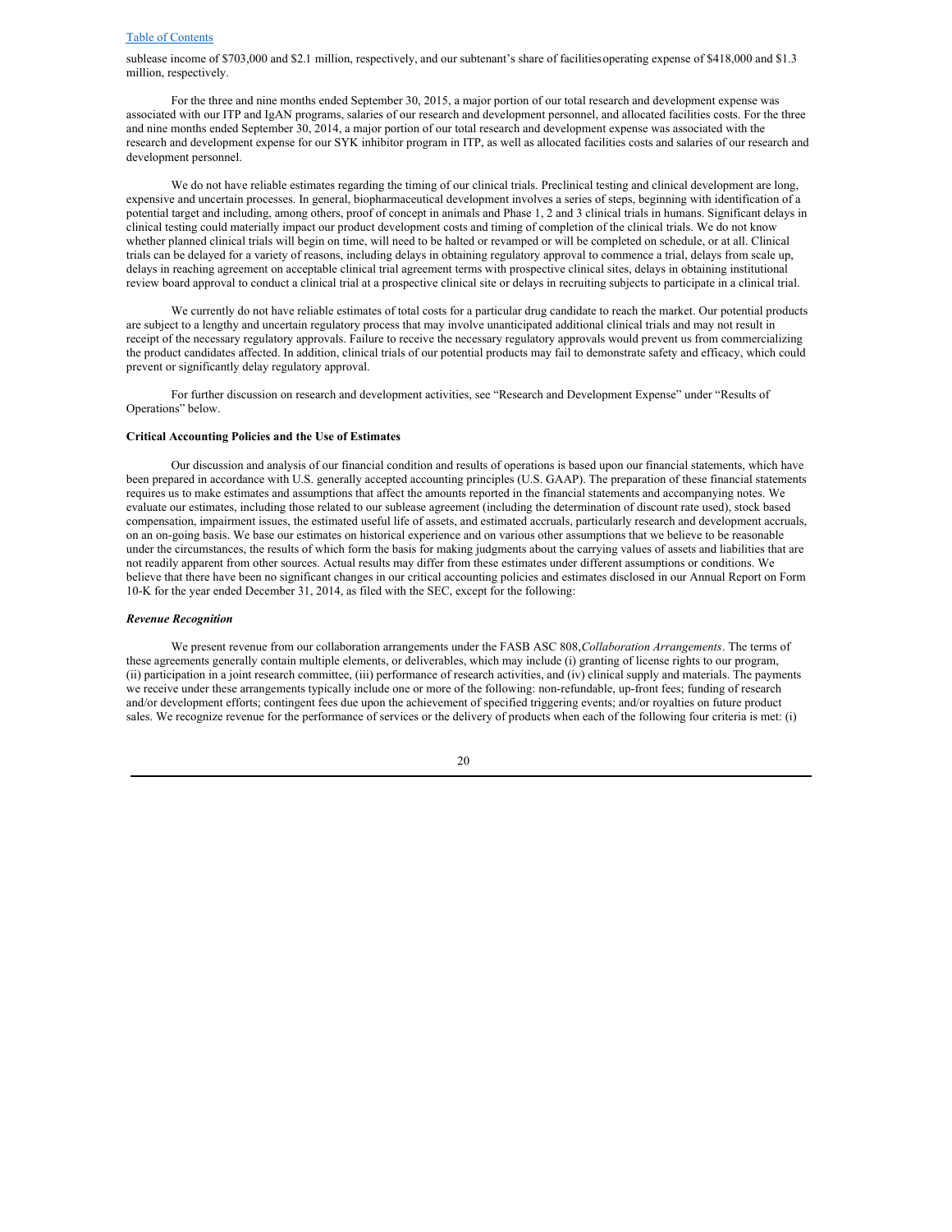sublease income of \$703,000 and \$2.1 million, respectively, and our subtenant's share of facilitiesoperating expense of \$418,000 and \$1.3 million, respectively.

For the three and nine months ended September 30, 2015, a major portion of our total research and development expense was associated with our ITP and IgAN programs, salaries of our research and development personnel, and allocated facilities costs. For the three and nine months ended September 30, 2014, a major portion of our total research and development expense was associated with the research and development expense for our SYK inhibitor program in ITP, as well as allocated facilities costs and salaries of our research and development personnel.

We do not have reliable estimates regarding the timing of our clinical trials. Preclinical testing and clinical development are long, expensive and uncertain processes. In general, biopharmaceutical development involves a series of steps, beginning with identification of a potential target and including, among others, proof of concept in animals and Phase 1, 2 and 3 clinical trials in humans. Significant delays in clinical testing could materially impact our product development costs and timing of completion of the clinical trials. We do not know whether planned clinical trials will begin on time, will need to be halted or revamped or will be completed on schedule, or at all. Clinical trials can be delayed for a variety of reasons, including delays in obtaining regulatory approval to commence a trial, delays from scale up, delays in reaching agreement on acceptable clinical trial agreement terms with prospective clinical sites, delays in obtaining institutional review board approval to conduct a clinical trial at a prospective clinical site or delays in recruiting subjects to participate in a clinical trial.

We currently do not have reliable estimates of total costs for a particular drug candidate to reach the market. Our potential products are subject to a lengthy and uncertain regulatory process that may involve unanticipated additional clinical trials and may not result in receipt of the necessary regulatory approvals. Failure to receive the necessary regulatory approvals would prevent us from commercializing the product candidates affected. In addition, clinical trials of our potential products may fail to demonstrate safety and efficacy, which could prevent or significantly delay regulatory approval.

For further discussion on research and development activities, see "Research and Development Expense" under "Results of Operations" below.

## **Critical Accounting Policies and the Use of Estimates**

Our discussion and analysis of our financial condition and results of operations is based upon our financial statements, which have been prepared in accordance with U.S. generally accepted accounting principles (U.S. GAAP). The preparation of these financial statements requires us to make estimates and assumptions that affect the amounts reported in the financial statements and accompanying notes. We evaluate our estimates, including those related to our sublease agreement (including the determination of discount rate used), stock based compensation, impairment issues, the estimated useful life of assets, and estimated accruals, particularly research and development accruals, on an on-going basis. We base our estimates on historical experience and on various other assumptions that we believe to be reasonable under the circumstances, the results of which form the basis for making judgments about the carrying values of assets and liabilities that are not readily apparent from other sources. Actual results may differ from these estimates under different assumptions or conditions. We believe that there have been no significant changes in our critical accounting policies and estimates disclosed in our Annual Report on Form 10-K for the year ended December 31, 2014, as filed with the SEC, except for the following:

#### *Revenue Recognition*

We present revenue from our collaboration arrangements under the FASB ASC 808,*Collaboration Arrangements*. The terms of these agreements generally contain multiple elements, or deliverables, which may include (i) granting of license rights to our program, (ii) participation in a joint research committee, (iii) performance of research activities, and (iv) clinical supply and materials. The payments we receive under these arrangements typically include one or more of the following: non-refundable, up-front fees; funding of research and/or development efforts; contingent fees due upon the achievement of specified triggering events; and/or royalties on future product sales. We recognize revenue for the performance of services or the delivery of products when each of the following four criteria is met: (i)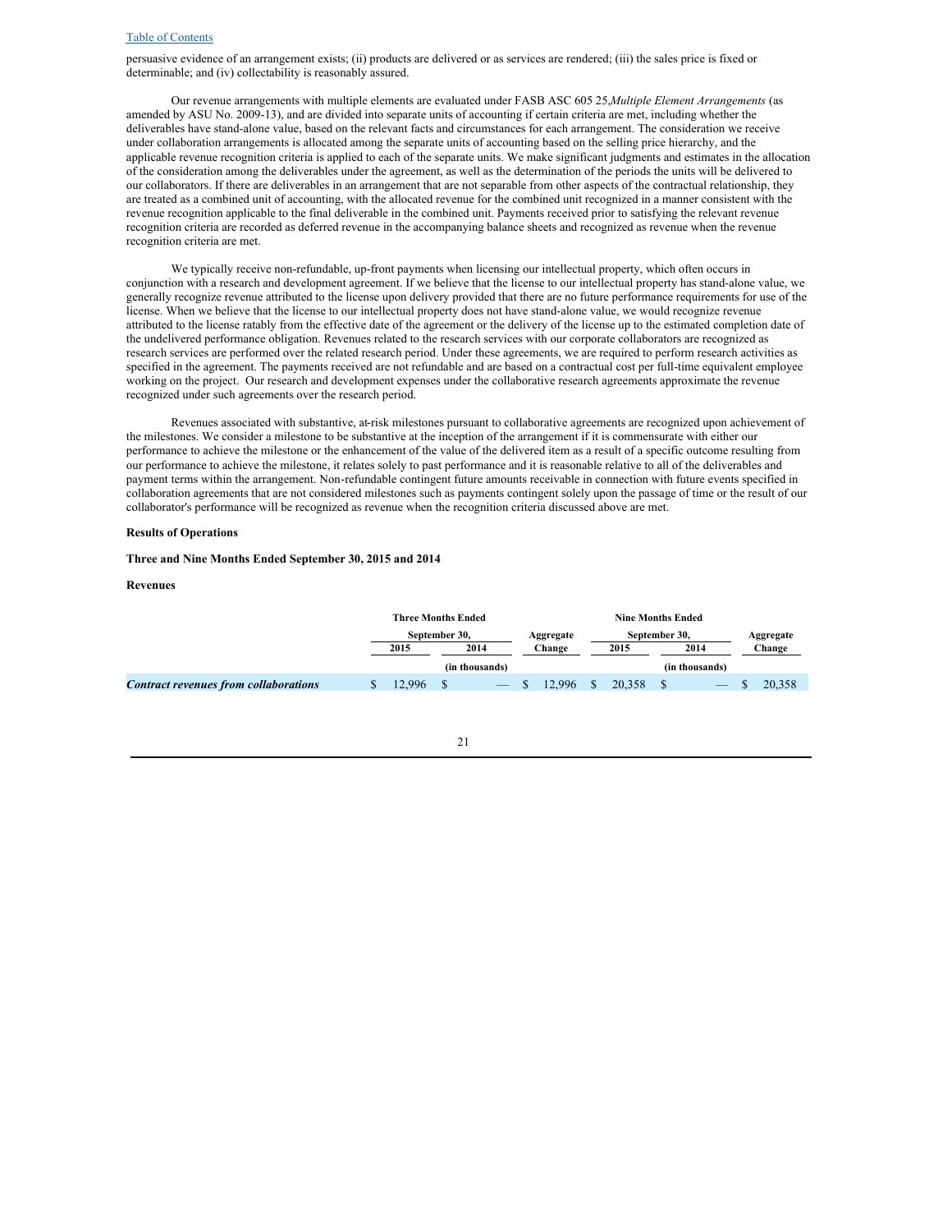persuasive evidence of an arrangement exists; (ii) products are delivered or as services are rendered; (iii) the sales price is fixed or determinable; and (iv) collectability is reasonably assured.

Our revenue arrangements with multiple elements are evaluated under FASB ASC 605 25,*Multiple Element Arrangements* (as amended by ASU No. 2009-13), and are divided into separate units of accounting if certain criteria are met, including whether the deliverables have stand-alone value, based on the relevant facts and circumstances for each arrangement. The consideration we receive under collaboration arrangements is allocated among the separate units of accounting based on the selling price hierarchy, and the applicable revenue recognition criteria is applied to each of the separate units. We make significant judgments and estimates in the allocation of the consideration among the deliverables under the agreement, as well as the determination of the periods the units will be delivered to our collaborators. If there are deliverables in an arrangement that are not separable from other aspects of the contractual relationship, they are treated as a combined unit of accounting, with the allocated revenue for the combined unit recognized in a manner consistent with the revenue recognition applicable to the final deliverable in the combined unit. Payments received prior to satisfying the relevant revenue recognition criteria are recorded as deferred revenue in the accompanying balance sheets and recognized as revenue when the revenue recognition criteria are met.

We typically receive non-refundable, up-front payments when licensing our intellectual property, which often occurs in conjunction with a research and development agreement. If we believe that the license to our intellectual property has stand-alone value, we generally recognize revenue attributed to the license upon delivery provided that there are no future performance requirements for use of the license. When we believe that the license to our intellectual property does not have stand-alone value, we would recognize revenue attributed to the license ratably from the effective date of the agreement or the delivery of the license up to the estimated completion date of the undelivered performance obligation. Revenues related to the research services with our corporate collaborators are recognized as research services are performed over the related research period. Under these agreements, we are required to perform research activities as specified in the agreement. The payments received are not refundable and are based on a contractual cost per full-time equivalent employee working on the project. Our research and development expenses under the collaborative research agreements approximate the revenue recognized under such agreements over the research period.

Revenues associated with substantive, at-risk milestones pursuant to collaborative agreements are recognized upon achievement of the milestones. We consider a milestone to be substantive at the inception of the arrangement if it is commensurate with either our performance to achieve the milestone or the enhancement of the value of the delivered item as a result of a specific outcome resulting from our performance to achieve the milestone, it relates solely to past performance and it is reasonable relative to all of the deliverables and payment terms within the arrangement. Non-refundable contingent future amounts receivable in connection with future events specified in collaboration agreements that are not considered milestones such as payments contingent solely upon the passage of time or the result of our collaborator's performance will be recognized as revenue when the recognition criteria discussed above are met.

### **Results of Operations**

## **Three and Nine Months Ended September 30, 2015 and 2014**

#### **Revenues**

|                                              | <b>Three Months Ended</b> |  |                |           |        |  | <b>Nine Months Ended</b> |               |                |           |
|----------------------------------------------|---------------------------|--|----------------|-----------|--------|--|--------------------------|---------------|----------------|-----------|
|                                              | September 30,             |  |                | Aggregate |        |  |                          | September 30, |                | Aggregate |
|                                              | 2015<br>2014              |  |                | Change    |        |  | 2015                     | 2014          |                | Change    |
|                                              |                           |  | (in thousands) |           |        |  |                          |               | (in thousands) |           |
| <b>Contract revenues from collaborations</b> | 12.996                    |  | -              |           | 12.996 |  | 20.358                   |               |                | 20.358    |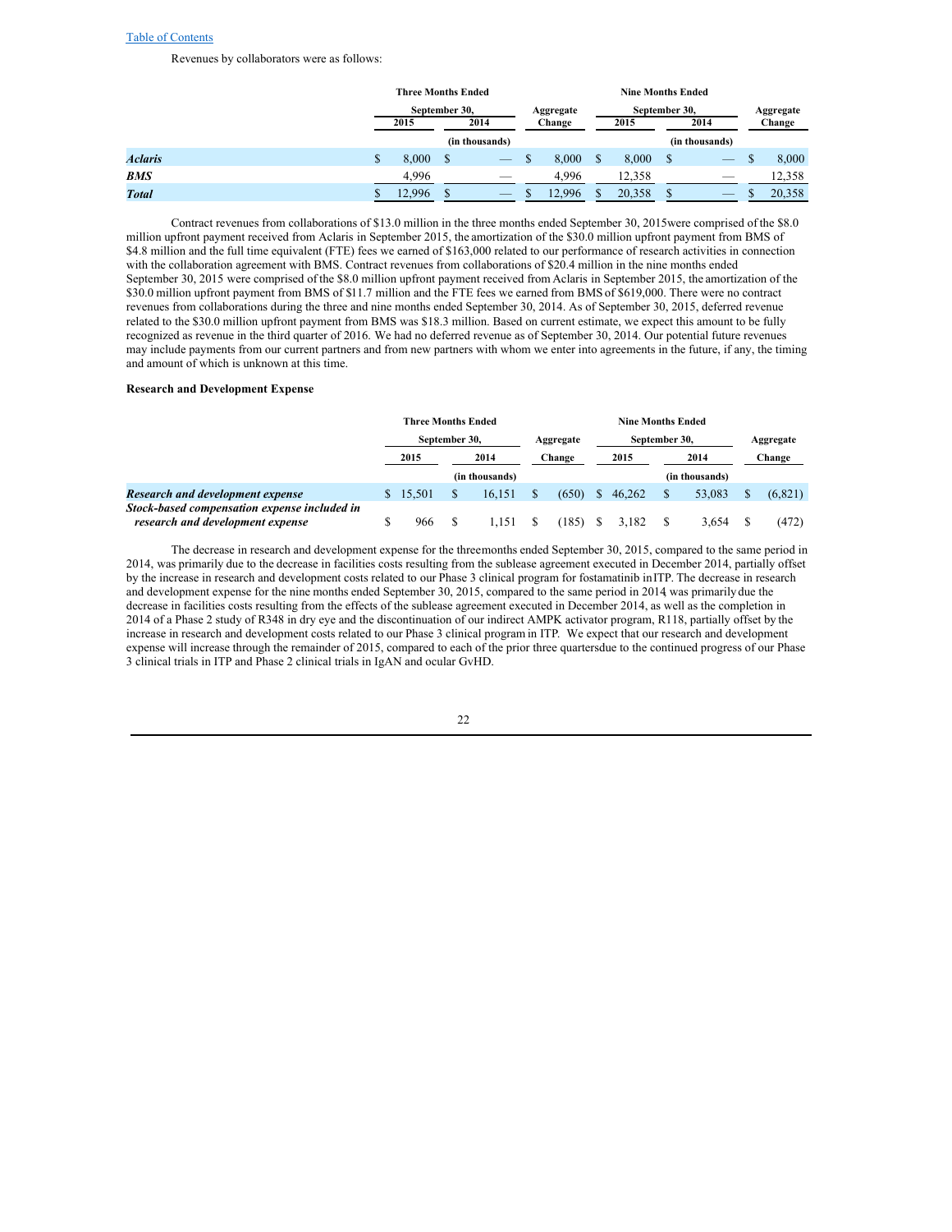Revenues by collaborators were as follows:

| <b>Three Months Ended</b> |                |               |        | <b>Nine Months Ended</b> |               |  |  |
|---------------------------|----------------|---------------|--------|--------------------------|---------------|--|--|
|                           |                | Aggregate     |        |                          | Aggregate     |  |  |
| 2015                      | 2014           | Change        | 2015   | 2014                     | Change        |  |  |
|                           | (in thousands) |               |        | (in thousands)           |               |  |  |
| 8,000                     | S<br>$-$       | 8.000         | 8,000  | S<br>$-$                 | 8,000         |  |  |
| 4,996                     | _              | 4,996         | 12,358 | _                        | 12,358        |  |  |
| 12,996                    | $-$            | 12.996        | 20,358 | $-$                      | 20.358        |  |  |
|                           |                | September 30, |        |                          | September 30, |  |  |

Contract revenues from collaborations of \$13.0 million in the three months ended September 30, 2015were comprised of the \$8.0 million upfront payment received from Aclaris in September 2015, the amortization of the \$30.0 million upfront payment from BMS of \$4.8 million and the full time equivalent (FTE) fees we earned of \$163,000 related to our performance of research activities in connection with the collaboration agreement with BMS. Contract revenues from collaborations of \$20.4 million in the nine months ended September 30, 2015 were comprised of the \$8.0 million upfront payment received from Aclaris in September 2015, the amortization of the \$30.0 million upfront payment from BMS of \$11.7 million and the FTE fees we earned from BMS of \$619,000. There were no contract revenues from collaborations during the three and nine months ended September 30, 2014. As of September 30, 2015, deferred revenue related to the \$30.0 million upfront payment from BMS was \$18.3 million. Based on current estimate, we expect this amount to be fully recognized as revenue in the third quarter of 2016. We had no deferred revenue as of September 30, 2014. Our potential future revenues may include payments from our current partners and from new partners with whom we enter into agreements in the future, if any, the timing and amount of which is unknown at this time.

## **Research and Development Expense**

|                                              | <b>Three Months Ended</b> |   |                |           |        |               | <b>Nine Months Ended</b> |                |           |
|----------------------------------------------|---------------------------|---|----------------|-----------|--------|---------------|--------------------------|----------------|-----------|
|                                              | September 30.             |   |                | Aggregate |        | September 30. |                          |                | Aggregate |
|                                              | 2015                      |   | 2014           |           | Change |               | 2015                     | 2014           | Change    |
|                                              |                           |   | (in thousands) |           |        |               |                          | (in thousands) |           |
| Research and development expense             | \$15.501                  | S | 16.151         |           | (650)  | S.            | 46.262                   | 53,083         | (6,821)   |
| Stock-based compensation expense included in |                           |   |                |           |        |               |                          |                |           |
| research and development expense             | 966                       | S |                |           | (185)  |               | 3.182                    | 3.654          | (472)     |

The decrease in research and development expense for the threemonths ended September 30, 2015, compared to the same period in 2014, was primarily due to the decrease in facilities costs resulting from the sublease agreement executed in December 2014, partially offset by the increase in research and development costs related to our Phase 3 clinical program for fostamatinib inITP. The decrease in research and development expense for the nine months ended September 30, 2015, compared to the same period in 2014, was primarily due the decrease in facilities costs resulting from the effects of the sublease agreement executed in December 2014, as well as the completion in 2014 of a Phase 2 study of R348 in dry eye and the discontinuation of our indirect AMPK activator program, R118, partially offset by the increase in research and development costs related to our Phase 3 clinical program in ITP. We expect that our research and development expense will increase through the remainder of 2015, compared to each of the prior three quartersdue to the continued progress of our Phase 3 clinical trials in ITP and Phase 2 clinical trials in IgAN and ocular GvHD.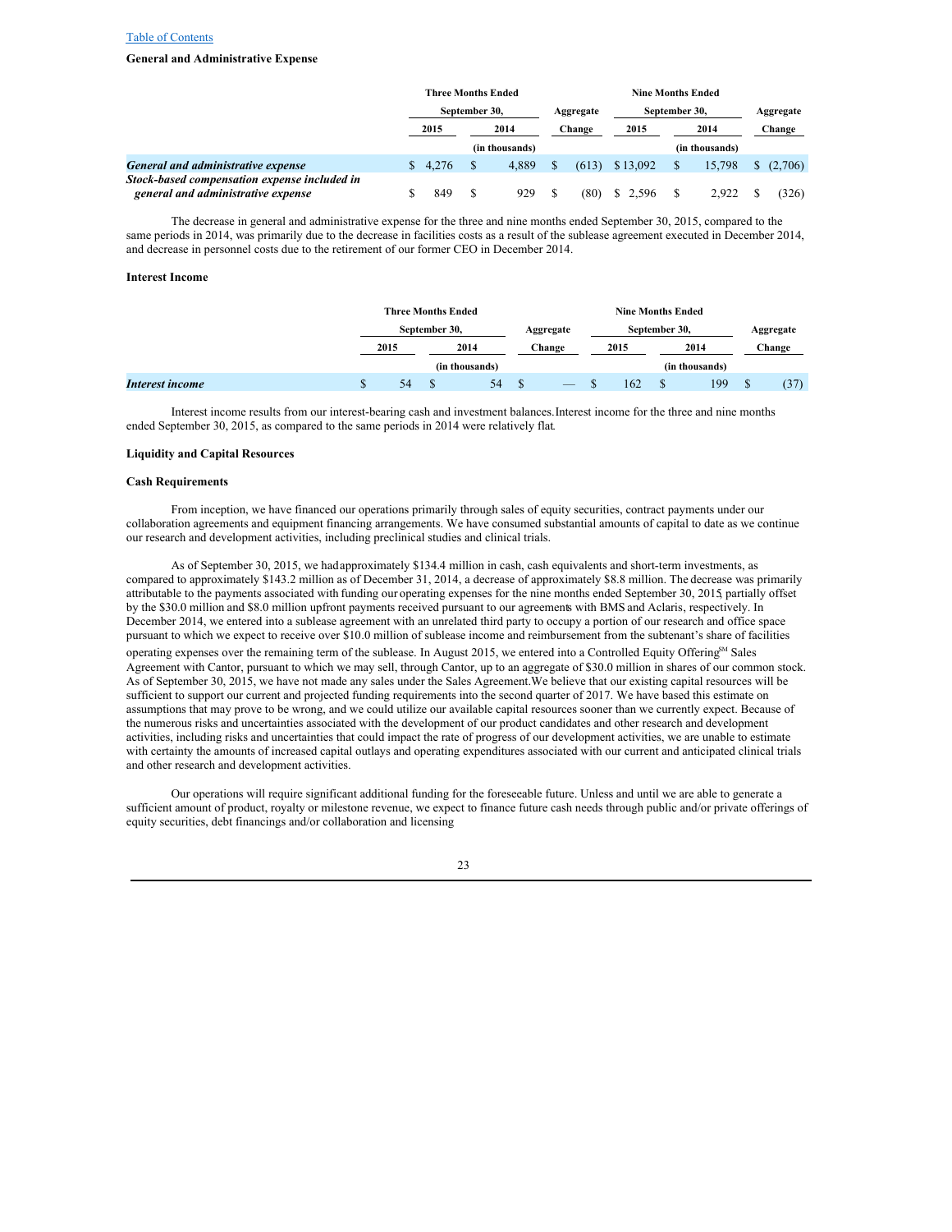## **General and Administrative Expense**

|                                                                                    |  | <b>Three Months Ended</b> |          |                |  |           | <b>Nine Months Ended</b> |               |                |      |                       |        |  |
|------------------------------------------------------------------------------------|--|---------------------------|----------|----------------|--|-----------|--------------------------|---------------|----------------|------|-----------------------|--------|--|
|                                                                                    |  | September 30,             |          |                |  | Aggregate |                          | September 30, |                |      | Aggregate             |        |  |
|                                                                                    |  | 2015                      |          | 2014           |  |           | Change                   |               | 2015           | 2014 |                       | Change |  |
|                                                                                    |  |                           |          | (in thousands) |  |           |                          |               | (in thousands) |      |                       |        |  |
| General and administrative expense                                                 |  | 4.276                     | <b>S</b> | 4.889          |  | (613)     | \$13.092                 |               | 15.798         |      | $\frac{1}{2}$ (2.706) |        |  |
| Stock-based compensation expense included in<br>general and administrative expense |  | 849                       |          | 929            |  | (80)      | \$ 2.596                 |               | 2.922          |      | (326)                 |        |  |

The decrease in general and administrative expense for the three and nine months ended September 30, 2015, compared to the same periods in 2014, was primarily due to the decrease in facilities costs as a result of the sublease agreement executed in December 2014, and decrease in personnel costs due to the retirement of our former CEO in December 2014.

#### **Interest Income**

|                 |                                        |    | <b>Three Months Ended</b> |                |               |        | <b>Nine Months Ended</b> |  |                |  |      |
|-----------------|----------------------------------------|----|---------------------------|----------------|---------------|--------|--------------------------|--|----------------|--|------|
|                 | September 30,                          |    |                           | Aggregate      | September 30, |        |                          |  | Aggregate      |  |      |
|                 | 2015<br>2014<br>2014<br>2015<br>Change |    |                           |                |               | Change |                          |  |                |  |      |
|                 |                                        |    |                           | (in thousands) |               |        |                          |  | (in thousands) |  |      |
| Interest income |                                        | 54 |                           | 54             | $-$           |        | 162                      |  | 199            |  | (37) |

Interest income results from our interest-bearing cash and investment balances.Interest income for the three and nine months ended September 30, 2015, as compared to the same periods in 2014 were relatively flat.

## **Liquidity and Capital Resources**

## **Cash Requirements**

From inception, we have financed our operations primarily through sales of equity securities, contract payments under our collaboration agreements and equipment financing arrangements. We have consumed substantial amounts of capital to date as we continue our research and development activities, including preclinical studies and clinical trials.

As of September 30, 2015, we hadapproximately \$134.4 million in cash, cash equivalents and short-term investments, as compared to approximately \$143.2 million as of December 31, 2014, a decrease of approximately \$8.8 million. The decrease was primarily attributable to the payments associated with funding our operating expenses for the nine months ended September 30, 2015, partially offset by the \$30.0 million and \$8.0 million upfront payments received pursuant to our agreements with BMS and Aclaris, respectively. In December 2014, we entered into a sublease agreement with an unrelated third party to occupy a portion of our research and office space pursuant to which we expect to receive over \$10.0 million of sublease income and reimbursement from the subtenant's share of facilities operating expenses over the remaining term of the sublease. In August 2015, we entered into a Controlled Equity Offering<sup>SM</sup> Sales Agreement with Cantor, pursuant to which we may sell, through Cantor, up to an aggregate of \$30.0 million in shares of our common stock. As of September 30, 2015, we have not made any sales under the Sales Agreement.We believe that our existing capital resources will be sufficient to support our current and projected funding requirements into the second quarter of 2017. We have based this estimate on assumptions that may prove to be wrong, and we could utilize our available capital resources sooner than we currently expect. Because of the numerous risks and uncertainties associated with the development of our product candidates and other research and development activities, including risks and uncertainties that could impact the rate of progress of our development activities, we are unable to estimate with certainty the amounts of increased capital outlays and operating expenditures associated with our current and anticipated clinical trials and other research and development activities.

Our operations will require significant additional funding for the foreseeable future. Unless and until we are able to generate a sufficient amount of product, royalty or milestone revenue, we expect to finance future cash needs through public and/or private offerings of equity securities, debt financings and/or collaboration and licensing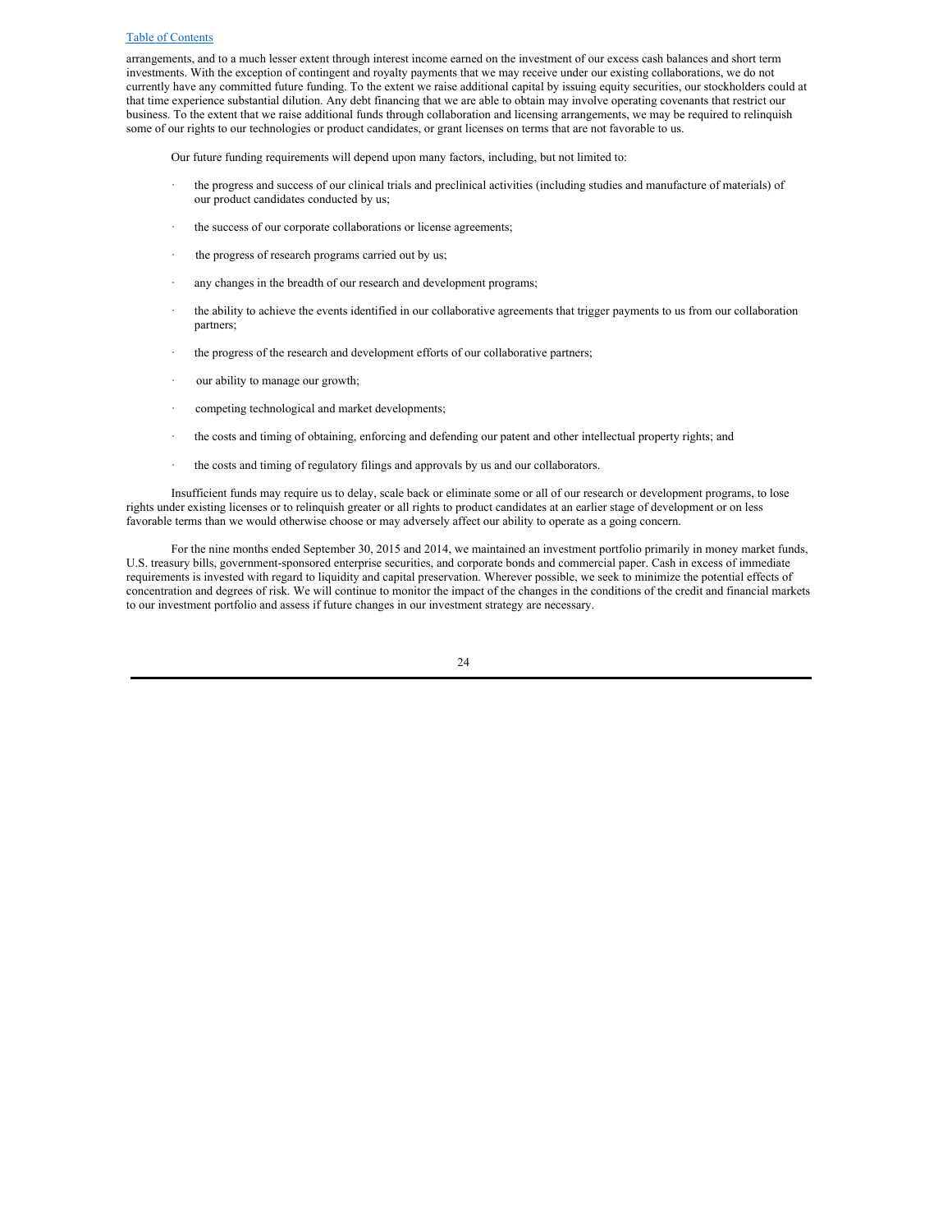arrangements, and to a much lesser extent through interest income earned on the investment of our excess cash balances and short term investments. With the exception of contingent and royalty payments that we may receive under our existing collaborations, we do not currently have any committed future funding. To the extent we raise additional capital by issuing equity securities, our stockholders could at that time experience substantial dilution. Any debt financing that we are able to obtain may involve operating covenants that restrict our business. To the extent that we raise additional funds through collaboration and licensing arrangements, we may be required to relinquish some of our rights to our technologies or product candidates, or grant licenses on terms that are not favorable to us.

Our future funding requirements will depend upon many factors, including, but not limited to:

- the progress and success of our clinical trials and preclinical activities (including studies and manufacture of materials) of our product candidates conducted by us;
- the success of our corporate collaborations or license agreements;
- the progress of research programs carried out by us;
- any changes in the breadth of our research and development programs;
- the ability to achieve the events identified in our collaborative agreements that trigger payments to us from our collaboration partners;
- the progress of the research and development efforts of our collaborative partners;
- our ability to manage our growth;
- competing technological and market developments;
- the costs and timing of obtaining, enforcing and defending our patent and other intellectual property rights; and
- the costs and timing of regulatory filings and approvals by us and our collaborators.

Insufficient funds may require us to delay, scale back or eliminate some or all of our research or development programs, to lose rights under existing licenses or to relinquish greater or all rights to product candidates at an earlier stage of development or on less favorable terms than we would otherwise choose or may adversely affect our ability to operate as a going concern.

For the nine months ended September 30, 2015 and 2014, we maintained an investment portfolio primarily in money market funds, U.S. treasury bills, government-sponsored enterprise securities, and corporate bonds and commercial paper. Cash in excess of immediate requirements is invested with regard to liquidity and capital preservation. Wherever possible, we seek to minimize the potential effects of concentration and degrees of risk. We will continue to monitor the impact of the changes in the conditions of the credit and financial markets to our investment portfolio and assess if future changes in our investment strategy are necessary.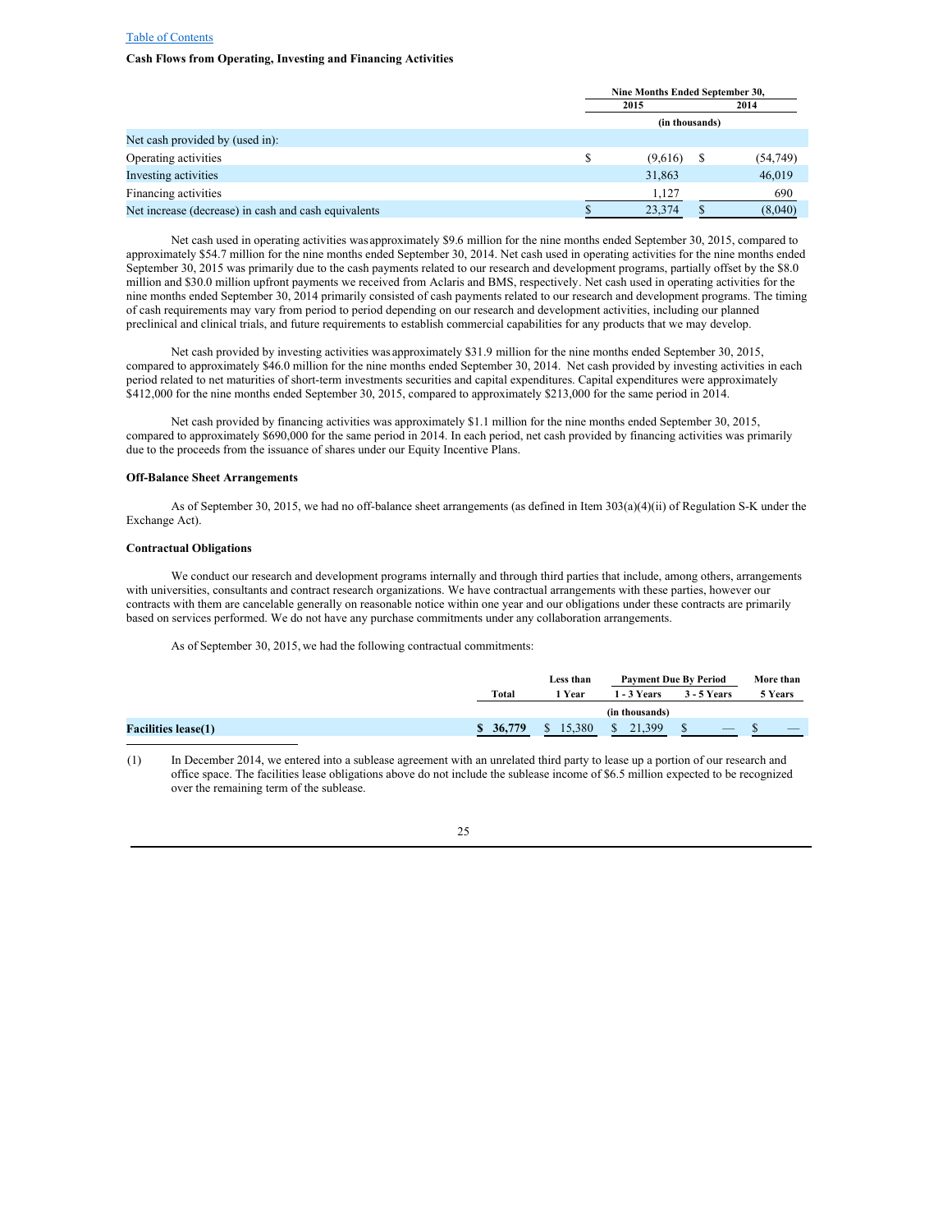# **Cash Flows from Operating, Investing and Financing Activities**

|                                                      | Nine Months Ended September 30, |  |           |  |  |  |
|------------------------------------------------------|---------------------------------|--|-----------|--|--|--|
|                                                      | 2015                            |  | 2014      |  |  |  |
|                                                      | (in thousands)                  |  |           |  |  |  |
| Net cash provided by (used in):                      |                                 |  |           |  |  |  |
| Operating activities                                 | (9,616)                         |  | (54, 749) |  |  |  |
| Investing activities                                 | 31,863                          |  | 46,019    |  |  |  |
| Financing activities                                 | 1.127                           |  | 690       |  |  |  |
| Net increase (decrease) in cash and cash equivalents | 23,374                          |  | (8,040)   |  |  |  |

Net cash used in operating activities was approximately \$9.6 million for the nine months ended September 30, 2015, compared to approximately \$54.7 million for the nine months ended September 30, 2014. Net cash used in operating activities for the nine months ended September 30, 2015 was primarily due to the cash payments related to our research and development programs, partially offset by the \$8.0 million and \$30.0 million upfront payments we received from Aclaris and BMS, respectively. Net cash used in operating activities for the nine months ended September 30, 2014 primarily consisted of cash payments related to our research and development programs. The timing of cash requirements may vary from period to period depending on our research and development activities, including our planned preclinical and clinical trials, and future requirements to establish commercial capabilities for any products that we may develop.

Net cash provided by investing activities was approximately \$31.9 million for the nine months ended September 30, 2015, compared to approximately \$46.0 million for the nine months ended September 30, 2014. Net cash provided by investing activities in each period related to net maturities of short-term investments securities and capital expenditures. Capital expenditures were approximately \$412,000 for the nine months ended September 30, 2015, compared to approximately \$213,000 for the same period in 2014.

Net cash provided by financing activities was approximately \$1.1 million for the nine months ended September 30, 2015, compared to approximately \$690,000 for the same period in 2014. In each period, net cash provided by financing activities was primarily due to the proceeds from the issuance of shares under our Equity Incentive Plans.

#### **Off-Balance Sheet Arrangements**

As of September 30, 2015, we had no off-balance sheet arrangements (as defined in Item 303(a)(4)(ii) of Regulation S-K under the Exchange Act).

## **Contractual Obligations**

We conduct our research and development programs internally and through third parties that include, among others, arrangements with universities, consultants and contract research organizations. We have contractual arrangements with these parties, however our contracts with them are cancelable generally on reasonable notice within one year and our obligations under these contracts are primarily based on services performed. We do not have any purchase commitments under any collaboration arrangements.

As of September 30, 2015, we had the following contractual commitments:

|                            | Less than |                        | <b>Payment Due By Period</b> | More than                |         |  |
|----------------------------|-----------|------------------------|------------------------------|--------------------------|---------|--|
|                            | Total     | l Year                 | 1 - 3 Years                  | $3 - 5$ Years            | 5 Years |  |
|                            |           |                        | (in thousands)               |                          |         |  |
| <b>Facilities lease(1)</b> | 36,779    | <sup>S</sup><br>15.380 | 21.399<br>$\mathbb{S}$       | $\overline{\phantom{a}}$ |         |  |

(1) In December 2014, we entered into a sublease agreement with an unrelated third party to lease up a portion of our research and office space. The facilities lease obligations above do not include the sublease income of \$6.5 million expected to be recognized over the remaining term of the sublease.

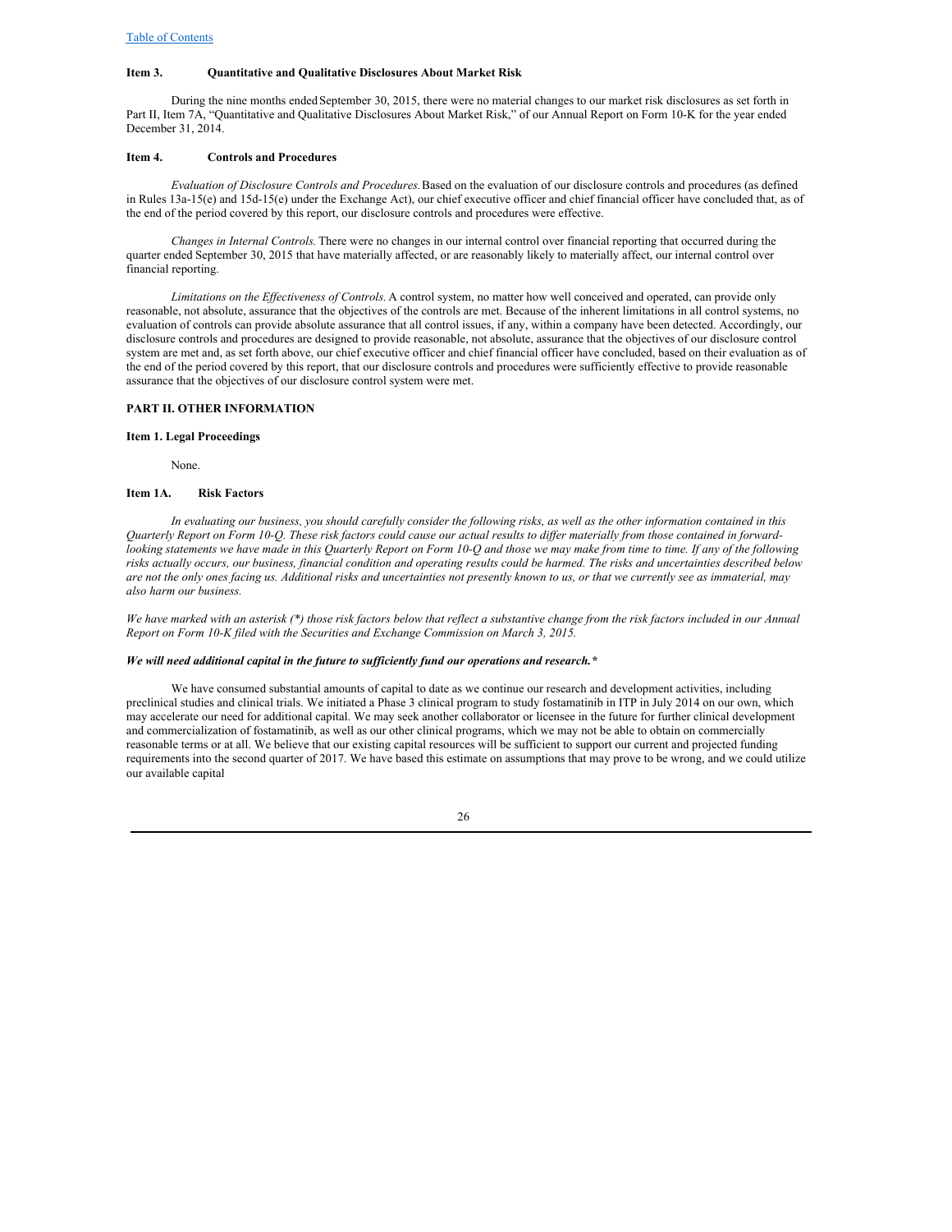## **Item 3. Quantitative and Qualitative Disclosures About Market Risk**

<span id="page-25-0"></span>During the nine months ended September 30, 2015, there were no material changes to our market risk disclosures as set forth in Part II, Item 7A, "Quantitative and Qualitative Disclosures About Market Risk," of our Annual Report on Form 10-K for the year ended December 31, 2014.

## <span id="page-25-1"></span>**Item 4. Controls and Procedures**

*Evaluation of Disclosure Controls and Procedures.*Based on the evaluation of our disclosure controls and procedures (as defined in Rules 13a-15(e) and 15d-15(e) under the Exchange Act), our chief executive officer and chief financial officer have concluded that, as of the end of the period covered by this report, our disclosure controls and procedures were effective.

*Changes in Internal Controls.* There were no changes in our internal control over financial reporting that occurred during the quarter ended September 30, 2015 that have materially affected, or are reasonably likely to materially affect, our internal control over financial reporting.

*Limitations on the Ef ectiveness of Controls.* A control system, no matter how well conceived and operated, can provide only reasonable, not absolute, assurance that the objectives of the controls are met. Because of the inherent limitations in all control systems, no evaluation of controls can provide absolute assurance that all control issues, if any, within a company have been detected. Accordingly, our disclosure controls and procedures are designed to provide reasonable, not absolute, assurance that the objectives of our disclosure control system are met and, as set forth above, our chief executive officer and chief financial officer have concluded, based on their evaluation as of the end of the period covered by this report, that our disclosure controls and procedures were sufficiently effective to provide reasonable assurance that the objectives of our disclosure control system were met.

# **PART II. OTHER INFORMATION**

#### **Item 1. Legal Proceedings**

<span id="page-25-4"></span><span id="page-25-3"></span><span id="page-25-2"></span>None.

## **Item 1A. Risk Factors**

In evaluating our business, you should carefully consider the following risks, as well as the other information contained in this Quarterly Report on Form 10-Q. These risk factors could cause our actual results to differ materially from those contained in forwardlooking statements we have made in this Quarterly Report on Form 10-Q and those we may make from time to time. If any of the following risks actually occurs, our business, financial condition and operating results could be harmed. The risks and uncertainties described below are not the only ones facing us. Additional risks and uncertainties not presently known to us, or that we currently see as immaterial, may *also harm our business.*

We have marked with an asterisk (\*) those risk factors below that reflect a substantive change from the risk factors included in our Annual *Report on Form 10-K filed with the Securities and Exchange Commission on March 3, 2015.*

## *We will need additional capital in the future to suf iciently fund our operations and research.\**

We have consumed substantial amounts of capital to date as we continue our research and development activities, including preclinical studies and clinical trials. We initiated a Phase 3 clinical program to study fostamatinib in ITP in July 2014 on our own, which may accelerate our need for additional capital. We may seek another collaborator or licensee in the future for further clinical development and commercialization of fostamatinib, as well as our other clinical programs, which we may not be able to obtain on commercially reasonable terms or at all. We believe that our existing capital resources will be sufficient to support our current and projected funding requirements into the second quarter of 2017. We have based this estimate on assumptions that may prove to be wrong, and we could utilize our available capital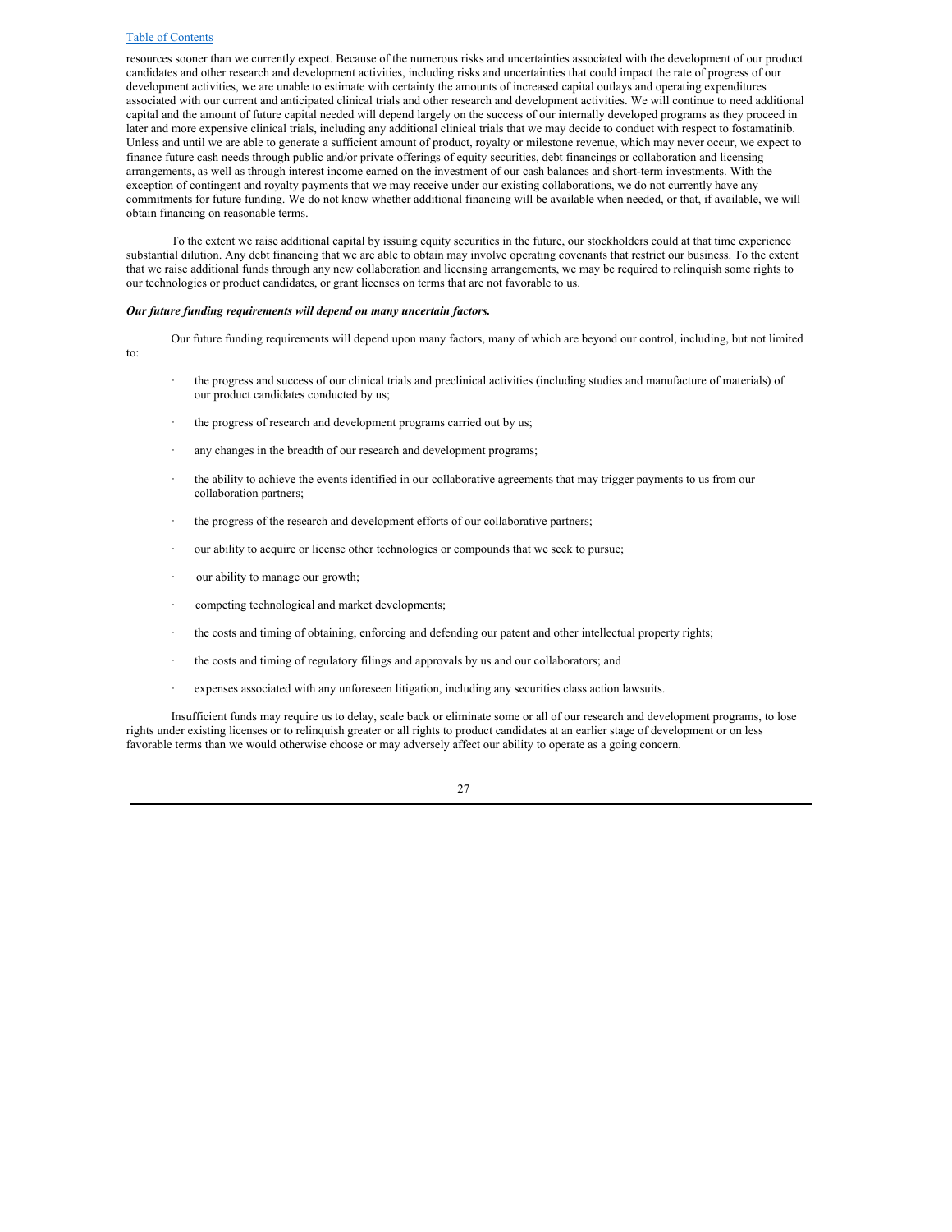to:

resources sooner than we currently expect. Because of the numerous risks and uncertainties associated with the development of our product candidates and other research and development activities, including risks and uncertainties that could impact the rate of progress of our development activities, we are unable to estimate with certainty the amounts of increased capital outlays and operating expenditures associated with our current and anticipated clinical trials and other research and development activities. We will continue to need additional capital and the amount of future capital needed will depend largely on the success of our internally developed programs as they proceed in later and more expensive clinical trials, including any additional clinical trials that we may decide to conduct with respect to fostamatinib. Unless and until we are able to generate a sufficient amount of product, royalty or milestone revenue, which may never occur, we expect to finance future cash needs through public and/or private offerings of equity securities, debt financings or collaboration and licensing arrangements, as well as through interest income earned on the investment of our cash balances and short-term investments. With the exception of contingent and royalty payments that we may receive under our existing collaborations, we do not currently have any commitments for future funding. We do not know whether additional financing will be available when needed, or that, if available, we will obtain financing on reasonable terms.

To the extent we raise additional capital by issuing equity securities in the future, our stockholders could at that time experience substantial dilution. Any debt financing that we are able to obtain may involve operating covenants that restrict our business. To the extent that we raise additional funds through any new collaboration and licensing arrangements, we may be required to relinquish some rights to our technologies or product candidates, or grant licenses on terms that are not favorable to us.

#### *Our future funding requirements will depend on many uncertain factors.*

Our future funding requirements will depend upon many factors, many of which are beyond our control, including, but not limited

- the progress and success of our clinical trials and preclinical activities (including studies and manufacture of materials) of our product candidates conducted by us;
- the progress of research and development programs carried out by us;
- any changes in the breadth of our research and development programs;
- the ability to achieve the events identified in our collaborative agreements that may trigger payments to us from our collaboration partners;
- the progress of the research and development efforts of our collaborative partners;
- our ability to acquire or license other technologies or compounds that we seek to pursue;
- our ability to manage our growth;
- competing technological and market developments;
- the costs and timing of obtaining, enforcing and defending our patent and other intellectual property rights;
- the costs and timing of regulatory filings and approvals by us and our collaborators; and
- expenses associated with any unforeseen litigation, including any securities class action lawsuits.

Insufficient funds may require us to delay, scale back or eliminate some or all of our research and development programs, to lose rights under existing licenses or to relinquish greater or all rights to product candidates at an earlier stage of development or on less favorable terms than we would otherwise choose or may adversely affect our ability to operate as a going concern.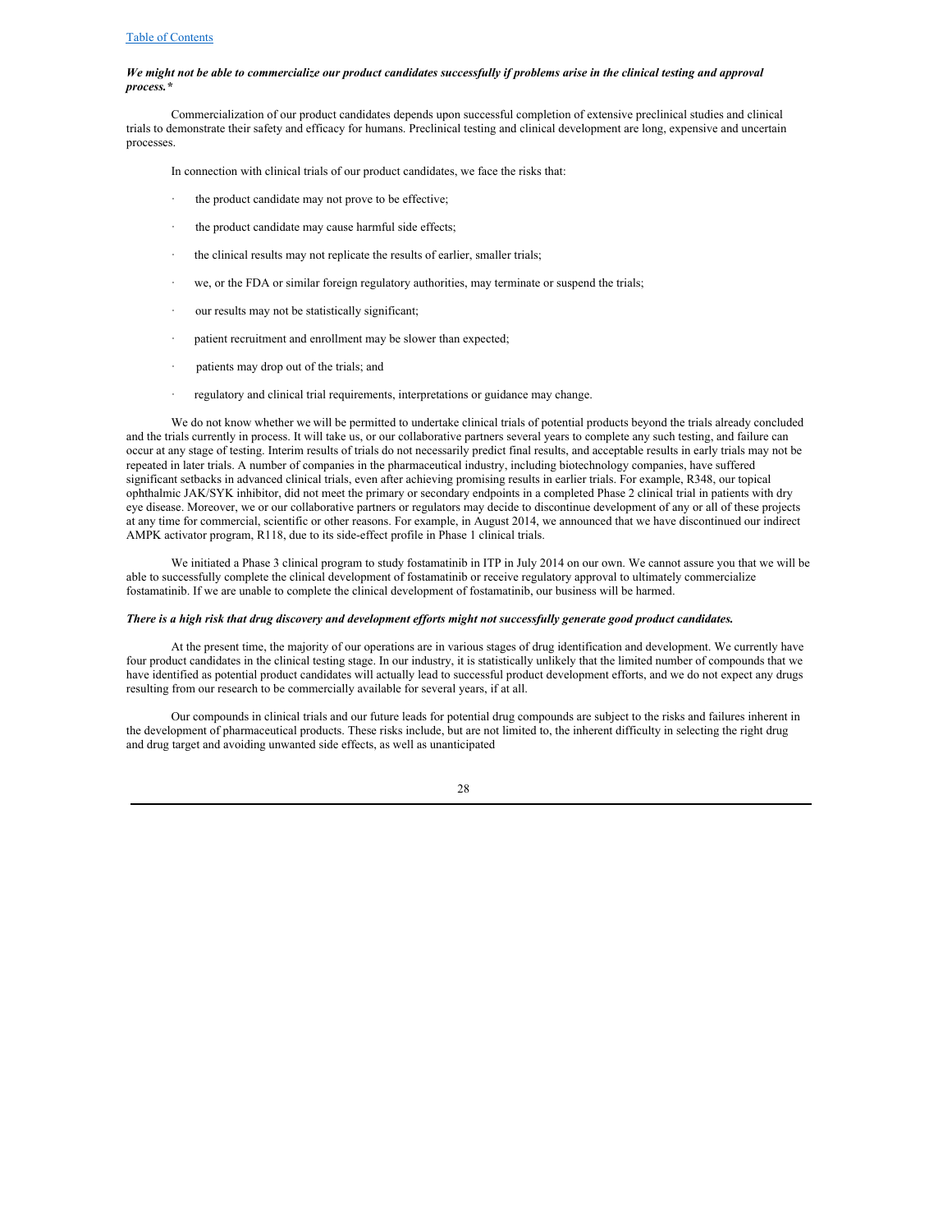## We might not be able to commercialize our product candidates successfully if problems arise in the clinical testing and approval *process.\**

Commercialization of our product candidates depends upon successful completion of extensive preclinical studies and clinical trials to demonstrate their safety and efficacy for humans. Preclinical testing and clinical development are long, expensive and uncertain processes.

In connection with clinical trials of our product candidates, we face the risks that:

- the product candidate may not prove to be effective;
- the product candidate may cause harmful side effects;
- the clinical results may not replicate the results of earlier, smaller trials;
- we, or the FDA or similar foreign regulatory authorities, may terminate or suspend the trials;
- our results may not be statistically significant;
- patient recruitment and enrollment may be slower than expected;
- patients may drop out of the trials; and
- regulatory and clinical trial requirements, interpretations or guidance may change.

We do not know whether we will be permitted to undertake clinical trials of potential products beyond the trials already concluded and the trials currently in process. It will take us, or our collaborative partners several years to complete any such testing, and failure can occur at any stage of testing. Interim results of trials do not necessarily predict final results, and acceptable results in early trials may not be repeated in later trials. A number of companies in the pharmaceutical industry, including biotechnology companies, have suffered significant setbacks in advanced clinical trials, even after achieving promising results in earlier trials. For example, R348, our topical ophthalmic JAK/SYK inhibitor, did not meet the primary or secondary endpoints in a completed Phase 2 clinical trial in patients with dry eye disease. Moreover, we or our collaborative partners or regulators may decide to discontinue development of any or all of these projects at any time for commercial, scientific or other reasons. For example, in August 2014, we announced that we have discontinued our indirect AMPK activator program, R118, due to its side-effect profile in Phase 1 clinical trials.

We initiated a Phase 3 clinical program to study fostamatinib in ITP in July 2014 on our own. We cannot assure you that we will be able to successfully complete the clinical development of fostamatinib or receive regulatory approval to ultimately commercialize fostamatinib. If we are unable to complete the clinical development of fostamatinib, our business will be harmed.

#### There is a high risk that drug discovery and development efforts might not successfully generate good product candidates.

At the present time, the majority of our operations are in various stages of drug identification and development. We currently have four product candidates in the clinical testing stage. In our industry, it is statistically unlikely that the limited number of compounds that we have identified as potential product candidates will actually lead to successful product development efforts, and we do not expect any drugs resulting from our research to be commercially available for several years, if at all.

Our compounds in clinical trials and our future leads for potential drug compounds are subject to the risks and failures inherent in the development of pharmaceutical products. These risks include, but are not limited to, the inherent difficulty in selecting the right drug and drug target and avoiding unwanted side effects, as well as unanticipated

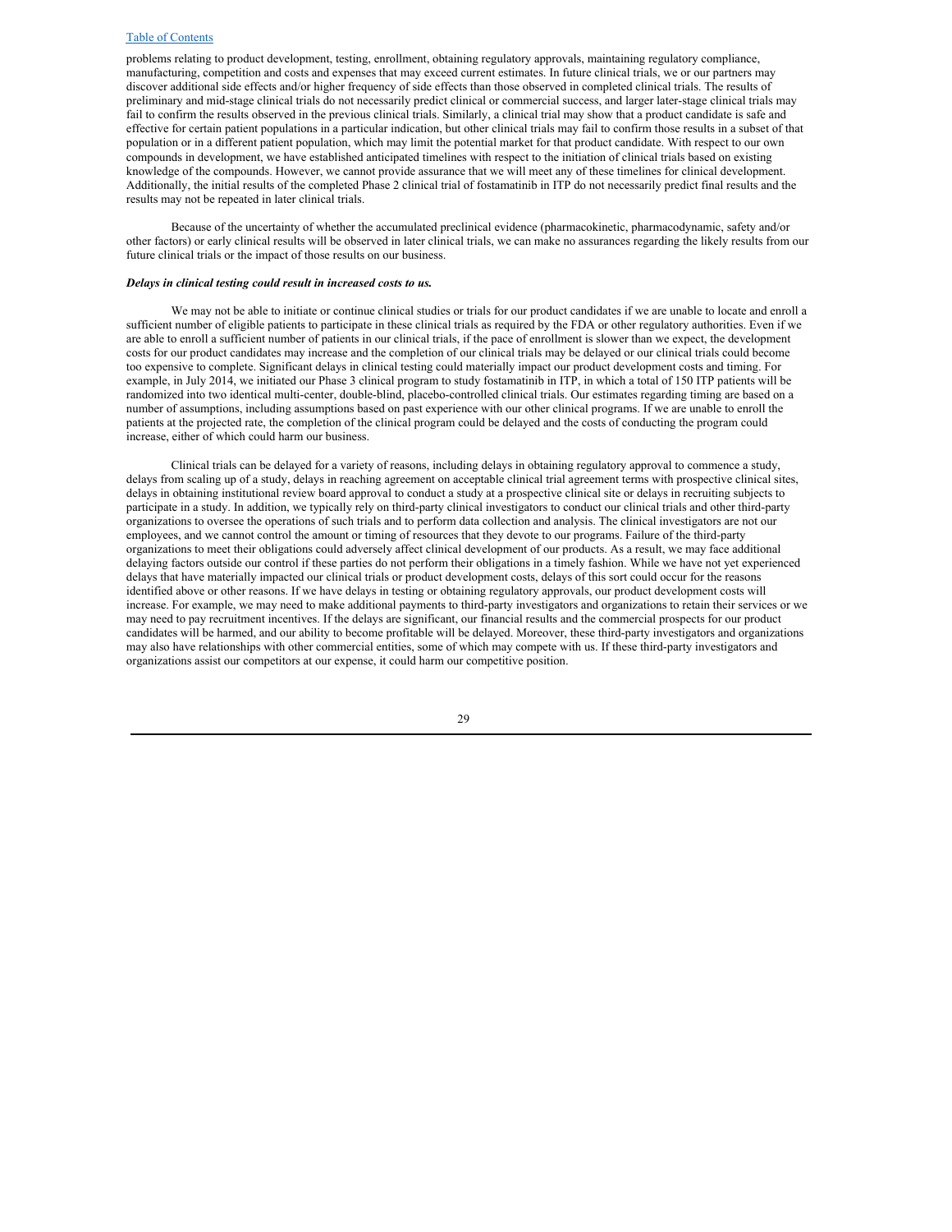problems relating to product development, testing, enrollment, obtaining regulatory approvals, maintaining regulatory compliance, manufacturing, competition and costs and expenses that may exceed current estimates. In future clinical trials, we or our partners may discover additional side effects and/or higher frequency of side effects than those observed in completed clinical trials. The results of preliminary and mid-stage clinical trials do not necessarily predict clinical or commercial success, and larger later-stage clinical trials may fail to confirm the results observed in the previous clinical trials. Similarly, a clinical trial may show that a product candidate is safe and effective for certain patient populations in a particular indication, but other clinical trials may fail to confirm those results in a subset of that population or in a different patient population, which may limit the potential market for that product candidate. With respect to our own compounds in development, we have established anticipated timelines with respect to the initiation of clinical trials based on existing knowledge of the compounds. However, we cannot provide assurance that we will meet any of these timelines for clinical development. Additionally, the initial results of the completed Phase 2 clinical trial of fostamatinib in ITP do not necessarily predict final results and the results may not be repeated in later clinical trials.

Because of the uncertainty of whether the accumulated preclinical evidence (pharmacokinetic, pharmacodynamic, safety and/or other factors) or early clinical results will be observed in later clinical trials, we can make no assurances regarding the likely results from our future clinical trials or the impact of those results on our business.

#### *Delays in clinical testing could result in increased costs to us.*

We may not be able to initiate or continue clinical studies or trials for our product candidates if we are unable to locate and enroll a sufficient number of eligible patients to participate in these clinical trials as required by the FDA or other regulatory authorities. Even if we are able to enroll a sufficient number of patients in our clinical trials, if the pace of enrollment is slower than we expect, the development costs for our product candidates may increase and the completion of our clinical trials may be delayed or our clinical trials could become too expensive to complete. Significant delays in clinical testing could materially impact our product development costs and timing. For example, in July 2014, we initiated our Phase 3 clinical program to study fostamatinib in ITP, in which a total of 150 ITP patients will be randomized into two identical multi-center, double-blind, placebo-controlled clinical trials. Our estimates regarding timing are based on a number of assumptions, including assumptions based on past experience with our other clinical programs. If we are unable to enroll the patients at the projected rate, the completion of the clinical program could be delayed and the costs of conducting the program could increase, either of which could harm our business.

Clinical trials can be delayed for a variety of reasons, including delays in obtaining regulatory approval to commence a study, delays from scaling up of a study, delays in reaching agreement on acceptable clinical trial agreement terms with prospective clinical sites, delays in obtaining institutional review board approval to conduct a study at a prospective clinical site or delays in recruiting subjects to participate in a study. In addition, we typically rely on third-party clinical investigators to conduct our clinical trials and other third-party organizations to oversee the operations of such trials and to perform data collection and analysis. The clinical investigators are not our employees, and we cannot control the amount or timing of resources that they devote to our programs. Failure of the third-party organizations to meet their obligations could adversely affect clinical development of our products. As a result, we may face additional delaying factors outside our control if these parties do not perform their obligations in a timely fashion. While we have not yet experienced delays that have materially impacted our clinical trials or product development costs, delays of this sort could occur for the reasons identified above or other reasons. If we have delays in testing or obtaining regulatory approvals, our product development costs will increase. For example, we may need to make additional payments to third-party investigators and organizations to retain their services or we may need to pay recruitment incentives. If the delays are significant, our financial results and the commercial prospects for our product candidates will be harmed, and our ability to become profitable will be delayed. Moreover, these third-party investigators and organizations may also have relationships with other commercial entities, some of which may compete with us. If these third-party investigators and organizations assist our competitors at our expense, it could harm our competitive position.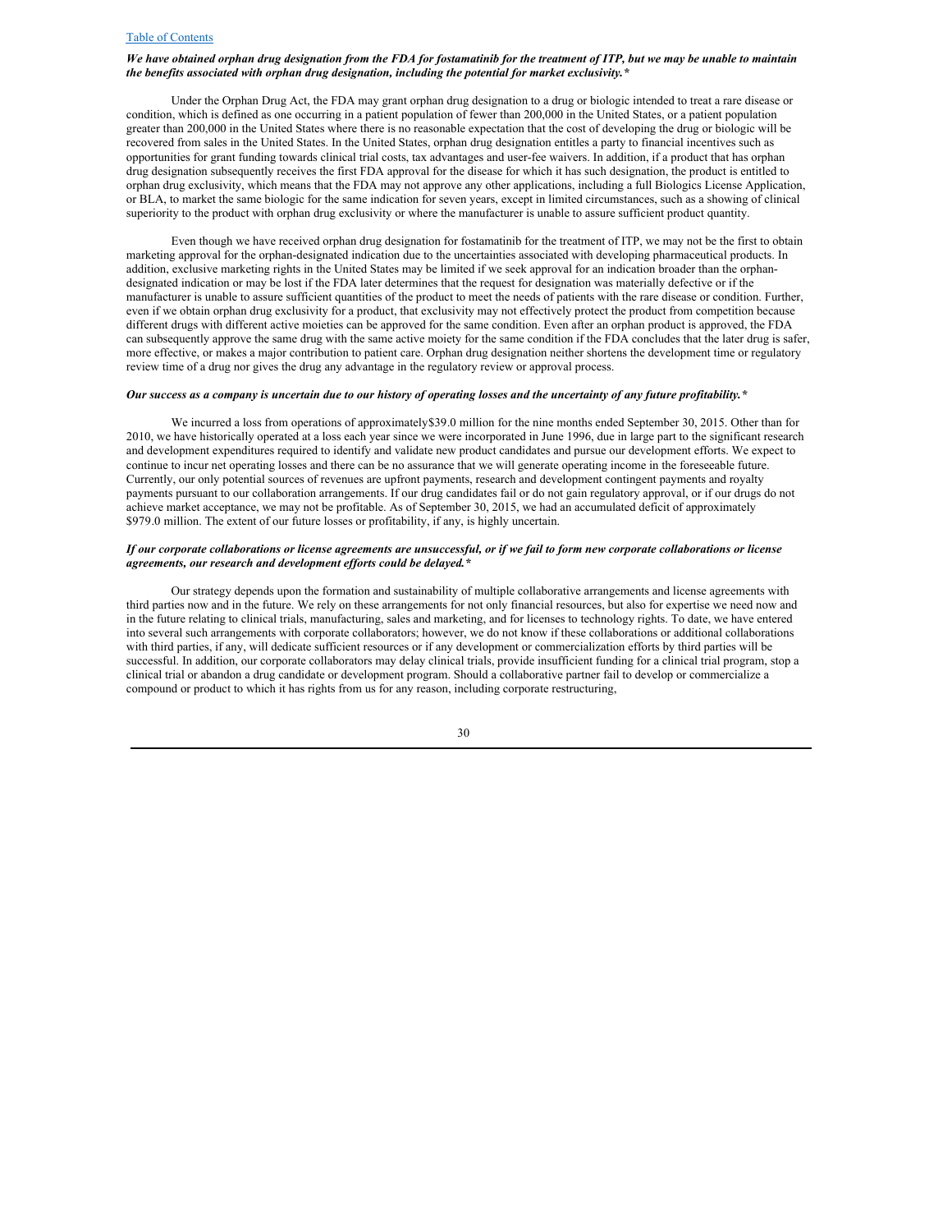### We have obtained orphan drug designation from the FDA for fostamatinib for the treatment of ITP, but we may be unable to maintain *the benefits associated with orphan drug designation, including the potential for market exclusivity.\**

Under the Orphan Drug Act, the FDA may grant orphan drug designation to a drug or biologic intended to treat a rare disease or condition, which is defined as one occurring in a patient population of fewer than 200,000 in the United States, or a patient population greater than 200,000 in the United States where there is no reasonable expectation that the cost of developing the drug or biologic will be recovered from sales in the United States. In the United States, orphan drug designation entitles a party to financial incentives such as opportunities for grant funding towards clinical trial costs, tax advantages and user-fee waivers. In addition, if a product that has orphan drug designation subsequently receives the first FDA approval for the disease for which it has such designation, the product is entitled to orphan drug exclusivity, which means that the FDA may not approve any other applications, including a full Biologics License Application, or BLA, to market the same biologic for the same indication for seven years, except in limited circumstances, such as a showing of clinical superiority to the product with orphan drug exclusivity or where the manufacturer is unable to assure sufficient product quantity.

Even though we have received orphan drug designation for fostamatinib for the treatment of ITP, we may not be the first to obtain marketing approval for the orphan-designated indication due to the uncertainties associated with developing pharmaceutical products. In addition, exclusive marketing rights in the United States may be limited if we seek approval for an indication broader than the orphandesignated indication or may be lost if the FDA later determines that the request for designation was materially defective or if the manufacturer is unable to assure sufficient quantities of the product to meet the needs of patients with the rare disease or condition. Further, even if we obtain orphan drug exclusivity for a product, that exclusivity may not effectively protect the product from competition because different drugs with different active moieties can be approved for the same condition. Even after an orphan product is approved, the FDA can subsequently approve the same drug with the same active moiety for the same condition if the FDA concludes that the later drug is safer, more effective, or makes a major contribution to patient care. Orphan drug designation neither shortens the development time or regulatory review time of a drug nor gives the drug any advantage in the regulatory review or approval process.

## Our success as a company is uncertain due to our history of operating losses and the uncertainty of any future profitability.\*

We incurred a loss from operations of approximately\$39.0 million for the nine months ended September 30, 2015. Other than for 2010, we have historically operated at a loss each year since we were incorporated in June 1996, due in large part to the significant research and development expenditures required to identify and validate new product candidates and pursue our development efforts. We expect to continue to incur net operating losses and there can be no assurance that we will generate operating income in the foreseeable future. Currently, our only potential sources of revenues are upfront payments, research and development contingent payments and royalty payments pursuant to our collaboration arrangements. If our drug candidates fail or do not gain regulatory approval, or if our drugs do not achieve market acceptance, we may not be profitable. As of September 30, 2015, we had an accumulated deficit of approximately \$979.0 million. The extent of our future losses or profitability, if any, is highly uncertain.

## If our corporate collaborations or license agreements are unsuccessful, or if we fail to form new corporate collaborations or license *agreements, our research and development ef orts could be delayed.\**

Our strategy depends upon the formation and sustainability of multiple collaborative arrangements and license agreements with third parties now and in the future. We rely on these arrangements for not only financial resources, but also for expertise we need now and in the future relating to clinical trials, manufacturing, sales and marketing, and for licenses to technology rights. To date, we have entered into several such arrangements with corporate collaborators; however, we do not know if these collaborations or additional collaborations with third parties, if any, will dedicate sufficient resources or if any development or commercialization efforts by third parties will be successful. In addition, our corporate collaborators may delay clinical trials, provide insufficient funding for a clinical trial program, stop a clinical trial or abandon a drug candidate or development program. Should a collaborative partner fail to develop or commercialize a compound or product to which it has rights from us for any reason, including corporate restructuring,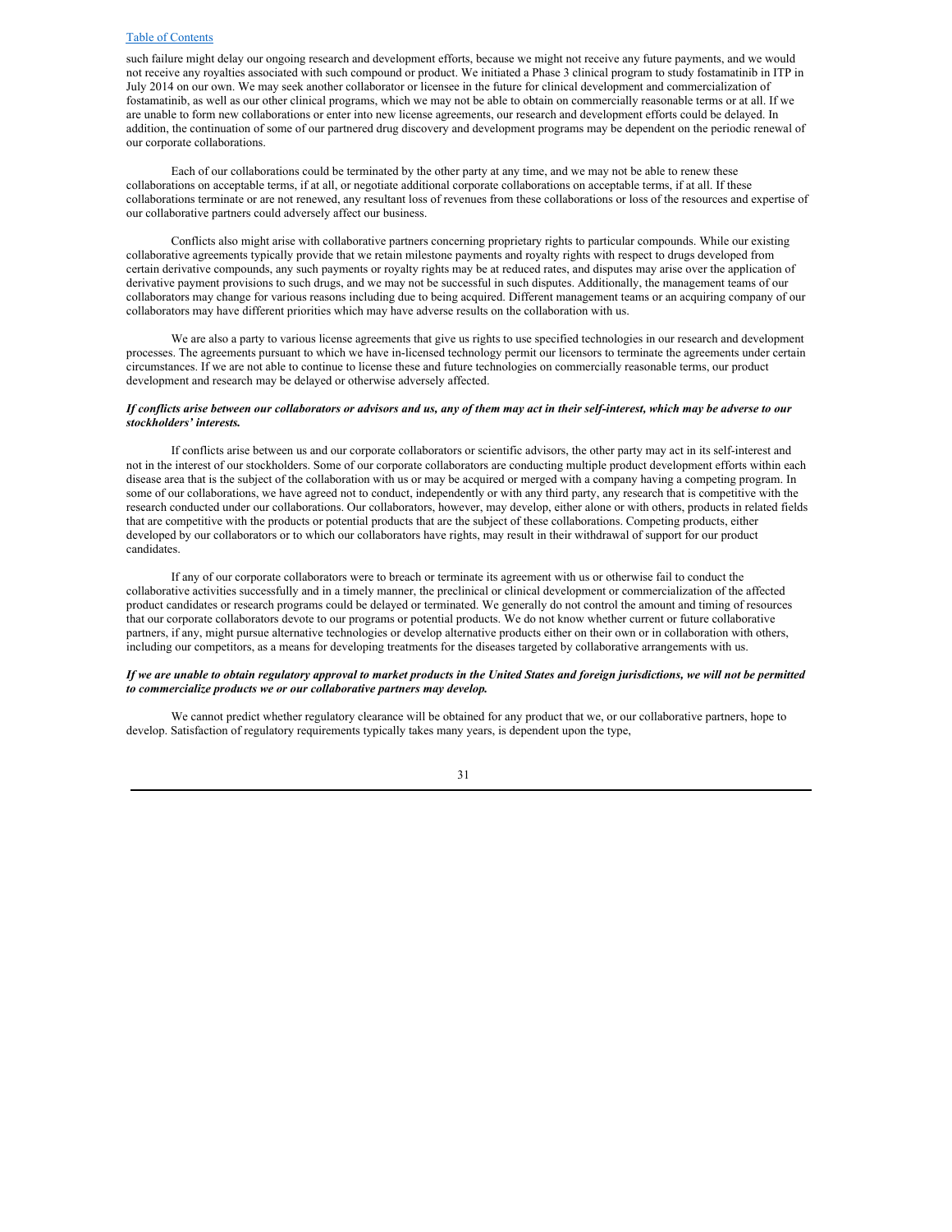such failure might delay our ongoing research and development efforts, because we might not receive any future payments, and we would not receive any royalties associated with such compound or product. We initiated a Phase 3 clinical program to study fostamatinib in ITP in July 2014 on our own. We may seek another collaborator or licensee in the future for clinical development and commercialization of fostamatinib, as well as our other clinical programs, which we may not be able to obtain on commercially reasonable terms or at all. If we are unable to form new collaborations or enter into new license agreements, our research and development efforts could be delayed. In addition, the continuation of some of our partnered drug discovery and development programs may be dependent on the periodic renewal of our corporate collaborations.

Each of our collaborations could be terminated by the other party at any time, and we may not be able to renew these collaborations on acceptable terms, if at all, or negotiate additional corporate collaborations on acceptable terms, if at all. If these collaborations terminate or are not renewed, any resultant loss of revenues from these collaborations or loss of the resources and expertise of our collaborative partners could adversely affect our business.

Conflicts also might arise with collaborative partners concerning proprietary rights to particular compounds. While our existing collaborative agreements typically provide that we retain milestone payments and royalty rights with respect to drugs developed from certain derivative compounds, any such payments or royalty rights may be at reduced rates, and disputes may arise over the application of derivative payment provisions to such drugs, and we may not be successful in such disputes. Additionally, the management teams of our collaborators may change for various reasons including due to being acquired. Different management teams or an acquiring company of our collaborators may have different priorities which may have adverse results on the collaboration with us.

We are also a party to various license agreements that give us rights to use specified technologies in our research and development processes. The agreements pursuant to which we have in-licensed technology permit our licensors to terminate the agreements under certain circumstances. If we are not able to continue to license these and future technologies on commercially reasonable terms, our product development and research may be delayed or otherwise adversely affected.

## If conflicts arise between our collaborators or advisors and us, any of them may act in their self-interest, which may be adverse to our *stockholders' interests.*

If conflicts arise between us and our corporate collaborators or scientific advisors, the other party may act in its self-interest and not in the interest of our stockholders. Some of our corporate collaborators are conducting multiple product development efforts within each disease area that is the subject of the collaboration with us or may be acquired or merged with a company having a competing program. In some of our collaborations, we have agreed not to conduct, independently or with any third party, any research that is competitive with the research conducted under our collaborations. Our collaborators, however, may develop, either alone or with others, products in related fields that are competitive with the products or potential products that are the subject of these collaborations. Competing products, either developed by our collaborators or to which our collaborators have rights, may result in their withdrawal of support for our product candidates.

If any of our corporate collaborators were to breach or terminate its agreement with us or otherwise fail to conduct the collaborative activities successfully and in a timely manner, the preclinical or clinical development or commercialization of the affected product candidates or research programs could be delayed or terminated. We generally do not control the amount and timing of resources that our corporate collaborators devote to our programs or potential products. We do not know whether current or future collaborative partners, if any, might pursue alternative technologies or develop alternative products either on their own or in collaboration with others, including our competitors, as a means for developing treatments for the diseases targeted by collaborative arrangements with us.

## If we are unable to obtain regulatory approval to market products in the United States and foreign jurisdictions, we will not be permitted *to commercialize products we or our collaborative partners may develop.*

We cannot predict whether regulatory clearance will be obtained for any product that we, or our collaborative partners, hope to develop. Satisfaction of regulatory requirements typically takes many years, is dependent upon the type,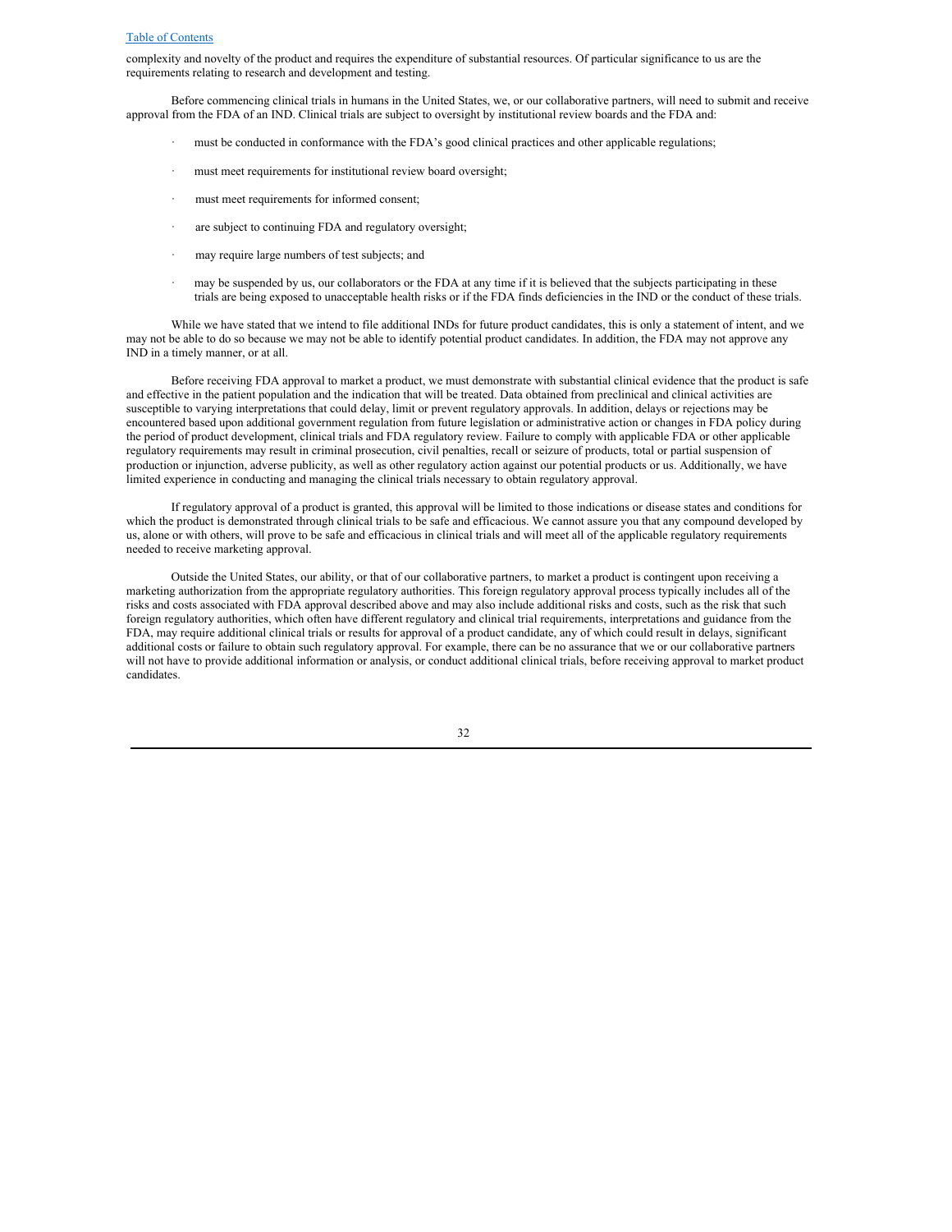complexity and novelty of the product and requires the expenditure of substantial resources. Of particular significance to us are the requirements relating to research and development and testing.

Before commencing clinical trials in humans in the United States, we, or our collaborative partners, will need to submit and receive approval from the FDA of an IND. Clinical trials are subject to oversight by institutional review boards and the FDA and:

- must be conducted in conformance with the FDA's good clinical practices and other applicable regulations;
- must meet requirements for institutional review board oversight;
- must meet requirements for informed consent;
- are subject to continuing FDA and regulatory oversight;
- may require large numbers of test subjects; and
- · may be suspended by us, our collaborators or the FDA at any time if it is believed that the subjects participating in these trials are being exposed to unacceptable health risks or if the FDA finds deficiencies in the IND or the conduct of these trials.

While we have stated that we intend to file additional INDs for future product candidates, this is only a statement of intent, and we may not be able to do so because we may not be able to identify potential product candidates. In addition, the FDA may not approve any IND in a timely manner, or at all.

Before receiving FDA approval to market a product, we must demonstrate with substantial clinical evidence that the product is safe and effective in the patient population and the indication that will be treated. Data obtained from preclinical and clinical activities are susceptible to varying interpretations that could delay, limit or prevent regulatory approvals. In addition, delays or rejections may be encountered based upon additional government regulation from future legislation or administrative action or changes in FDA policy during the period of product development, clinical trials and FDA regulatory review. Failure to comply with applicable FDA or other applicable regulatory requirements may result in criminal prosecution, civil penalties, recall or seizure of products, total or partial suspension of production or injunction, adverse publicity, as well as other regulatory action against our potential products or us. Additionally, we have limited experience in conducting and managing the clinical trials necessary to obtain regulatory approval.

If regulatory approval of a product is granted, this approval will be limited to those indications or disease states and conditions for which the product is demonstrated through clinical trials to be safe and efficacious. We cannot assure you that any compound developed by us, alone or with others, will prove to be safe and efficacious in clinical trials and will meet all of the applicable regulatory requirements needed to receive marketing approval.

Outside the United States, our ability, or that of our collaborative partners, to market a product is contingent upon receiving a marketing authorization from the appropriate regulatory authorities. This foreign regulatory approval process typically includes all of the risks and costs associated with FDA approval described above and may also include additional risks and costs, such as the risk that such foreign regulatory authorities, which often have different regulatory and clinical trial requirements, interpretations and guidance from the FDA, may require additional clinical trials or results for approval of a product candidate, any of which could result in delays, significant additional costs or failure to obtain such regulatory approval. For example, there can be no assurance that we or our collaborative partners will not have to provide additional information or analysis, or conduct additional clinical trials, before receiving approval to market product candidates.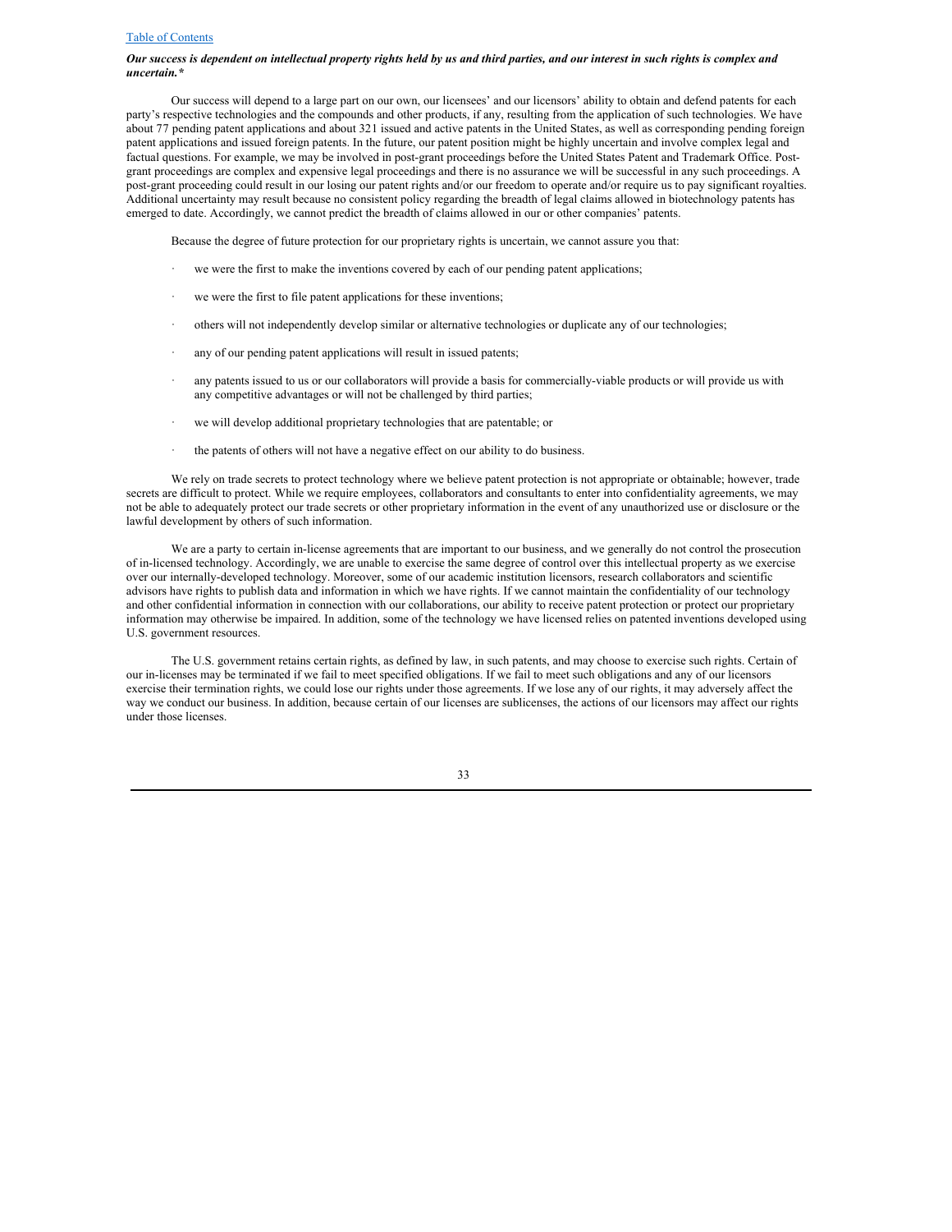## Our success is dependent on intellectual property rights held by us and third parties, and our interest in such rights is complex and *uncertain.\**

Our success will depend to a large part on our own, our licensees' and our licensors' ability to obtain and defend patents for each party's respective technologies and the compounds and other products, if any, resulting from the application of such technologies. We have about 77 pending patent applications and about 321 issued and active patents in the United States, as well as corresponding pending foreign patent applications and issued foreign patents. In the future, our patent position might be highly uncertain and involve complex legal and factual questions. For example, we may be involved in post-grant proceedings before the United States Patent and Trademark Office. Postgrant proceedings are complex and expensive legal proceedings and there is no assurance we will be successful in any such proceedings. A post-grant proceeding could result in our losing our patent rights and/or our freedom to operate and/or require us to pay significant royalties. Additional uncertainty may result because no consistent policy regarding the breadth of legal claims allowed in biotechnology patents has emerged to date. Accordingly, we cannot predict the breadth of claims allowed in our or other companies' patents.

Because the degree of future protection for our proprietary rights is uncertain, we cannot assure you that:

- we were the first to make the inventions covered by each of our pending patent applications;
- we were the first to file patent applications for these inventions;
- others will not independently develop similar or alternative technologies or duplicate any of our technologies;
- any of our pending patent applications will result in issued patents;
- any patents issued to us or our collaborators will provide a basis for commercially-viable products or will provide us with any competitive advantages or will not be challenged by third parties;
- we will develop additional proprietary technologies that are patentable; or
- the patents of others will not have a negative effect on our ability to do business.

We rely on trade secrets to protect technology where we believe patent protection is not appropriate or obtainable; however, trade secrets are difficult to protect. While we require employees, collaborators and consultants to enter into confidentiality agreements, we may not be able to adequately protect our trade secrets or other proprietary information in the event of any unauthorized use or disclosure or the lawful development by others of such information.

We are a party to certain in-license agreements that are important to our business, and we generally do not control the prosecution of in-licensed technology. Accordingly, we are unable to exercise the same degree of control over this intellectual property as we exercise over our internally-developed technology. Moreover, some of our academic institution licensors, research collaborators and scientific advisors have rights to publish data and information in which we have rights. If we cannot maintain the confidentiality of our technology and other confidential information in connection with our collaborations, our ability to receive patent protection or protect our proprietary information may otherwise be impaired. In addition, some of the technology we have licensed relies on patented inventions developed using U.S. government resources.

The U.S. government retains certain rights, as defined by law, in such patents, and may choose to exercise such rights. Certain of our in-licenses may be terminated if we fail to meet specified obligations. If we fail to meet such obligations and any of our licensors exercise their termination rights, we could lose our rights under those agreements. If we lose any of our rights, it may adversely affect the way we conduct our business. In addition, because certain of our licenses are sublicenses, the actions of our licensors may affect our rights under those licenses.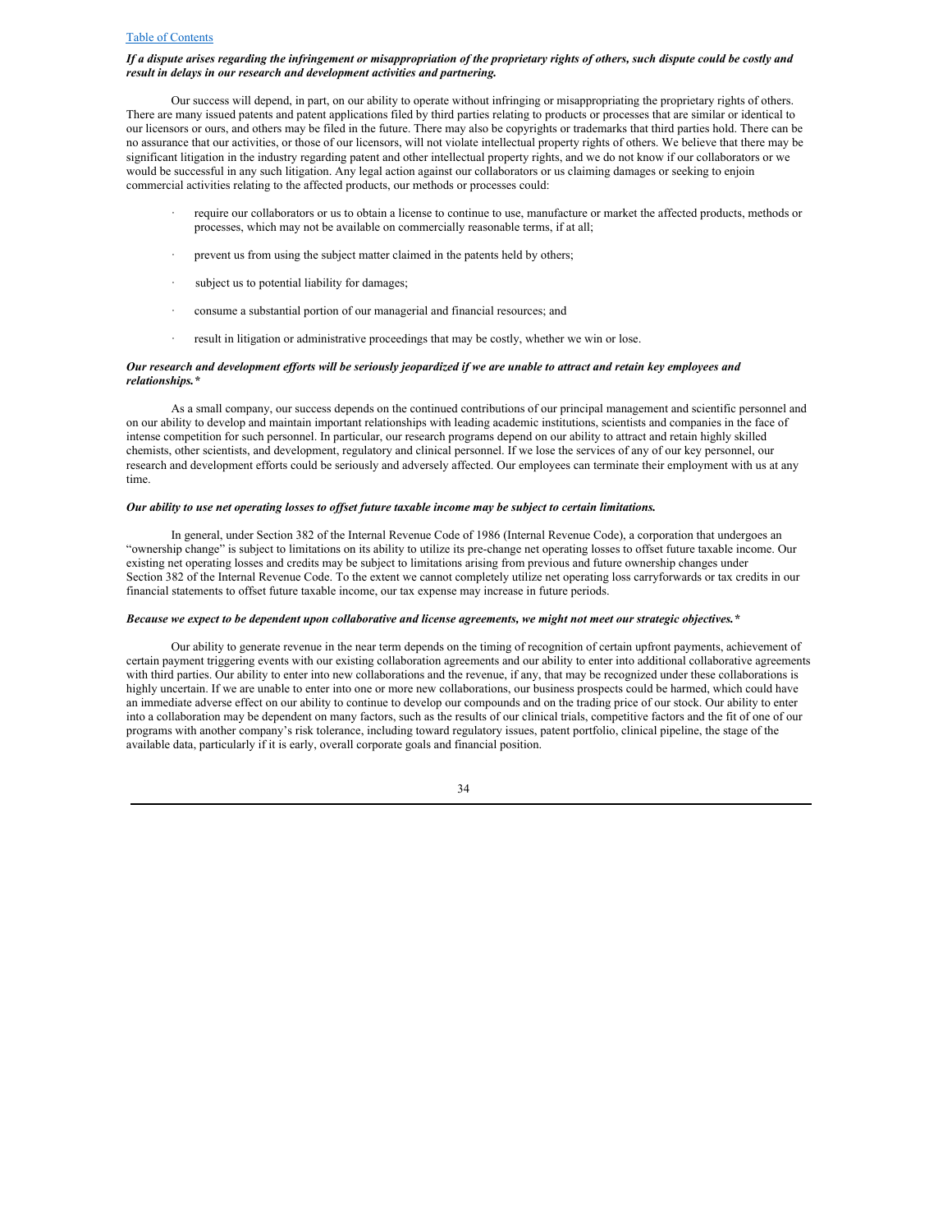#### If a dispute arises regarding the infringement or misappropriation of the proprietary rights of others, such dispute could be costly and *result in delays in our research and development activities and partnering.*

Our success will depend, in part, on our ability to operate without infringing or misappropriating the proprietary rights of others. There are many issued patents and patent applications filed by third parties relating to products or processes that are similar or identical to our licensors or ours, and others may be filed in the future. There may also be copyrights or trademarks that third parties hold. There can be no assurance that our activities, or those of our licensors, will not violate intellectual property rights of others. We believe that there may be significant litigation in the industry regarding patent and other intellectual property rights, and we do not know if our collaborators or we would be successful in any such litigation. Any legal action against our collaborators or us claiming damages or seeking to enjoin commercial activities relating to the affected products, our methods or processes could:

- require our collaborators or us to obtain a license to continue to use, manufacture or market the affected products, methods or processes, which may not be available on commercially reasonable terms, if at all;
- prevent us from using the subject matter claimed in the patents held by others;
- subject us to potential liability for damages;
- · consume a substantial portion of our managerial and financial resources; and
- result in litigation or administrative proceedings that may be costly, whether we win or lose.

## Our research and development efforts will be seriously jeopardized if we are unable to attract and retain key employees and *relationships.\**

As a small company, our success depends on the continued contributions of our principal management and scientific personnel and on our ability to develop and maintain important relationships with leading academic institutions, scientists and companies in the face of intense competition for such personnel. In particular, our research programs depend on our ability to attract and retain highly skilled chemists, other scientists, and development, regulatory and clinical personnel. If we lose the services of any of our key personnel, our research and development efforts could be seriously and adversely affected. Our employees can terminate their employment with us at any time.

#### Our ability to use net operating losses to offset future taxable income may be subject to certain limitations.

In general, under Section 382 of the Internal Revenue Code of 1986 (Internal Revenue Code), a corporation that undergoes an "ownership change" is subject to limitations on its ability to utilize its pre-change net operating losses to offset future taxable income. Our existing net operating losses and credits may be subject to limitations arising from previous and future ownership changes under Section 382 of the Internal Revenue Code. To the extent we cannot completely utilize net operating loss carryforwards or tax credits in our financial statements to offset future taxable income, our tax expense may increase in future periods.

#### Because we expect to be dependent upon collaborative and license agreements, we might not meet our strategic objectives.\*

Our ability to generate revenue in the near term depends on the timing of recognition of certain upfront payments, achievement of certain payment triggering events with our existing collaboration agreements and our ability to enter into additional collaborative agreements with third parties. Our ability to enter into new collaborations and the revenue, if any, that may be recognized under these collaborations is highly uncertain. If we are unable to enter into one or more new collaborations, our business prospects could be harmed, which could have an immediate adverse effect on our ability to continue to develop our compounds and on the trading price of our stock. Our ability to enter into a collaboration may be dependent on many factors, such as the results of our clinical trials, competitive factors and the fit of one of our programs with another company's risk tolerance, including toward regulatory issues, patent portfolio, clinical pipeline, the stage of the available data, particularly if it is early, overall corporate goals and financial position.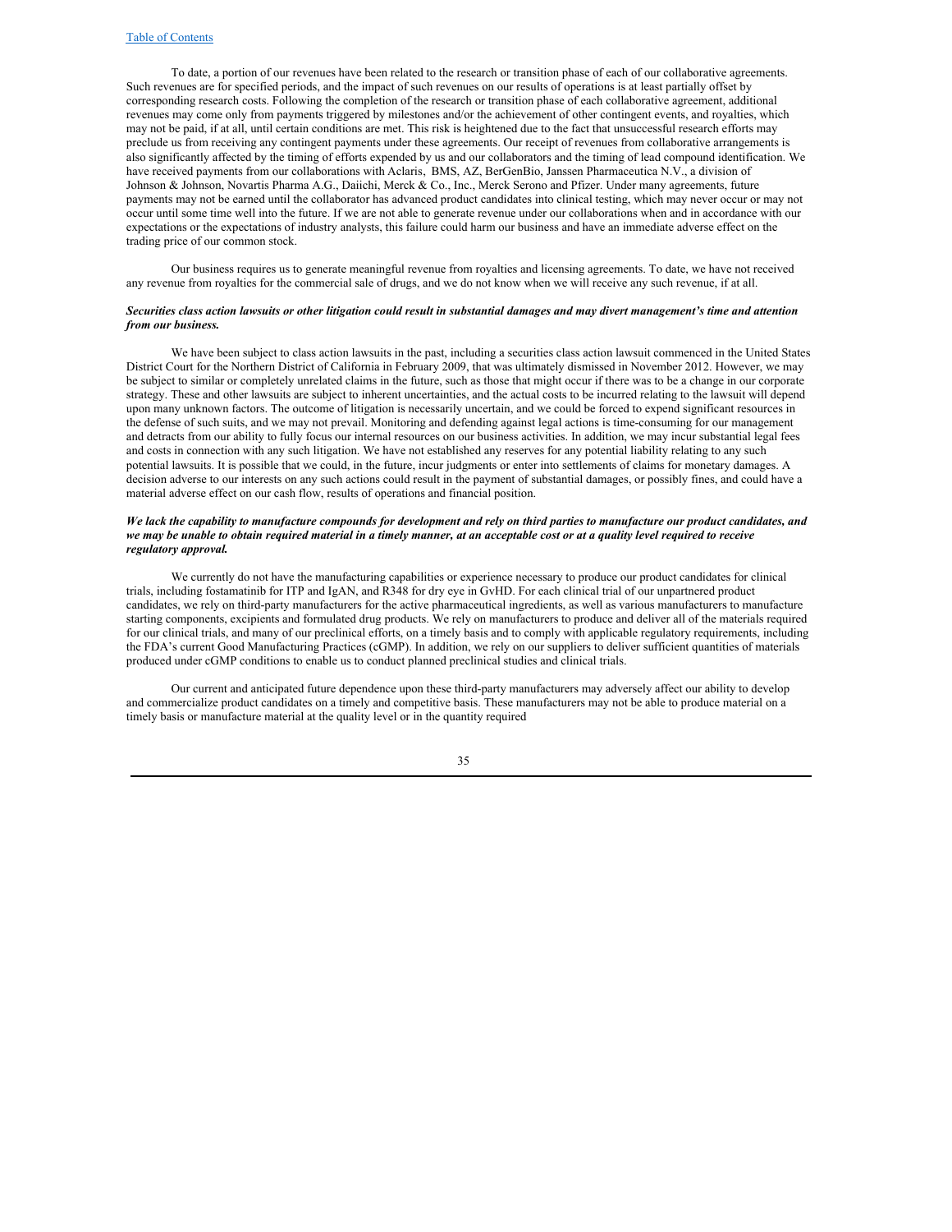To date, a portion of our revenues have been related to the research or transition phase of each of our collaborative agreements. Such revenues are for specified periods, and the impact of such revenues on our results of operations is at least partially offset by corresponding research costs. Following the completion of the research or transition phase of each collaborative agreement, additional revenues may come only from payments triggered by milestones and/or the achievement of other contingent events, and royalties, which may not be paid, if at all, until certain conditions are met. This risk is heightened due to the fact that unsuccessful research efforts may preclude us from receiving any contingent payments under these agreements. Our receipt of revenues from collaborative arrangements is also significantly affected by the timing of efforts expended by us and our collaborators and the timing of lead compound identification. We have received payments from our collaborations with Aclaris, BMS, AZ, BerGenBio, Janssen Pharmaceutica N.V., a division of Johnson & Johnson, Novartis Pharma A.G., Daiichi, Merck & Co., Inc., Merck Serono and Pfizer. Under many agreements, future payments may not be earned until the collaborator has advanced product candidates into clinical testing, which may never occur or may not occur until some time well into the future. If we are not able to generate revenue under our collaborations when and in accordance with our expectations or the expectations of industry analysts, this failure could harm our business and have an immediate adverse effect on the trading price of our common stock.

Our business requires us to generate meaningful revenue from royalties and licensing agreements. To date, we have not received any revenue from royalties for the commercial sale of drugs, and we do not know when we will receive any such revenue, if at all.

## Securities class action lawsuits or other litigation could result in substantial damages and may divert management's time and attention *from our business.*

We have been subject to class action lawsuits in the past, including a securities class action lawsuit commenced in the United States District Court for the Northern District of California in February 2009, that was ultimately dismissed in November 2012. However, we may be subject to similar or completely unrelated claims in the future, such as those that might occur if there was to be a change in our corporate strategy. These and other lawsuits are subject to inherent uncertainties, and the actual costs to be incurred relating to the lawsuit will depend upon many unknown factors. The outcome of litigation is necessarily uncertain, and we could be forced to expend significant resources in the defense of such suits, and we may not prevail. Monitoring and defending against legal actions is time-consuming for our management and detracts from our ability to fully focus our internal resources on our business activities. In addition, we may incur substantial legal fees and costs in connection with any such litigation. We have not established any reserves for any potential liability relating to any such potential lawsuits. It is possible that we could, in the future, incur judgments or enter into settlements of claims for monetary damages. A decision adverse to our interests on any such actions could result in the payment of substantial damages, or possibly fines, and could have a material adverse effect on our cash flow, results of operations and financial position.

## We lack the capability to manufacture compounds for development and rely on third parties to manufacture our product candidates, and we may be unable to obtain required material in a timely manner, at an acceptable cost or at a quality level required to receive *regulatory approval.*

We currently do not have the manufacturing capabilities or experience necessary to produce our product candidates for clinical trials, including fostamatinib for ITP and IgAN, and R348 for dry eye in GvHD. For each clinical trial of our unpartnered product candidates, we rely on third-party manufacturers for the active pharmaceutical ingredients, as well as various manufacturers to manufacture starting components, excipients and formulated drug products. We rely on manufacturers to produce and deliver all of the materials required for our clinical trials, and many of our preclinical efforts, on a timely basis and to comply with applicable regulatory requirements, including the FDA's current Good Manufacturing Practices (cGMP). In addition, we rely on our suppliers to deliver sufficient quantities of materials produced under cGMP conditions to enable us to conduct planned preclinical studies and clinical trials.

Our current and anticipated future dependence upon these third-party manufacturers may adversely affect our ability to develop and commercialize product candidates on a timely and competitive basis. These manufacturers may not be able to produce material on a timely basis or manufacture material at the quality level or in the quantity required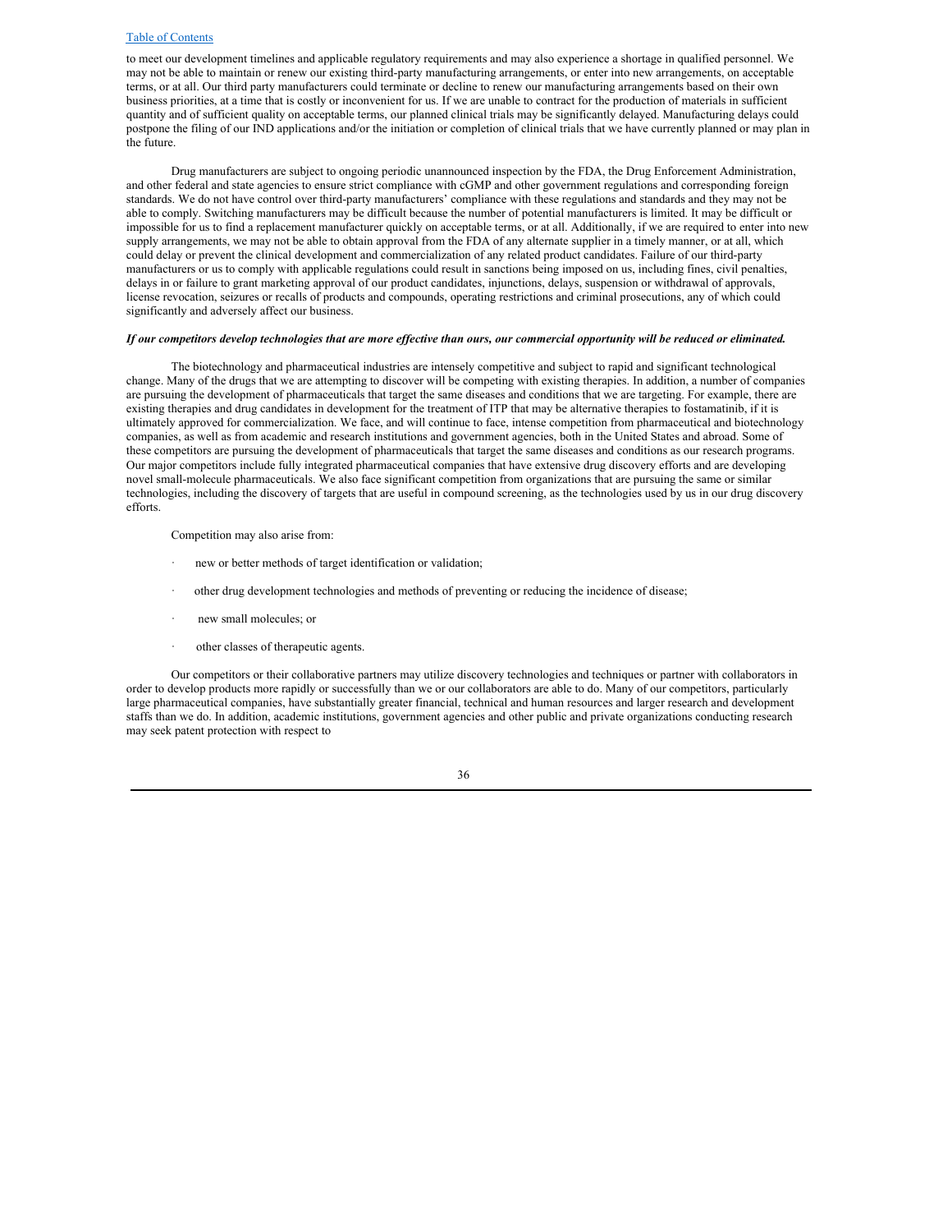to meet our development timelines and applicable regulatory requirements and may also experience a shortage in qualified personnel. We may not be able to maintain or renew our existing third-party manufacturing arrangements, or enter into new arrangements, on acceptable terms, or at all. Our third party manufacturers could terminate or decline to renew our manufacturing arrangements based on their own business priorities, at a time that is costly or inconvenient for us. If we are unable to contract for the production of materials in sufficient quantity and of sufficient quality on acceptable terms, our planned clinical trials may be significantly delayed. Manufacturing delays could postpone the filing of our IND applications and/or the initiation or completion of clinical trials that we have currently planned or may plan in the future.

Drug manufacturers are subject to ongoing periodic unannounced inspection by the FDA, the Drug Enforcement Administration, and other federal and state agencies to ensure strict compliance with cGMP and other government regulations and corresponding foreign standards. We do not have control over third-party manufacturers' compliance with these regulations and standards and they may not be able to comply. Switching manufacturers may be difficult because the number of potential manufacturers is limited. It may be difficult or impossible for us to find a replacement manufacturer quickly on acceptable terms, or at all. Additionally, if we are required to enter into new supply arrangements, we may not be able to obtain approval from the FDA of any alternate supplier in a timely manner, or at all, which could delay or prevent the clinical development and commercialization of any related product candidates. Failure of our third-party manufacturers or us to comply with applicable regulations could result in sanctions being imposed on us, including fines, civil penalties, delays in or failure to grant marketing approval of our product candidates, injunctions, delays, suspension or withdrawal of approvals, license revocation, seizures or recalls of products and compounds, operating restrictions and criminal prosecutions, any of which could significantly and adversely affect our business.

### If our competitors develop technologies that are more effective than ours, our commercial opportunity will be reduced or eliminated.

The biotechnology and pharmaceutical industries are intensely competitive and subject to rapid and significant technological change. Many of the drugs that we are attempting to discover will be competing with existing therapies. In addition, a number of companies are pursuing the development of pharmaceuticals that target the same diseases and conditions that we are targeting. For example, there are existing therapies and drug candidates in development for the treatment of ITP that may be alternative therapies to fostamatinib, if it is ultimately approved for commercialization. We face, and will continue to face, intense competition from pharmaceutical and biotechnology companies, as well as from academic and research institutions and government agencies, both in the United States and abroad. Some of these competitors are pursuing the development of pharmaceuticals that target the same diseases and conditions as our research programs. Our major competitors include fully integrated pharmaceutical companies that have extensive drug discovery efforts and are developing novel small-molecule pharmaceuticals. We also face significant competition from organizations that are pursuing the same or similar technologies, including the discovery of targets that are useful in compound screening, as the technologies used by us in our drug discovery efforts.

Competition may also arise from:

- new or better methods of target identification or validation;
- other drug development technologies and methods of preventing or reducing the incidence of disease;
- new small molecules; or
- other classes of therapeutic agents.

Our competitors or their collaborative partners may utilize discovery technologies and techniques or partner with collaborators in order to develop products more rapidly or successfully than we or our collaborators are able to do. Many of our competitors, particularly large pharmaceutical companies, have substantially greater financial, technical and human resources and larger research and development staffs than we do. In addition, academic institutions, government agencies and other public and private organizations conducting research may seek patent protection with respect to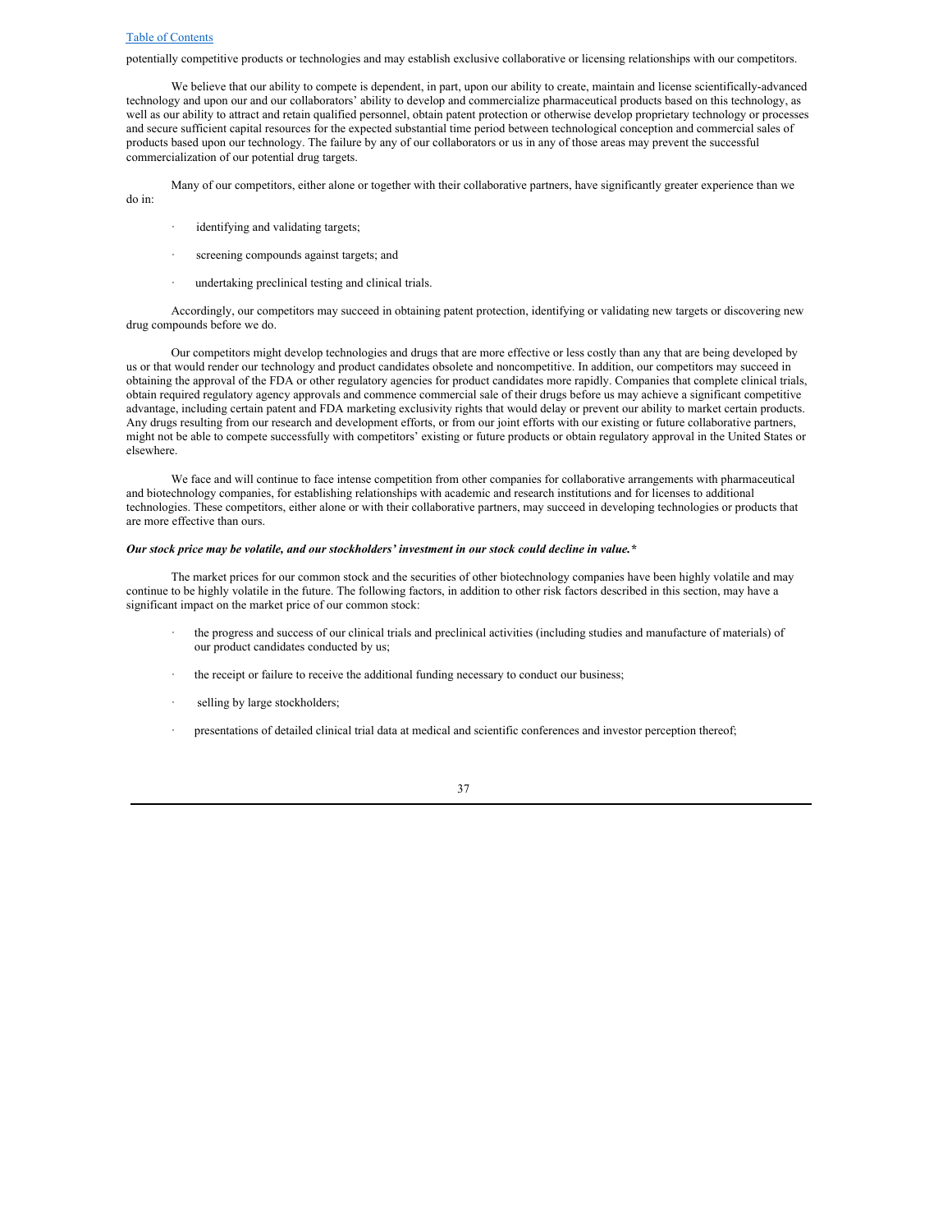potentially competitive products or technologies and may establish exclusive collaborative or licensing relationships with our competitors.

We believe that our ability to compete is dependent, in part, upon our ability to create, maintain and license scientifically-advanced technology and upon our and our collaborators' ability to develop and commercialize pharmaceutical products based on this technology, as well as our ability to attract and retain qualified personnel, obtain patent protection or otherwise develop proprietary technology or processes and secure sufficient capital resources for the expected substantial time period between technological conception and commercial sales of products based upon our technology. The failure by any of our collaborators or us in any of those areas may prevent the successful commercialization of our potential drug targets.

Many of our competitors, either alone or together with their collaborative partners, have significantly greater experience than we do in:

- identifying and validating targets;
- screening compounds against targets; and
- undertaking preclinical testing and clinical trials.

Accordingly, our competitors may succeed in obtaining patent protection, identifying or validating new targets or discovering new drug compounds before we do.

Our competitors might develop technologies and drugs that are more effective or less costly than any that are being developed by us or that would render our technology and product candidates obsolete and noncompetitive. In addition, our competitors may succeed in obtaining the approval of the FDA or other regulatory agencies for product candidates more rapidly. Companies that complete clinical trials, obtain required regulatory agency approvals and commence commercial sale of their drugs before us may achieve a significant competitive advantage, including certain patent and FDA marketing exclusivity rights that would delay or prevent our ability to market certain products. Any drugs resulting from our research and development efforts, or from our joint efforts with our existing or future collaborative partners, might not be able to compete successfully with competitors' existing or future products or obtain regulatory approval in the United States or elsewhere.

We face and will continue to face intense competition from other companies for collaborative arrangements with pharmaceutical and biotechnology companies, for establishing relationships with academic and research institutions and for licenses to additional technologies. These competitors, either alone or with their collaborative partners, may succeed in developing technologies or products that are more effective than ours.

#### *Our stock price may be volatile, and our stockholders' investment in our stock could decline in value.\**

The market prices for our common stock and the securities of other biotechnology companies have been highly volatile and may continue to be highly volatile in the future. The following factors, in addition to other risk factors described in this section, may have a significant impact on the market price of our common stock:

- the progress and success of our clinical trials and preclinical activities (including studies and manufacture of materials) of our product candidates conducted by us;
- the receipt or failure to receive the additional funding necessary to conduct our business;
- selling by large stockholders;
- presentations of detailed clinical trial data at medical and scientific conferences and investor perception thereof;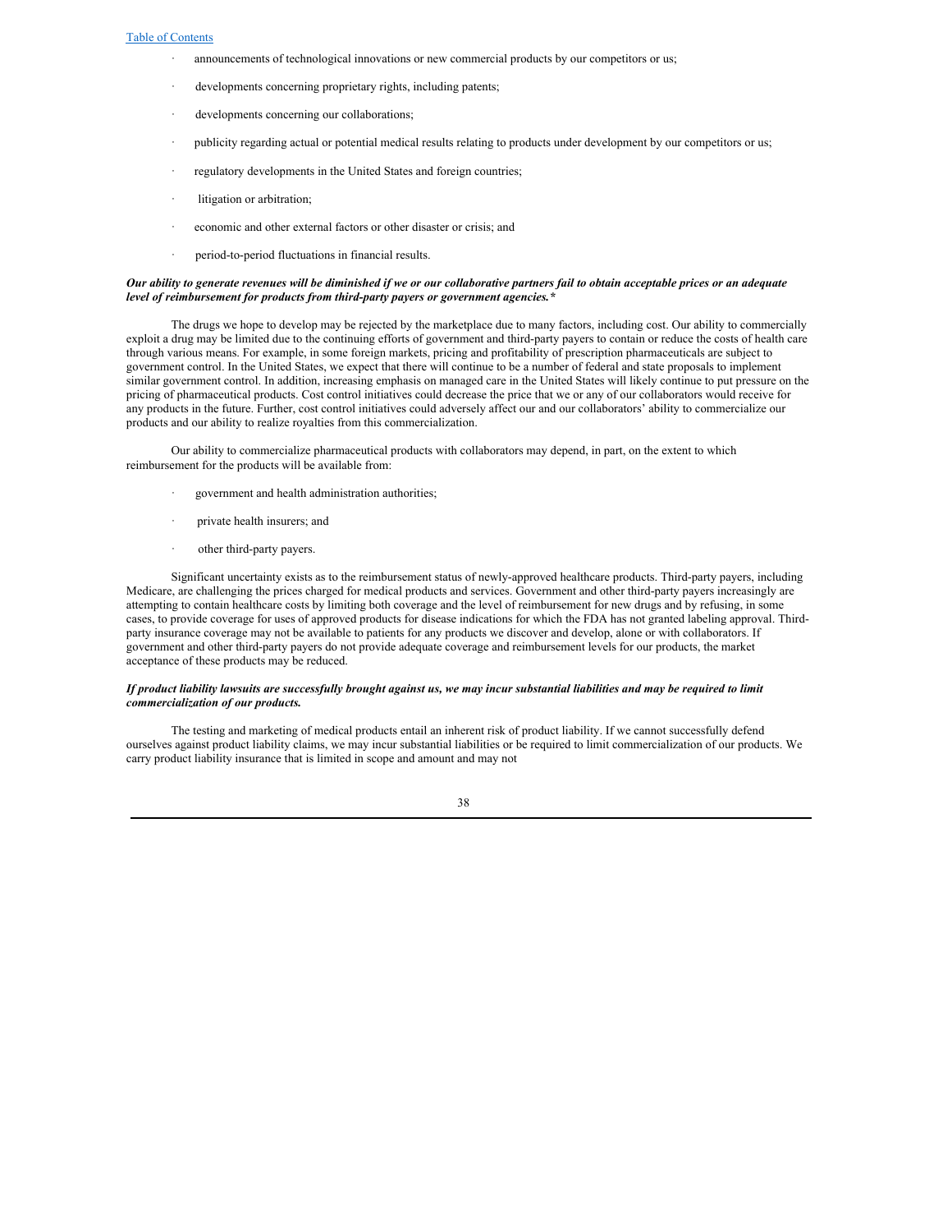- announcements of technological innovations or new commercial products by our competitors or us;
- developments concerning proprietary rights, including patents;
- developments concerning our collaborations;
- publicity regarding actual or potential medical results relating to products under development by our competitors or us;
- regulatory developments in the United States and foreign countries;
- litigation or arbitration;
- economic and other external factors or other disaster or crisis; and
- period-to-period fluctuations in financial results.

## Our ability to generate revenues will be diminished if we or our collaborative partners fail to obtain acceptable prices or an adequate *level of reimbursement for products from third-party payers or government agencies.\**

The drugs we hope to develop may be rejected by the marketplace due to many factors, including cost. Our ability to commercially exploit a drug may be limited due to the continuing efforts of government and third-party payers to contain or reduce the costs of health care through various means. For example, in some foreign markets, pricing and profitability of prescription pharmaceuticals are subject to government control. In the United States, we expect that there will continue to be a number of federal and state proposals to implement similar government control. In addition, increasing emphasis on managed care in the United States will likely continue to put pressure on the pricing of pharmaceutical products. Cost control initiatives could decrease the price that we or any of our collaborators would receive for any products in the future. Further, cost control initiatives could adversely affect our and our collaborators' ability to commercialize our products and our ability to realize royalties from this commercialization.

Our ability to commercialize pharmaceutical products with collaborators may depend, in part, on the extent to which reimbursement for the products will be available from:

- government and health administration authorities;
- private health insurers; and
- other third-party payers.

Significant uncertainty exists as to the reimbursement status of newly-approved healthcare products. Third-party payers, including Medicare, are challenging the prices charged for medical products and services. Government and other third-party payers increasingly are attempting to contain healthcare costs by limiting both coverage and the level of reimbursement for new drugs and by refusing, in some cases, to provide coverage for uses of approved products for disease indications for which the FDA has not granted labeling approval. Thirdparty insurance coverage may not be available to patients for any products we discover and develop, alone or with collaborators. If government and other third-party payers do not provide adequate coverage and reimbursement levels for our products, the market acceptance of these products may be reduced.

## If product liability lawsuits are successfully brought against us, we may incur substantial liabilities and may be required to limit *commercialization of our products.*

The testing and marketing of medical products entail an inherent risk of product liability. If we cannot successfully defend ourselves against product liability claims, we may incur substantial liabilities or be required to limit commercialization of our products. We carry product liability insurance that is limited in scope and amount and may not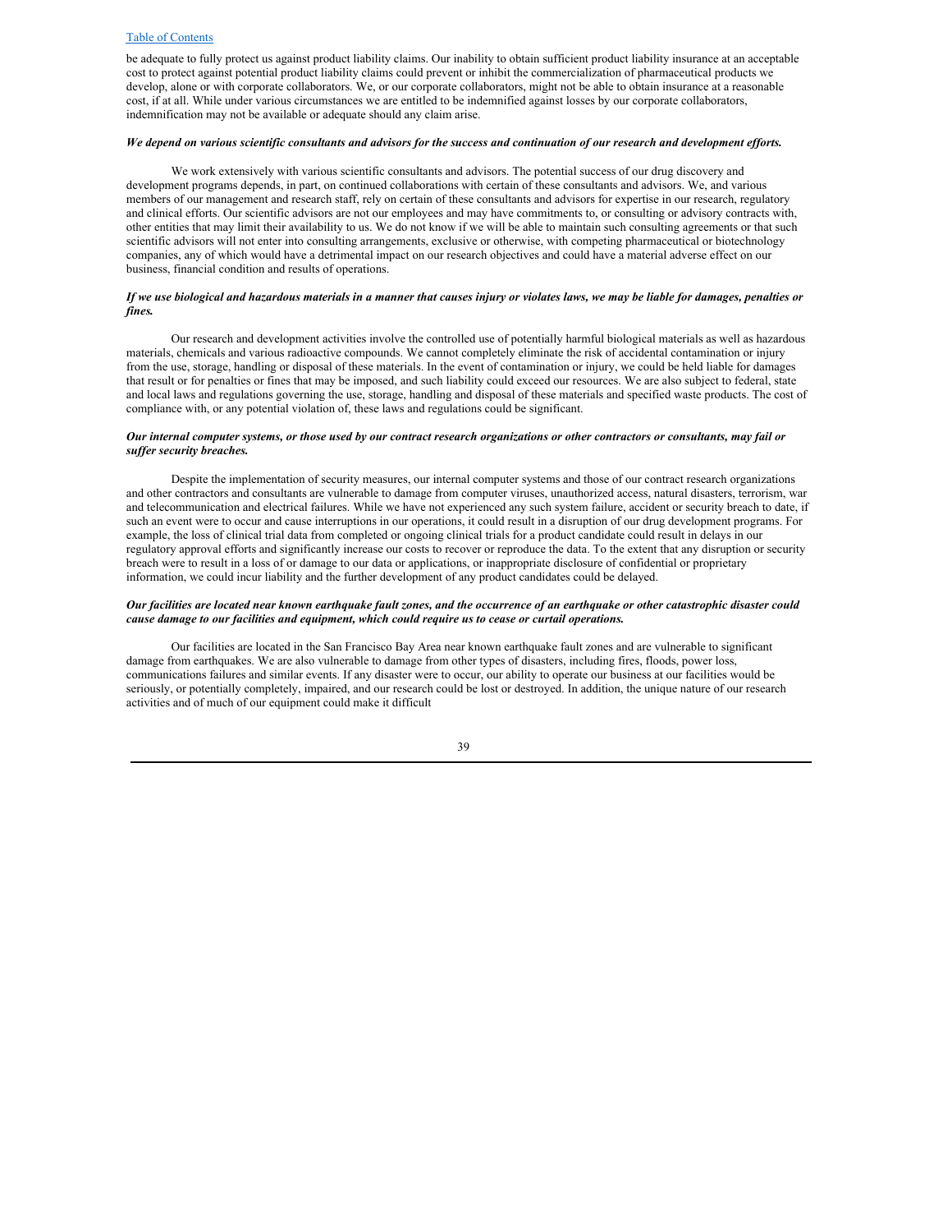be adequate to fully protect us against product liability claims. Our inability to obtain sufficient product liability insurance at an acceptable cost to protect against potential product liability claims could prevent or inhibit the commercialization of pharmaceutical products we develop, alone or with corporate collaborators. We, or our corporate collaborators, might not be able to obtain insurance at a reasonable cost, if at all. While under various circumstances we are entitled to be indemnified against losses by our corporate collaborators, indemnification may not be available or adequate should any claim arise.

## We depend on various scientific consultants and advisors for the success and continuation of our research and development efforts.

We work extensively with various scientific consultants and advisors. The potential success of our drug discovery and development programs depends, in part, on continued collaborations with certain of these consultants and advisors. We, and various members of our management and research staff, rely on certain of these consultants and advisors for expertise in our research, regulatory and clinical efforts. Our scientific advisors are not our employees and may have commitments to, or consulting or advisory contracts with, other entities that may limit their availability to us. We do not know if we will be able to maintain such consulting agreements or that such scientific advisors will not enter into consulting arrangements, exclusive or otherwise, with competing pharmaceutical or biotechnology companies, any of which would have a detrimental impact on our research objectives and could have a material adverse effect on our business, financial condition and results of operations.

## If we use biological and hazardous materials in a manner that causes injury or violates laws, we may be liable for damages, penalties or *fines.*

Our research and development activities involve the controlled use of potentially harmful biological materials as well as hazardous materials, chemicals and various radioactive compounds. We cannot completely eliminate the risk of accidental contamination or injury from the use, storage, handling or disposal of these materials. In the event of contamination or injury, we could be held liable for damages that result or for penalties or fines that may be imposed, and such liability could exceed our resources. We are also subject to federal, state and local laws and regulations governing the use, storage, handling and disposal of these materials and specified waste products. The cost of compliance with, or any potential violation of, these laws and regulations could be significant.

## Our internal computer systems, or those used by our contract research organizations or other contractors or consultants, may fail or *suf er security breaches.*

Despite the implementation of security measures, our internal computer systems and those of our contract research organizations and other contractors and consultants are vulnerable to damage from computer viruses, unauthorized access, natural disasters, terrorism, war and telecommunication and electrical failures. While we have not experienced any such system failure, accident or security breach to date, if such an event were to occur and cause interruptions in our operations, it could result in a disruption of our drug development programs. For example, the loss of clinical trial data from completed or ongoing clinical trials for a product candidate could result in delays in our regulatory approval efforts and significantly increase our costs to recover or reproduce the data. To the extent that any disruption or security breach were to result in a loss of or damage to our data or applications, or inappropriate disclosure of confidential or proprietary information, we could incur liability and the further development of any product candidates could be delayed.

## Our facilities are located near known earthquake fault zones, and the occurrence of an earthquake or other catastrophic disaster could *cause damage to our facilities and equipment, which could require us to cease or curtail operations.*

Our facilities are located in the San Francisco Bay Area near known earthquake fault zones and are vulnerable to significant damage from earthquakes. We are also vulnerable to damage from other types of disasters, including fires, floods, power loss, communications failures and similar events. If any disaster were to occur, our ability to operate our business at our facilities would be seriously, or potentially completely, impaired, and our research could be lost or destroyed. In addition, the unique nature of our research activities and of much of our equipment could make it difficult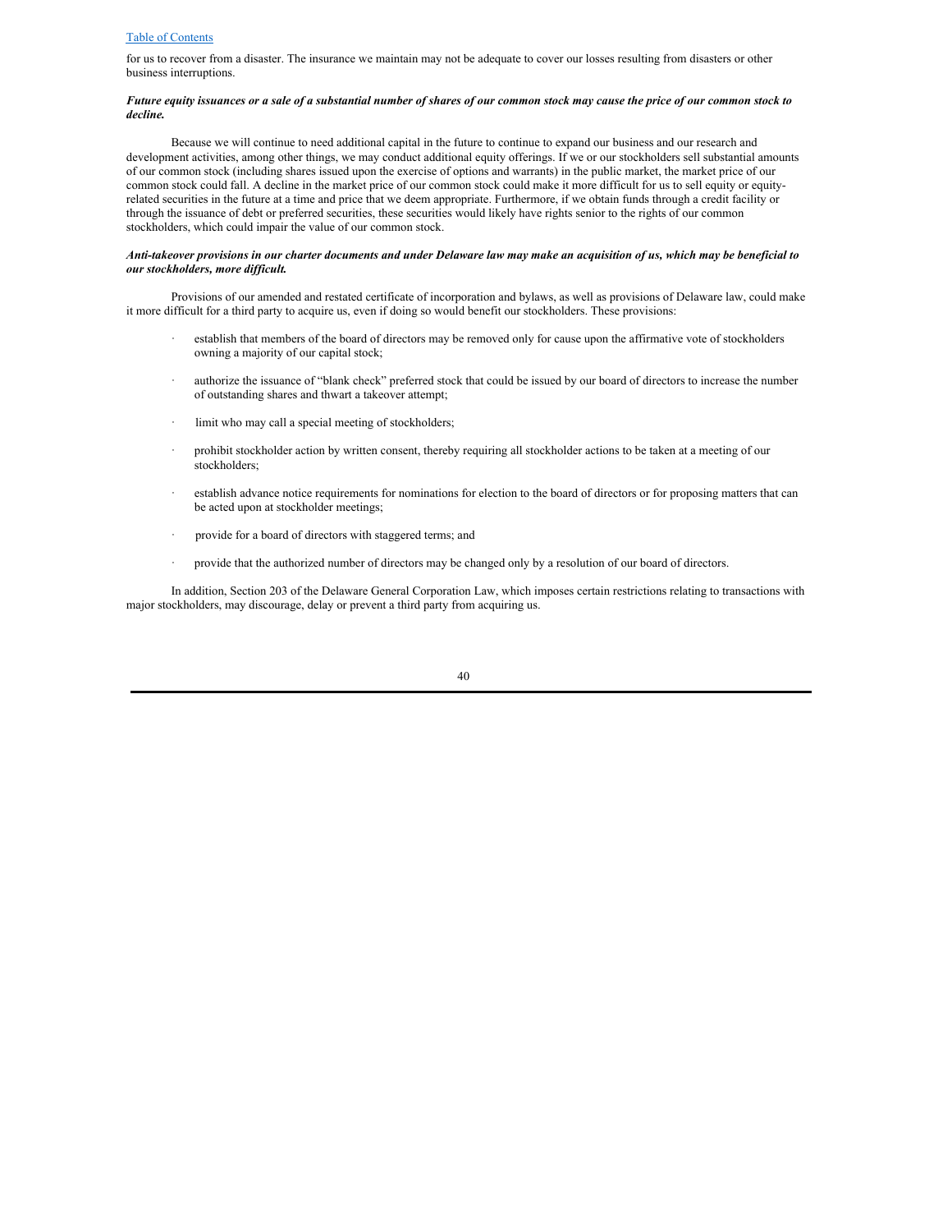for us to recover from a disaster. The insurance we maintain may not be adequate to cover our losses resulting from disasters or other business interruptions.

## Future equity issuances or a sale of a substantial number of shares of our common stock may cause the price of our common stock to *decline.*

Because we will continue to need additional capital in the future to continue to expand our business and our research and development activities, among other things, we may conduct additional equity offerings. If we or our stockholders sell substantial amounts of our common stock (including shares issued upon the exercise of options and warrants) in the public market, the market price of our common stock could fall. A decline in the market price of our common stock could make it more difficult for us to sell equity or equityrelated securities in the future at a time and price that we deem appropriate. Furthermore, if we obtain funds through a credit facility or through the issuance of debt or preferred securities, these securities would likely have rights senior to the rights of our common stockholders, which could impair the value of our common stock.

## Anti-takeover provisions in our charter documents and under Delaware law may make an acquisition of us, which may be beneficial to *our stockholders, more dif icult.*

Provisions of our amended and restated certificate of incorporation and bylaws, as well as provisions of Delaware law, could make it more difficult for a third party to acquire us, even if doing so would benefit our stockholders. These provisions:

- establish that members of the board of directors may be removed only for cause upon the affirmative vote of stockholders owning a majority of our capital stock;
- · authorize the issuance of "blank check" preferred stock that could be issued by our board of directors to increase the number of outstanding shares and thwart a takeover attempt;
- limit who may call a special meeting of stockholders;
- prohibit stockholder action by written consent, thereby requiring all stockholder actions to be taken at a meeting of our stockholders;
- establish advance notice requirements for nominations for election to the board of directors or for proposing matters that can be acted upon at stockholder meetings;
- provide for a board of directors with staggered terms; and
- provide that the authorized number of directors may be changed only by a resolution of our board of directors.

In addition, Section 203 of the Delaware General Corporation Law, which imposes certain restrictions relating to transactions with major stockholders, may discourage, delay or prevent a third party from acquiring us.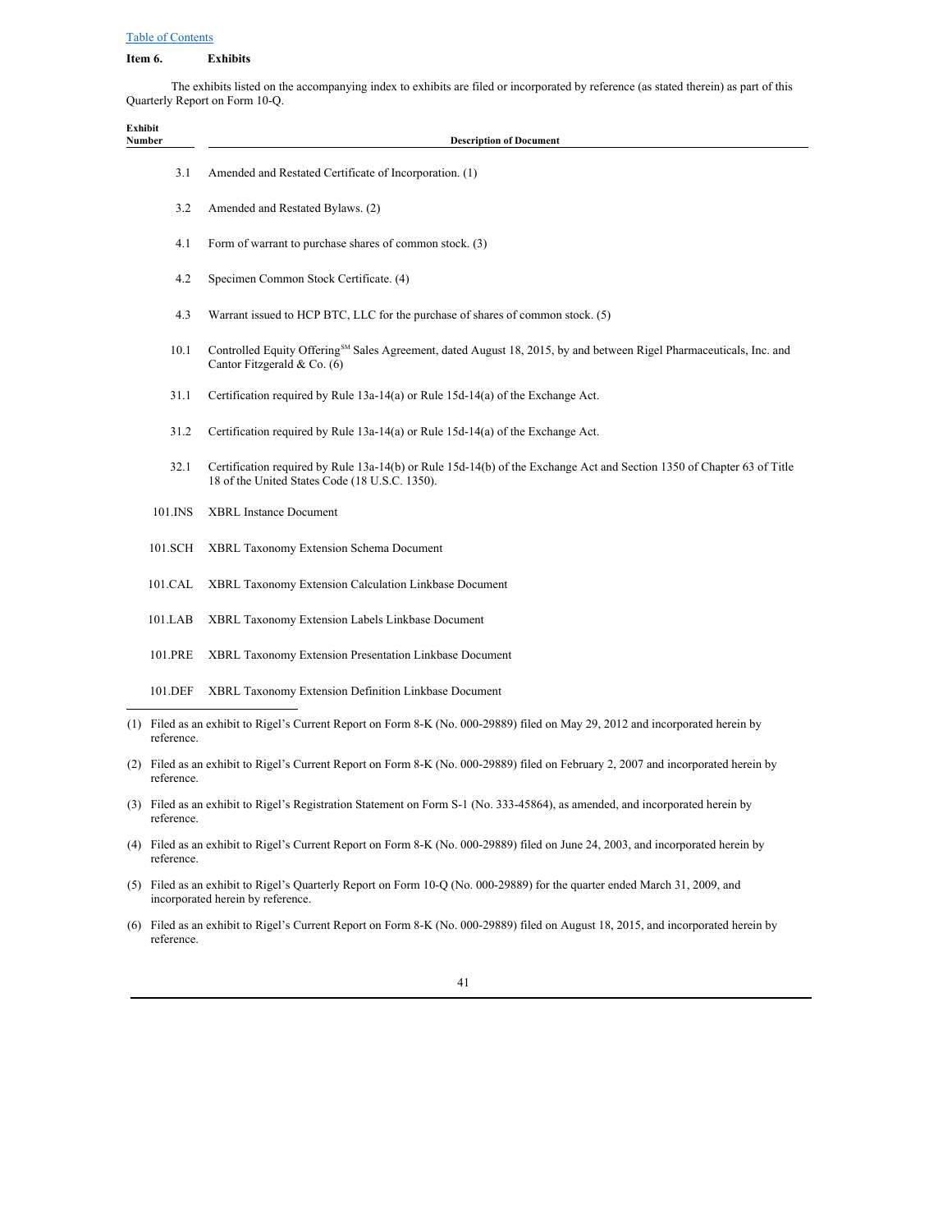# <span id="page-40-0"></span>**Item 6. Exhibits**

The exhibits listed on the accompanying index to exhibits are filed or incorporated by reference (as stated therein) as part of this Quarterly Report on Form 10-Q.

| Exhibit<br>Number |                                                                                                                                                  | <b>Description of Document</b>                                                                                                                                           |  |  |
|-------------------|--------------------------------------------------------------------------------------------------------------------------------------------------|--------------------------------------------------------------------------------------------------------------------------------------------------------------------------|--|--|
| 3.1               |                                                                                                                                                  | Amended and Restated Certificate of Incorporation. (1)                                                                                                                   |  |  |
|                   | 3.2                                                                                                                                              | Amended and Restated Bylaws. (2)                                                                                                                                         |  |  |
|                   | 4.1                                                                                                                                              | Form of warrant to purchase shares of common stock. (3)                                                                                                                  |  |  |
|                   | 4.2                                                                                                                                              | Specimen Common Stock Certificate. (4)                                                                                                                                   |  |  |
|                   | 4.3                                                                                                                                              | Warrant issued to HCP BTC, LLC for the purchase of shares of common stock. (5)                                                                                           |  |  |
|                   | 10.1                                                                                                                                             | Controlled Equity Offering <sup>SM</sup> Sales Agreement, dated August 18, 2015, by and between Rigel Pharmaceuticals, Inc. and<br>Cantor Fitzgerald & Co. (6)           |  |  |
|                   | 31.1                                                                                                                                             | Certification required by Rule $13a-14(a)$ or Rule $15d-14(a)$ of the Exchange Act.                                                                                      |  |  |
|                   | 31.2                                                                                                                                             | Certification required by Rule 13a-14(a) or Rule 15d-14(a) of the Exchange Act.                                                                                          |  |  |
|                   | 32.1                                                                                                                                             | Certification required by Rule 13a-14(b) or Rule 15d-14(b) of the Exchange Act and Section 1350 of Chapter 63 of Title<br>18 of the United States Code (18 U.S.C. 1350). |  |  |
|                   | 101.INS                                                                                                                                          | <b>XBRL Instance Document</b>                                                                                                                                            |  |  |
|                   | 101.SCH                                                                                                                                          | XBRL Taxonomy Extension Schema Document                                                                                                                                  |  |  |
|                   | 101.CAL                                                                                                                                          | XBRL Taxonomy Extension Calculation Linkbase Document                                                                                                                    |  |  |
|                   | 101.LAB                                                                                                                                          | XBRL Taxonomy Extension Labels Linkbase Document                                                                                                                         |  |  |
|                   | 101.PRE                                                                                                                                          | XBRL Taxonomy Extension Presentation Linkbase Document                                                                                                                   |  |  |
|                   | 101.DEF                                                                                                                                          | XBRL Taxonomy Extension Definition Linkbase Document                                                                                                                     |  |  |
|                   | (1) Filed as an exhibit to Rigel's Current Report on Form 8-K (No. 000-29889) filed on May 29, 2012 and incorporated herein by<br>reference.     |                                                                                                                                                                          |  |  |
|                   | (2) Filed as an exhibit to Rigel's Current Report on Form 8-K (No. 000-29889) filed on February 2, 2007 and incorporated herein by<br>reference. |                                                                                                                                                                          |  |  |

- (3) Filed as an exhibit to Rigel's Registration Statement on Form S-1 (No. 333-45864), as amended, and incorporated herein by reference.
- (4) Filed as an exhibit to Rigel's Current Report on Form 8-K (No. 000-29889) filed on June 24, 2003, and incorporated herein by reference.
- (5) Filed as an exhibit to Rigel's Quarterly Report on Form 10-Q (No. 000-29889) for the quarter ended March 31, 2009, and incorporated herein by reference.
- (6) Filed as an exhibit to Rigel's Current Report on Form 8-K (No. 000-29889) filed on August 18, 2015, and incorporated herein by reference.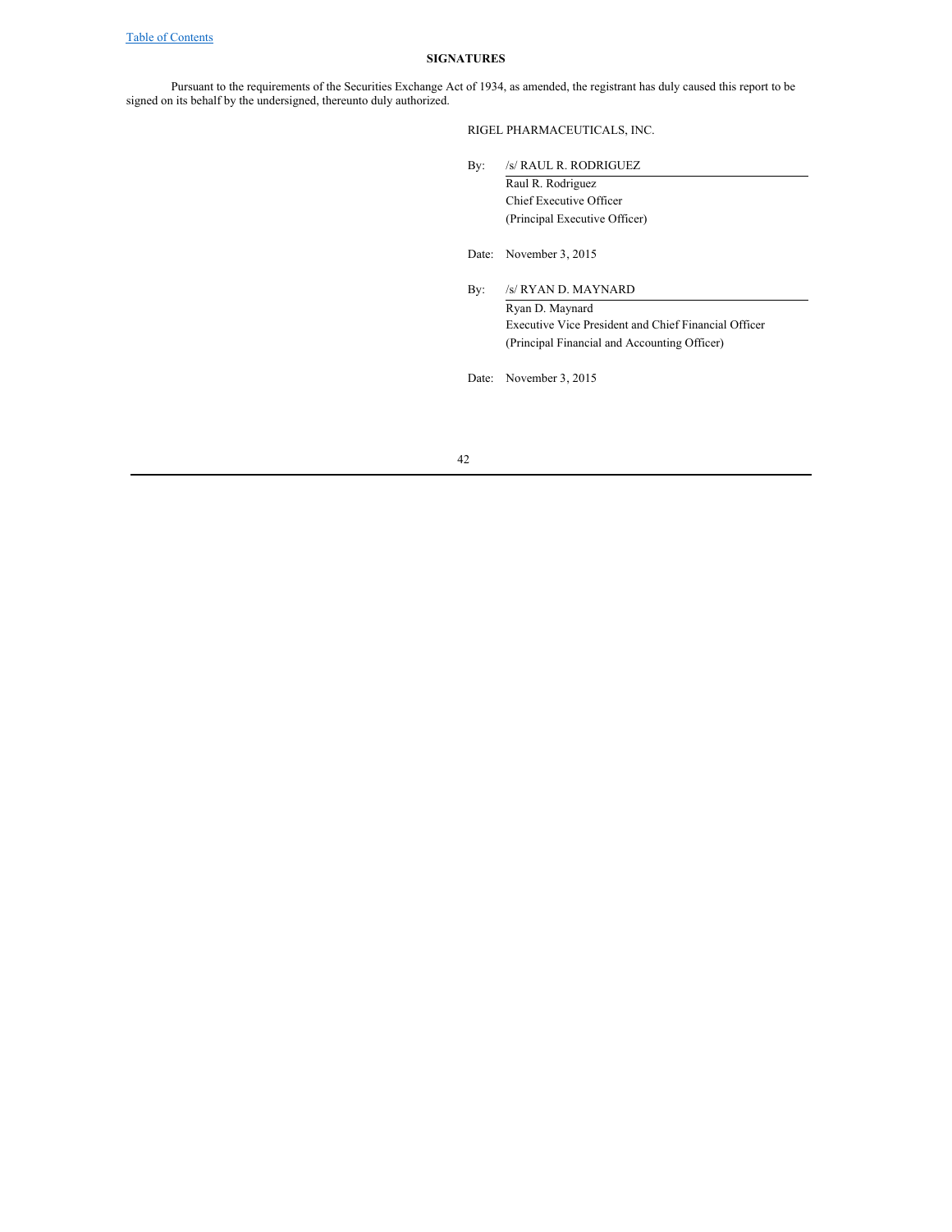# <span id="page-41-0"></span>**SIGNATURES**

Pursuant to the requirements of the Securities Exchange Act of 1934, as amended, the registrant has duly caused this report to be signed on its behalf by the undersigned, thereunto duly authorized.

RIGEL PHARMACEUTICALS, INC.

By: /s/ RAUL R. RODRIGUEZ Raul R. Rodriguez

Chief Executive Officer (Principal Executive Officer)

- Date: November 3, 2015
- By: /s/ RYAN D. MAYNARD Ryan D. Maynard Executive Vice President and Chief Financial Officer (Principal Financial and Accounting Officer)

Date: November 3, 2015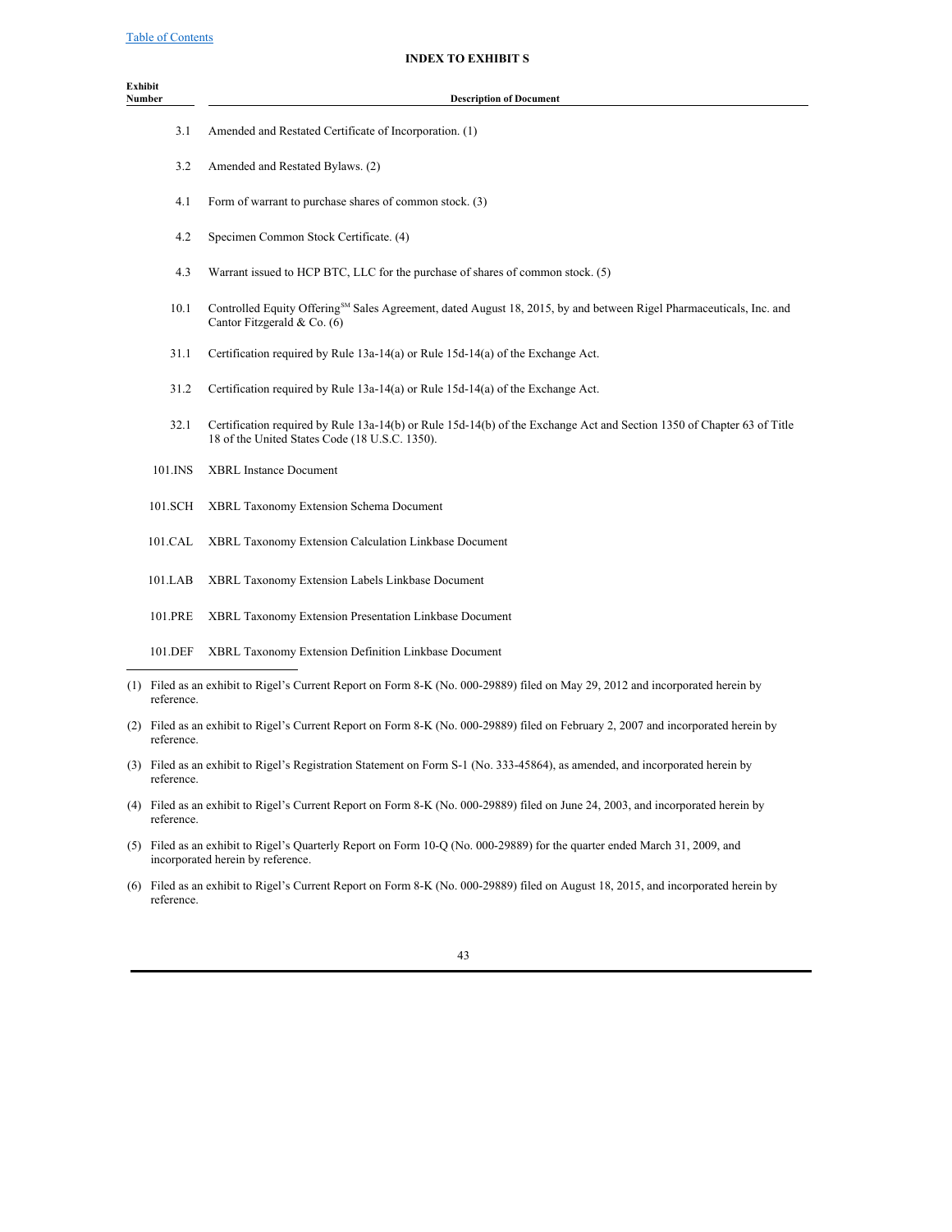## **INDEX TO EXHIBIT S**

| Exhibit<br>Number |                                                                                                                                              | <b>Description of Document</b>                                                                                                                                           |  |  |
|-------------------|----------------------------------------------------------------------------------------------------------------------------------------------|--------------------------------------------------------------------------------------------------------------------------------------------------------------------------|--|--|
|                   | 3.1                                                                                                                                          | Amended and Restated Certificate of Incorporation. (1)                                                                                                                   |  |  |
|                   | 3.2                                                                                                                                          | Amended and Restated Bylaws. (2)                                                                                                                                         |  |  |
|                   | 4.1                                                                                                                                          | Form of warrant to purchase shares of common stock. (3)                                                                                                                  |  |  |
|                   | 4.2                                                                                                                                          | Specimen Common Stock Certificate. (4)                                                                                                                                   |  |  |
|                   | 4.3                                                                                                                                          | Warrant issued to HCP BTC, LLC for the purchase of shares of common stock. (5)                                                                                           |  |  |
|                   | 10.1                                                                                                                                         | Controlled Equity Offering <sup>SM</sup> Sales Agreement, dated August 18, 2015, by and between Rigel Pharmaceuticals, Inc. and<br>Cantor Fitzgerald & Co. (6)           |  |  |
|                   | 31.1                                                                                                                                         | Certification required by Rule 13a-14(a) or Rule 15d-14(a) of the Exchange Act.                                                                                          |  |  |
|                   | 31.2                                                                                                                                         | Certification required by Rule 13a-14(a) or Rule 15d-14(a) of the Exchange Act.                                                                                          |  |  |
|                   | 32.1                                                                                                                                         | Certification required by Rule 13a-14(b) or Rule 15d-14(b) of the Exchange Act and Section 1350 of Chapter 63 of Title<br>18 of the United States Code (18 U.S.C. 1350). |  |  |
|                   | 101.INS                                                                                                                                      | <b>XBRL Instance Document</b>                                                                                                                                            |  |  |
|                   | 101.SCH                                                                                                                                      | XBRL Taxonomy Extension Schema Document                                                                                                                                  |  |  |
|                   | 101.CAL                                                                                                                                      | XBRL Taxonomy Extension Calculation Linkbase Document                                                                                                                    |  |  |
|                   | 101.LAB                                                                                                                                      | XBRL Taxonomy Extension Labels Linkbase Document                                                                                                                         |  |  |
|                   | 101.PRE                                                                                                                                      | XBRL Taxonomy Extension Presentation Linkbase Document                                                                                                                   |  |  |
|                   | 101.DEF                                                                                                                                      | XBRL Taxonomy Extension Definition Linkbase Document                                                                                                                     |  |  |
|                   | (1) Filed as an exhibit to Rigel's Current Report on Form 8-K (No. 000-29889) filed on May 29, 2012 and incorporated herein by<br>reference. |                                                                                                                                                                          |  |  |
| (2)               | Filed as an exhibit to Rigel's Current Report on Form 8-K (No. 000-29889) filed on February 2, 2007 and incorporated herein by<br>reference. |                                                                                                                                                                          |  |  |

- (3) Filed as an exhibit to Rigel's Registration Statement on Form S-1 (No. 333-45864), as amended, and incorporated herein by reference.
- (4) Filed as an exhibit to Rigel's Current Report on Form 8-K (No. 000-29889) filed on June 24, 2003, and incorporated herein by reference.
- (5) Filed as an exhibit to Rigel's Quarterly Report on Form 10-Q (No. 000-29889) for the quarter ended March 31, 2009, and incorporated herein by reference.
- (6) Filed as an exhibit to Rigel's Current Report on Form 8-K (No. 000-29889) filed on August 18, 2015, and incorporated herein by reference.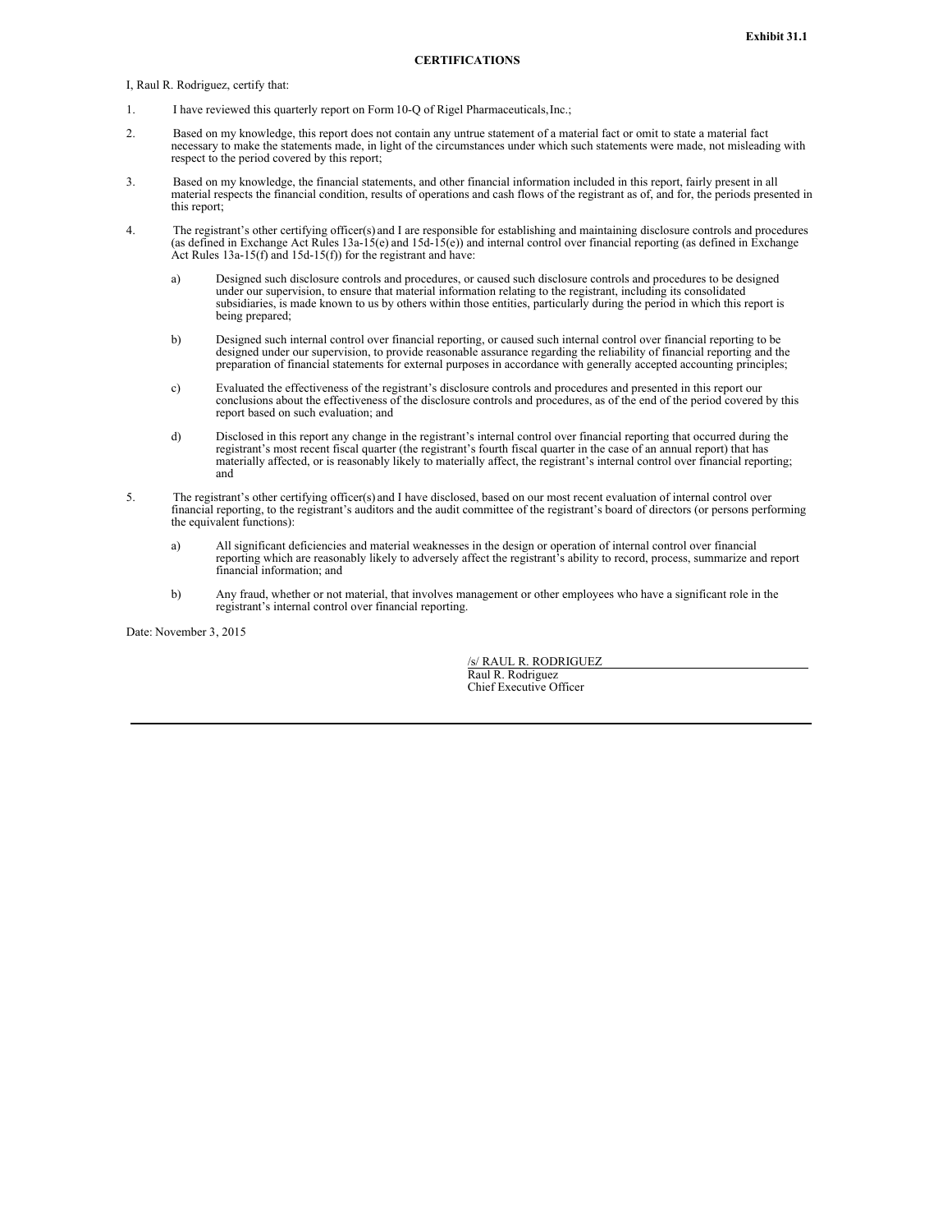I, Raul R. Rodriguez, certify that:

- 1. I have reviewed this quarterly report on Form 10-Q of Rigel Pharmaceuticals, Inc.;
- 2. Based on my knowledge, this report does not contain any untrue statement of a material fact or omit to state a material fact necessary to make the statements made, in light of the circumstances under which such statements were made, not misleading with respect to the period covered by this report;
- 3. Based on my knowledge, the financial statements, and other financial information included in this report, fairly present in all material respects the financial condition, results of operations and cash flows of the regi this report;
- 4. The registrant's other certifying officer(s) and I are responsible for establishing and maintaining disclosure controls and procedures (as defined in Exchange Act Rules 13a-15(e) and 15d-15(e)) and internal control over financial reporting (as defined in Exchange Act Rules 13a-15(f) and 15d-15(f)) for the registrant and have:
	- a) Designed such disclosure controls and procedures, or caused such disclosure controls and procedures to be designed under our supervision, to ensure that material information relating to the registrant, including its consolidated subsidiaries, is made known to us by others within those entities, particularly during the period in which this report is being prepared;
	- b) Designed such internal control over financial reporting, or caused such internal control over financial reporting to be designed under our supervision, to provide reasonable assurance regarding the reliability of financial reporting and the preparation of financial statements for external purposes in accordance with generally accepted accounting principles;
	- c) Evaluated the effectiveness of the registrant's disclosure controls and procedures and presented in this report our conclusions about the effectiveness of the disclosure controls and procedures, as of the end of the period covered by this report based on such evaluation; and
	- d) Disclosed in this report any change in the registrant's internal control over financial reporting that occurred during the registrant's most recent fiscal quarter (the registrant's fourth fiscal quarter in the case of a materially affected, or is reasonably likely to materially affect, the registrant's internal control over financial reporting; and
- 5. The registrant's other certifying officer(s) and I have disclosed, based on our most recent evaluation of internal control over financial reporting, to the registrant's auditors and the audit committee of the registrant's board of directors (or persons performing the equivalent functions):
	- a) All significant deficiencies and material weaknesses in the design or operation of internal control over financial reporting which are reasonably likely to adversely affect the registrant's ability to record, process, summarize and report financial information; and
	- b) Any fraud, whether or not material, that involves management or other employees who have a significant role in the registrant's internal control over financial reporting.

Date: November 3, 2015

/s/ RAUL R. RODRIGUEZ

Raul R. Rodriguez Chief Executive Officer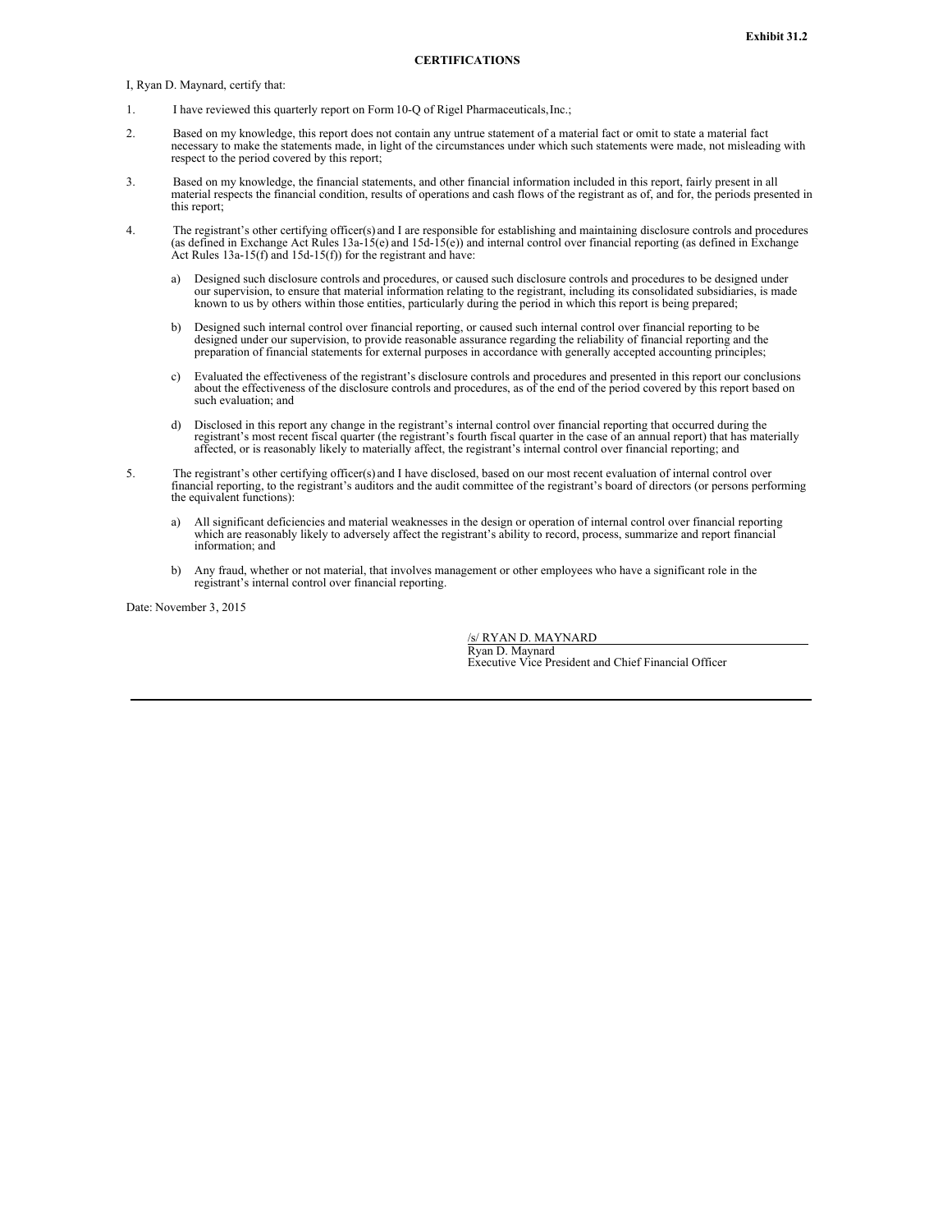## **CERTIFICATIONS**

I, Ryan D. Maynard, certify that:

- 1. I have reviewed this quarterly report on Form 10-Q of Rigel Pharmaceuticals, Inc.;
- 2. Based on my knowledge, this report does not contain any untrue statement of a material fact or omit to state a material fact necessary to make the statements made, in light of the circumstances under which such statements were made, not misleading with respect to the period covered by this report;
- 3. Based on my knowledge, the financial statements, and other financial information included in this report, fairly present in all material respects the financial condition, results of operations and cash flows of the regi this report;
- 4. The registrant's other certifying officer(s) and I are responsible for establishing and maintaining disclosure controls and procedures (as defined in Exchange Act Rules 13a-15(e) and 15d-15(e)) and internal control over financial reporting (as defined in Exchange Act Rules 13a-15(f) and 15d-15(f)) for the registrant and have:
	- a) Designed such disclosure controls and procedures, or caused such disclosure controls and procedures to be designed under our supervision, to ensure that material information relating to the registrant, including its consolidated subsidiaries, is made known to us by others within those entities, particularly during the period in which this report is being prepared;
	- b) Designed such internal control over financial reporting, or caused such internal control over financial reporting to be designed under our supervision, to provide reasonable assurance regarding the reliability of financial reporting and the preparation of financial statements for external purposes in accordance with generally accepted accounting principles;
	- c) Evaluated the effectiveness of the registrant's disclosure controls and procedures and presented in this report our conclusions about the effectiveness of the disclosure controls and procedures, as of the end of the period covered by this report based on such evaluation; and
	- d) Disclosed in this report any change in the registrant's internal control over financial reporting that occurred during the registrant's most recent fiscal quarter (the registrant's fourth fiscal quarter in the case of an annual report) that has materially affected, or is reasonably likely to materially affect, the registrant's internal control
- 5. The registrant's other certifying officer(s) and I have disclosed, based on our most recent evaluation of internal control over financial reporting, to the registrant's auditors and the audit committee of the registrant's board of directors (or persons performing the equivalent functions):
	- a) All significant deficiencies and material weaknesses in the design or operation of internal control over financial reporting which are reasonably likely to adversely affect the registrant's ability to record, process, summarize and report financial information; and
	- b) Any fraud, whether or not material, that involves management or other employees who have a significant role in the registrant's internal control over financial reporting.

Date: November 3, 2015

/s/ RYAN D. MAYNARD Ryan D. Maynard Executive Vice President and Chief Financial Officer